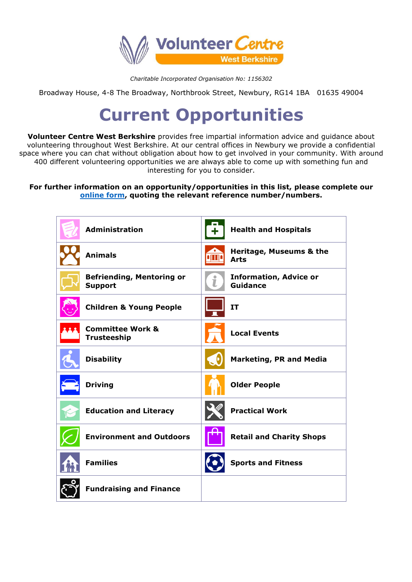

*Charitable Incorporated Organisation No: 1156302*

Broadway House, 4-8 The Broadway, Northbrook Street, Newbury, RG14 1BA 01635 49004

## **Current Opportunities**

**Volunteer Centre West Berkshire** provides free impartial information advice and guidance about volunteering throughout West Berkshire. At our central offices in Newbury we provide a confidential space where you can chat without obligation about how to get involved in your community. With around 400 different volunteering opportunities we are always able to come up with something fun and interesting for you to consider.

**For further information on an opportunity/opportunities in this list, please complete our [online form,](https://www.volunteerwestberks.org.uk/volunteering/volunteering-form/) quoting the relevant reference number/numbers.**

| <b>Administration</b>                              | <b>Health and Hospitals</b>                           |
|----------------------------------------------------|-------------------------------------------------------|
| <b>Animals</b>                                     | Heritage, Museums & the<br><b>Arts</b>                |
| <b>Befriending, Mentoring or</b><br><b>Support</b> | <b>Information, Advice or</b><br>Ť<br><b>Guidance</b> |
| <b>Children &amp; Young People</b>                 | IT                                                    |
| <b>Committee Work &amp;</b><br><b>Trusteeship</b>  | <b>Local Events</b>                                   |
| <b>Disability</b>                                  | <b>Marketing, PR and Media</b>                        |
| <b>Driving</b>                                     | <b>Older People</b>                                   |
| <b>Education and Literacy</b>                      | <b>Practical Work</b>                                 |
| <b>Environment and Outdoors</b>                    | <b>Retail and Charity Shops</b>                       |
| <b>Families</b>                                    | <b>Sports and Fitness</b>                             |
| <b>Fundraising and Finance</b>                     |                                                       |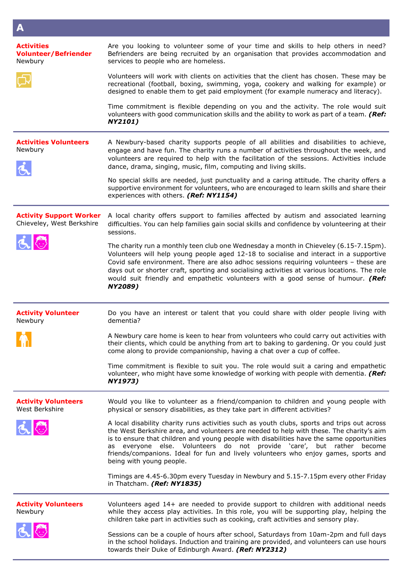| A                                                           |                                                                                                                                                                                                                                                                                                                                                                                                                                                                                  |
|-------------------------------------------------------------|----------------------------------------------------------------------------------------------------------------------------------------------------------------------------------------------------------------------------------------------------------------------------------------------------------------------------------------------------------------------------------------------------------------------------------------------------------------------------------|
| <b>Activities</b><br><b>Volunteer/Befriender</b><br>Newbury | Are you looking to volunteer some of your time and skills to help others in need?<br>Befrienders are being recruited by an organisation that provides accommodation and<br>services to people who are homeless.                                                                                                                                                                                                                                                                  |
|                                                             | Volunteers will work with clients on activities that the client has chosen. These may be<br>recreational (football, boxing, swimming, yoga, cookery and walking for example) or<br>designed to enable them to get paid employment (for example numeracy and literacy).                                                                                                                                                                                                           |
|                                                             | Time commitment is flexible depending on you and the activity. The role would suit<br>volunteers with good communication skills and the ability to work as part of a team. (Ref:<br><b>NY2101)</b>                                                                                                                                                                                                                                                                               |
| <b>Activities Volunteers</b><br>Newbury                     | A Newbury-based charity supports people of all abilities and disabilities to achieve,<br>engage and have fun. The charity runs a number of activities throughout the week, and<br>volunteers are required to help with the facilitation of the sessions. Activities include<br>dance, drama, singing, music, film, computing and living skills.                                                                                                                                  |
|                                                             | No special skills are needed, just punctuality and a caring attitude. The charity offers a<br>supportive environment for volunteers, who are encouraged to learn skills and share their<br>experiences with others. (Ref: NY1154)                                                                                                                                                                                                                                                |
| <b>Activity Support Worker</b><br>Chieveley, West Berkshire | A local charity offers support to families affected by autism and associated learning<br>difficulties. You can help families gain social skills and confidence by volunteering at their<br>sessions.                                                                                                                                                                                                                                                                             |
|                                                             | The charity run a monthly teen club one Wednesday a month in Chieveley (6.15-7.15pm).<br>Volunteers will help young people aged 12-18 to socialise and interact in a supportive<br>Covid safe environment. There are also adhoc sessions requiring volunteers - these are<br>days out or shorter craft, sporting and socialising activities at various locations. The role<br>would suit friendly and empathetic volunteers with a good sense of humour. (Ref:<br>NY2089)        |
| <b>Activity Volunteer</b><br>Newbury                        | Do you have an interest or talent that you could share with older people living with<br>dementia?                                                                                                                                                                                                                                                                                                                                                                                |
| <b>TO THE REAL</b>                                          | A Newbury care home is keen to hear from volunteers who could carry out activities with<br>their clients, which could be anything from art to baking to gardening. Or you could just<br>come along to provide companionship, having a chat over a cup of coffee.                                                                                                                                                                                                                 |
|                                                             | Time commitment is flexible to suit you. The role would suit a caring and empathetic<br>volunteer, who might have some knowledge of working with people with dementia. (Ref:<br>NY1973)                                                                                                                                                                                                                                                                                          |
| <b>Activity Volunteers</b><br>West Berkshire                | Would you like to volunteer as a friend/companion to children and young people with<br>physical or sensory disabilities, as they take part in different activities?                                                                                                                                                                                                                                                                                                              |
|                                                             | A local disability charity runs activities such as youth clubs, sports and trips out across<br>the West Berkshire area, and volunteers are needed to help with these. The charity's aim<br>is to ensure that children and young people with disabilities have the same opportunities<br>as everyone else. Volunteers do not provide 'care', but rather become<br>friends/companions. Ideal for fun and lively volunteers who enjoy games, sports and<br>being with young people. |
|                                                             | Timings are 4.45-6.30pm every Tuesday in Newbury and 5.15-7.15pm every other Friday<br>in Thatcham. (Ref: NY1835)                                                                                                                                                                                                                                                                                                                                                                |
| <b>Activity Volunteers</b><br>Newbury                       | Volunteers aged 14+ are needed to provide support to children with additional needs<br>while they access play activities. In this role, you will be supporting play, helping the<br>children take part in activities such as cooking, craft activities and sensory play.                                                                                                                                                                                                         |
|                                                             | Sessions can be a couple of hours after school, Saturdays from 10am-2pm and full days<br>in the school holidays. Induction and training are provided, and volunteers can use hours<br>towards their Duke of Edinburgh Award. (Ref: NY2312)                                                                                                                                                                                                                                       |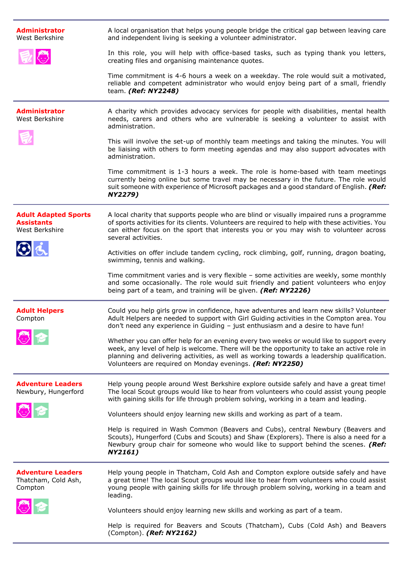| <b>Administrator</b><br>West Berkshire                             | A local organisation that helps young people bridge the critical gap between leaving care<br>and independent living is seeking a volunteer administrator.                                                                                                                                                                                          |
|--------------------------------------------------------------------|----------------------------------------------------------------------------------------------------------------------------------------------------------------------------------------------------------------------------------------------------------------------------------------------------------------------------------------------------|
|                                                                    | In this role, you will help with office-based tasks, such as typing thank you letters,<br>creating files and organising maintenance quotes.                                                                                                                                                                                                        |
|                                                                    | Time commitment is 4-6 hours a week on a weekday. The role would suit a motivated,<br>reliable and competent administrator who would enjoy being part of a small, friendly<br>team. (Ref: NY2248)                                                                                                                                                  |
| <b>Administrator</b><br>West Berkshire                             | A charity which provides advocacy services for people with disabilities, mental health<br>needs, carers and others who are vulnerable is seeking a volunteer to assist with<br>administration.                                                                                                                                                     |
|                                                                    | This will involve the set-up of monthly team meetings and taking the minutes. You will<br>be liaising with others to form meeting agendas and may also support advocates with<br>administration.                                                                                                                                                   |
|                                                                    | Time commitment is 1-3 hours a week. The role is home-based with team meetings<br>currently being online but some travel may be necessary in the future. The role would<br>suit someone with experience of Microsoft packages and a good standard of English. (Ref:<br><b>NY2279)</b>                                                              |
| <b>Adult Adapted Sports</b><br><b>Assistants</b><br>West Berkshire | A local charity that supports people who are blind or visually impaired runs a programme<br>of sports activities for its clients. Volunteers are required to help with these activities. You<br>can either focus on the sport that interests you or you may wish to volunteer across<br>several activities.                                        |
| $O_{\Delta}$                                                       | Activities on offer include tandem cycling, rock climbing, golf, running, dragon boating,<br>swimming, tennis and walking.                                                                                                                                                                                                                         |
|                                                                    | Time commitment varies and is very flexible - some activities are weekly, some monthly<br>and some occasionally. The role would suit friendly and patient volunteers who enjoy<br>being part of a team, and training will be given. (Ref: NY2226)                                                                                                  |
| <b>Adult Helpers</b><br>Compton                                    | Could you help girls grow in confidence, have adventures and learn new skills? Volunteer<br>Adult Helpers are needed to support with Girl Guiding activities in the Compton area. You<br>don't need any experience in Guiding - just enthusiasm and a desire to have fun!                                                                          |
|                                                                    | Whether you can offer help for an evening every two weeks or would like to support every<br>week, any level of help is welcome. There will be the opportunity to take an active role in<br>planning and delivering activities, as well as working towards a leadership qualification.<br>Volunteers are required on Monday evenings. (Ref: NY2250) |
| <b>Adventure Leaders</b><br>Newbury, Hungerford                    | Help young people around West Berkshire explore outside safely and have a great time!<br>The local Scout groups would like to hear from volunteers who could assist young people<br>with gaining skills for life through problem solving, working in a team and leading.                                                                           |
|                                                                    | Volunteers should enjoy learning new skills and working as part of a team.                                                                                                                                                                                                                                                                         |
|                                                                    | Help is required in Wash Common (Beavers and Cubs), central Newbury (Beavers and<br>Scouts), Hungerford (Cubs and Scouts) and Shaw (Explorers). There is also a need for a<br>Newbury group chair for someone who would like to support behind the scenes. (Ref:<br>NY2161)                                                                        |
| <b>Adventure Leaders</b><br>Thatcham, Cold Ash,<br>Compton         | Help young people in Thatcham, Cold Ash and Compton explore outside safely and have<br>a great time! The local Scout groups would like to hear from volunteers who could assist<br>young people with gaining skills for life through problem solving, working in a team and<br>leading.                                                            |
|                                                                    | Volunteers should enjoy learning new skills and working as part of a team.                                                                                                                                                                                                                                                                         |
|                                                                    | Help is required for Beavers and Scouts (Thatcham), Cubs (Cold Ash) and Beavers<br>(Compton). (Ref: NY2162)                                                                                                                                                                                                                                        |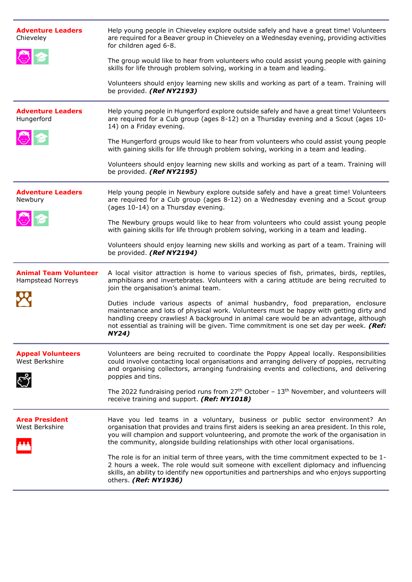| <b>Adventure Leaders</b><br>Chieveley             | Help young people in Chieveley explore outside safely and have a great time! Volunteers<br>are required for a Beaver group in Chieveley on a Wednesday evening, providing activities<br>for children aged 6-8.                                                                                                                                                                |
|---------------------------------------------------|-------------------------------------------------------------------------------------------------------------------------------------------------------------------------------------------------------------------------------------------------------------------------------------------------------------------------------------------------------------------------------|
|                                                   | The group would like to hear from volunteers who could assist young people with gaining<br>skills for life through problem solving, working in a team and leading.                                                                                                                                                                                                            |
|                                                   | Volunteers should enjoy learning new skills and working as part of a team. Training will<br>be provided. (Ref NY2193)                                                                                                                                                                                                                                                         |
| <b>Adventure Leaders</b><br>Hungerford            | Help young people in Hungerford explore outside safely and have a great time! Volunteers<br>are required for a Cub group (ages 8-12) on a Thursday evening and a Scout (ages 10-<br>14) on a Friday evening.                                                                                                                                                                  |
|                                                   | The Hungerford groups would like to hear from volunteers who could assist young people<br>with gaining skills for life through problem solving, working in a team and leading.                                                                                                                                                                                                |
|                                                   | Volunteers should enjoy learning new skills and working as part of a team. Training will<br>be provided. (Ref NY2195)                                                                                                                                                                                                                                                         |
| <b>Adventure Leaders</b><br>Newbury               | Help young people in Newbury explore outside safely and have a great time! Volunteers<br>are required for a Cub group (ages 8-12) on a Wednesday evening and a Scout group<br>(ages 10-14) on a Thursday evening.                                                                                                                                                             |
|                                                   | The Newbury groups would like to hear from volunteers who could assist young people<br>with gaining skills for life through problem solving, working in a team and leading.                                                                                                                                                                                                   |
|                                                   | Volunteers should enjoy learning new skills and working as part of a team. Training will<br>be provided. (Ref NY2194)                                                                                                                                                                                                                                                         |
| <b>Animal Team Volunteer</b><br>Hampstead Norreys | A local visitor attraction is home to various species of fish, primates, birds, reptiles,<br>amphibians and invertebrates. Volunteers with a caring attitude are being recruited to                                                                                                                                                                                           |
|                                                   | join the organisation's animal team.                                                                                                                                                                                                                                                                                                                                          |
|                                                   | Duties include various aspects of animal husbandry, food preparation, enclosure<br>maintenance and lots of physical work. Volunteers must be happy with getting dirty and<br>handling creepy crawlies! A background in animal care would be an advantage, although<br>not essential as training will be given. Time commitment is one set day per week. (Ref:<br><b>NY24)</b> |
| <b>Appeal Volunteers</b><br>West Berkshire        | Volunteers are being recruited to coordinate the Poppy Appeal locally. Responsibilities<br>could involve contacting local organisations and arranging delivery of poppies, recruiting<br>and organising collectors, arranging fundraising events and collections, and delivering<br>poppies and tins.                                                                         |
|                                                   | The 2022 fundraising period runs from $27th$ October - $13th$ November, and volunteers will<br>receive training and support. (Ref: NY1018)                                                                                                                                                                                                                                    |
| <b>Area President</b><br>West Berkshire           | Have you led teams in a voluntary, business or public sector environment? An<br>organisation that provides and trains first aiders is seeking an area president. In this role,<br>you will champion and support volunteering, and promote the work of the organisation in<br>the community, alongside building relationships with other local organisations.                  |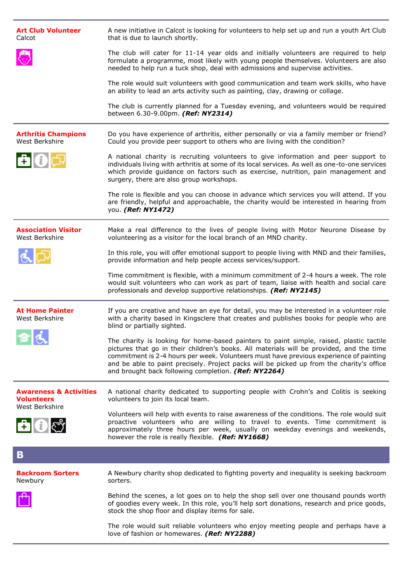| The club will cater for 11-14 year olds and initially volunteers are required to help<br>formulate a programme, most likely with young people themselves. Volunteers are also<br>needed to help run a tuck shop, deal with admissions and supervise activities.<br>The role would suit volunteers with good communication and team work skills, who have<br>an ability to lead an arts activity such as painting, clay, drawing or collage.<br>The club is currently planned for a Tuesday evening, and volunteers would be required<br>between 6.30-9.00pm. (Ref: NY2314)<br><b>Arthritis Champions</b><br>Do you have experience of arthritis, either personally or via a family member or friend?<br>West Berkshire<br>Could you provide peer support to others who are living with the condition?<br>A national charity is recruiting volunteers to give information and peer support to<br>606<br>individuals living with arthritis at some of its local services. As well as one-to-one services<br>which provide guidance on factors such as exercise, nutrition, pain management and<br>surgery, there are also group workshops.<br>The role is flexible and you can choose in advance which services you will attend. If you<br>are friendly, helpful and approachable, the charity would be interested in hearing from<br>you. (Ref: NY1472)<br><b>Association Visitor</b><br>Make a real difference to the lives of people living with Motor Neurone Disease by<br>West Berkshire<br>volunteering as a visitor for the local branch of an MND charity.<br>In this role, you will offer emotional support to people living with MND and their families,<br>provide information and help people access services/support.<br>Time commitment is flexible, with a minimum commitment of 2-4 hours a week. The role<br>would suit volunteers who can work as part of team, liaise with health and social care<br>professionals and develop supportive relationships. (Ref: NY2145)<br><b>At Home Painter</b><br>If you are creative and have an eye for detail, you may be interested in a volunteer role<br>West Berkshire<br>with a charity based in Kingsclere that creates and publishes books for people who are<br>blind or partially sighted.<br>The charity is looking for home-based painters to paint simple, raised, plastic tactile<br>pictures that go in their children's books. All materials will be provided, and the time<br>commitment is 2-4 hours per week. Volunteers must have previous experience of painting<br>and be able to paint precisely. Project packs will be picked up from the charity's office<br>and brought back following completion. (Ref: NY2264)<br><b>Awareness &amp; Activities</b><br>A national charity dedicated to supporting people with Crohn's and Colitis is seeking<br><b>Volunteers</b><br>volunteers to join its local team.<br>West Berkshire<br>Volunteers will help with events to raise awareness of the conditions. The role would suit<br>proactive volunteers who are willing to travel to events. Time commitment is<br>606<br>approximately three hours per week, usually on weekday evenings and weekends,<br>however the role is really flexible. (Ref: NY1668) |                                             |
|-----------------------------------------------------------------------------------------------------------------------------------------------------------------------------------------------------------------------------------------------------------------------------------------------------------------------------------------------------------------------------------------------------------------------------------------------------------------------------------------------------------------------------------------------------------------------------------------------------------------------------------------------------------------------------------------------------------------------------------------------------------------------------------------------------------------------------------------------------------------------------------------------------------------------------------------------------------------------------------------------------------------------------------------------------------------------------------------------------------------------------------------------------------------------------------------------------------------------------------------------------------------------------------------------------------------------------------------------------------------------------------------------------------------------------------------------------------------------------------------------------------------------------------------------------------------------------------------------------------------------------------------------------------------------------------------------------------------------------------------------------------------------------------------------------------------------------------------------------------------------------------------------------------------------------------------------------------------------------------------------------------------------------------------------------------------------------------------------------------------------------------------------------------------------------------------------------------------------------------------------------------------------------------------------------------------------------------------------------------------------------------------------------------------------------------------------------------------------------------------------------------------------------------------------------------------------------------------------------------------------------------------------------------------------------------------------------------------------------------------------------------------------------------------------------------------------------------------------------------------------------------------------------------------------------------------------------------------------------------------------------------------------------------------------------------------------------------------------------------------------------------------------------------------------------------------------------------------------------------------|---------------------------------------------|
|                                                                                                                                                                                                                                                                                                                                                                                                                                                                                                                                                                                                                                                                                                                                                                                                                                                                                                                                                                                                                                                                                                                                                                                                                                                                                                                                                                                                                                                                                                                                                                                                                                                                                                                                                                                                                                                                                                                                                                                                                                                                                                                                                                                                                                                                                                                                                                                                                                                                                                                                                                                                                                                                                                                                                                                                                                                                                                                                                                                                                                                                                                                                                                                                                                         |                                             |
|                                                                                                                                                                                                                                                                                                                                                                                                                                                                                                                                                                                                                                                                                                                                                                                                                                                                                                                                                                                                                                                                                                                                                                                                                                                                                                                                                                                                                                                                                                                                                                                                                                                                                                                                                                                                                                                                                                                                                                                                                                                                                                                                                                                                                                                                                                                                                                                                                                                                                                                                                                                                                                                                                                                                                                                                                                                                                                                                                                                                                                                                                                                                                                                                                                         |                                             |
|                                                                                                                                                                                                                                                                                                                                                                                                                                                                                                                                                                                                                                                                                                                                                                                                                                                                                                                                                                                                                                                                                                                                                                                                                                                                                                                                                                                                                                                                                                                                                                                                                                                                                                                                                                                                                                                                                                                                                                                                                                                                                                                                                                                                                                                                                                                                                                                                                                                                                                                                                                                                                                                                                                                                                                                                                                                                                                                                                                                                                                                                                                                                                                                                                                         |                                             |
|                                                                                                                                                                                                                                                                                                                                                                                                                                                                                                                                                                                                                                                                                                                                                                                                                                                                                                                                                                                                                                                                                                                                                                                                                                                                                                                                                                                                                                                                                                                                                                                                                                                                                                                                                                                                                                                                                                                                                                                                                                                                                                                                                                                                                                                                                                                                                                                                                                                                                                                                                                                                                                                                                                                                                                                                                                                                                                                                                                                                                                                                                                                                                                                                                                         |                                             |
|                                                                                                                                                                                                                                                                                                                                                                                                                                                                                                                                                                                                                                                                                                                                                                                                                                                                                                                                                                                                                                                                                                                                                                                                                                                                                                                                                                                                                                                                                                                                                                                                                                                                                                                                                                                                                                                                                                                                                                                                                                                                                                                                                                                                                                                                                                                                                                                                                                                                                                                                                                                                                                                                                                                                                                                                                                                                                                                                                                                                                                                                                                                                                                                                                                         |                                             |
|                                                                                                                                                                                                                                                                                                                                                                                                                                                                                                                                                                                                                                                                                                                                                                                                                                                                                                                                                                                                                                                                                                                                                                                                                                                                                                                                                                                                                                                                                                                                                                                                                                                                                                                                                                                                                                                                                                                                                                                                                                                                                                                                                                                                                                                                                                                                                                                                                                                                                                                                                                                                                                                                                                                                                                                                                                                                                                                                                                                                                                                                                                                                                                                                                                         |                                             |
|                                                                                                                                                                                                                                                                                                                                                                                                                                                                                                                                                                                                                                                                                                                                                                                                                                                                                                                                                                                                                                                                                                                                                                                                                                                                                                                                                                                                                                                                                                                                                                                                                                                                                                                                                                                                                                                                                                                                                                                                                                                                                                                                                                                                                                                                                                                                                                                                                                                                                                                                                                                                                                                                                                                                                                                                                                                                                                                                                                                                                                                                                                                                                                                                                                         |                                             |
|                                                                                                                                                                                                                                                                                                                                                                                                                                                                                                                                                                                                                                                                                                                                                                                                                                                                                                                                                                                                                                                                                                                                                                                                                                                                                                                                                                                                                                                                                                                                                                                                                                                                                                                                                                                                                                                                                                                                                                                                                                                                                                                                                                                                                                                                                                                                                                                                                                                                                                                                                                                                                                                                                                                                                                                                                                                                                                                                                                                                                                                                                                                                                                                                                                         |                                             |
|                                                                                                                                                                                                                                                                                                                                                                                                                                                                                                                                                                                                                                                                                                                                                                                                                                                                                                                                                                                                                                                                                                                                                                                                                                                                                                                                                                                                                                                                                                                                                                                                                                                                                                                                                                                                                                                                                                                                                                                                                                                                                                                                                                                                                                                                                                                                                                                                                                                                                                                                                                                                                                                                                                                                                                                                                                                                                                                                                                                                                                                                                                                                                                                                                                         |                                             |
|                                                                                                                                                                                                                                                                                                                                                                                                                                                                                                                                                                                                                                                                                                                                                                                                                                                                                                                                                                                                                                                                                                                                                                                                                                                                                                                                                                                                                                                                                                                                                                                                                                                                                                                                                                                                                                                                                                                                                                                                                                                                                                                                                                                                                                                                                                                                                                                                                                                                                                                                                                                                                                                                                                                                                                                                                                                                                                                                                                                                                                                                                                                                                                                                                                         |                                             |
|                                                                                                                                                                                                                                                                                                                                                                                                                                                                                                                                                                                                                                                                                                                                                                                                                                                                                                                                                                                                                                                                                                                                                                                                                                                                                                                                                                                                                                                                                                                                                                                                                                                                                                                                                                                                                                                                                                                                                                                                                                                                                                                                                                                                                                                                                                                                                                                                                                                                                                                                                                                                                                                                                                                                                                                                                                                                                                                                                                                                                                                                                                                                                                                                                                         |                                             |
|                                                                                                                                                                                                                                                                                                                                                                                                                                                                                                                                                                                                                                                                                                                                                                                                                                                                                                                                                                                                                                                                                                                                                                                                                                                                                                                                                                                                                                                                                                                                                                                                                                                                                                                                                                                                                                                                                                                                                                                                                                                                                                                                                                                                                                                                                                                                                                                                                                                                                                                                                                                                                                                                                                                                                                                                                                                                                                                                                                                                                                                                                                                                                                                                                                         |                                             |
|                                                                                                                                                                                                                                                                                                                                                                                                                                                                                                                                                                                                                                                                                                                                                                                                                                                                                                                                                                                                                                                                                                                                                                                                                                                                                                                                                                                                                                                                                                                                                                                                                                                                                                                                                                                                                                                                                                                                                                                                                                                                                                                                                                                                                                                                                                                                                                                                                                                                                                                                                                                                                                                                                                                                                                                                                                                                                                                                                                                                                                                                                                                                                                                                                                         |                                             |
| $\mathbf B$                                                                                                                                                                                                                                                                                                                                                                                                                                                                                                                                                                                                                                                                                                                                                                                                                                                                                                                                                                                                                                                                                                                                                                                                                                                                                                                                                                                                                                                                                                                                                                                                                                                                                                                                                                                                                                                                                                                                                                                                                                                                                                                                                                                                                                                                                                                                                                                                                                                                                                                                                                                                                                                                                                                                                                                                                                                                                                                                                                                                                                                                                                                                                                                                                             |                                             |
| A Newbury charity shop dedicated to fighting poverty and inequality is seeking backroom<br><b>Backroom Sorters</b><br>Newbury<br>sorters.                                                                                                                                                                                                                                                                                                                                                                                                                                                                                                                                                                                                                                                                                                                                                                                                                                                                                                                                                                                                                                                                                                                                                                                                                                                                                                                                                                                                                                                                                                                                                                                                                                                                                                                                                                                                                                                                                                                                                                                                                                                                                                                                                                                                                                                                                                                                                                                                                                                                                                                                                                                                                                                                                                                                                                                                                                                                                                                                                                                                                                                                                               |                                             |
| Behind the scenes, a lot goes on to help the shop sell over one thousand pounds worth<br>of goodies every week. In this role, you'll help sort donations, research and price goods,<br>stock the shop floor and display items for sale.                                                                                                                                                                                                                                                                                                                                                                                                                                                                                                                                                                                                                                                                                                                                                                                                                                                                                                                                                                                                                                                                                                                                                                                                                                                                                                                                                                                                                                                                                                                                                                                                                                                                                                                                                                                                                                                                                                                                                                                                                                                                                                                                                                                                                                                                                                                                                                                                                                                                                                                                                                                                                                                                                                                                                                                                                                                                                                                                                                                                 |                                             |
| The role would suit reliable volunteers who enjoy meeting people and perhaps have a                                                                                                                                                                                                                                                                                                                                                                                                                                                                                                                                                                                                                                                                                                                                                                                                                                                                                                                                                                                                                                                                                                                                                                                                                                                                                                                                                                                                                                                                                                                                                                                                                                                                                                                                                                                                                                                                                                                                                                                                                                                                                                                                                                                                                                                                                                                                                                                                                                                                                                                                                                                                                                                                                                                                                                                                                                                                                                                                                                                                                                                                                                                                                     | love of fashion or homewares. (Ref: NY2288) |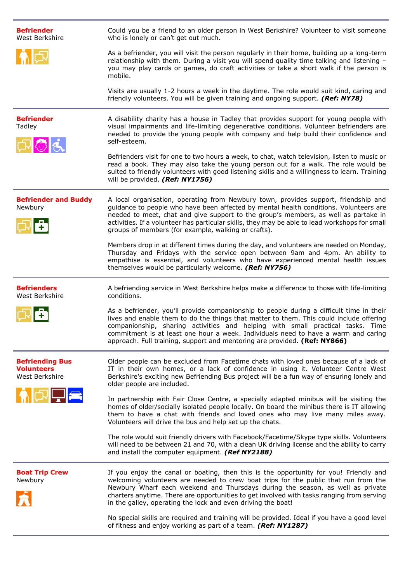| <b>Befriender</b><br>West Berkshire                           | Could you be a friend to an older person in West Berkshire? Volunteer to visit someone<br>who is lonely or can't get out much.                                                                                                                                                                                                                                                                                                           |
|---------------------------------------------------------------|------------------------------------------------------------------------------------------------------------------------------------------------------------------------------------------------------------------------------------------------------------------------------------------------------------------------------------------------------------------------------------------------------------------------------------------|
|                                                               | As a befriender, you will visit the person regularly in their home, building up a long-term<br>relationship with them. During a visit you will spend quality time talking and listening -<br>you may play cards or games, do craft activities or take a short walk if the person is<br>mobile.                                                                                                                                           |
|                                                               | Visits are usually 1-2 hours a week in the daytime. The role would suit kind, caring and<br>friendly volunteers. You will be given training and ongoing support. (Ref: NY78)                                                                                                                                                                                                                                                             |
| <b>Befriender</b><br>Tadley                                   | A disability charity has a house in Tadley that provides support for young people with<br>visual impairments and life-limiting degenerative conditions. Volunteer befrienders are<br>needed to provide the young people with company and help build their confidence and<br>self-esteem.                                                                                                                                                 |
|                                                               | Befrienders visit for one to two hours a week, to chat, watch television, listen to music or<br>read a book. They may also take the young person out for a walk. The role would be<br>suited to friendly volunteers with good listening skills and a willingness to learn. Training<br>will be provided. (Ref: NY1756)                                                                                                                   |
| <b>Befriender and Buddy</b><br>Newbury                        | A local organisation, operating from Newbury town, provides support, friendship and<br>guidance to people who have been affected by mental health conditions. Volunteers are<br>needed to meet, chat and give support to the group's members, as well as partake in<br>activities. If a volunteer has particular skills, they may be able to lead workshops for small<br>groups of members (for example, walking or crafts).             |
|                                                               | Members drop in at different times during the day, and volunteers are needed on Monday,<br>Thursday and Fridays with the service open between 9am and 4pm. An ability to<br>empathise is essential, and volunteers who have experienced mental health issues<br>themselves would be particularly welcome. (Ref: NY756)                                                                                                                   |
| <b>Befrienders</b><br>West Berkshire                          | A befriending service in West Berkshire helps make a difference to those with life-limiting<br>conditions.                                                                                                                                                                                                                                                                                                                               |
|                                                               | As a befriender, you'll provide companionship to people during a difficult time in their<br>lives and enable them to do the things that matter to them. This could include offering<br>companionship, sharing activities and helping with small practical tasks. Time<br>commitment is at least one hour a week. Individuals need to have a warm and caring<br>approach. Full training, support and mentoring are provided. (Ref: NY866) |
| <b>Befriending Bus</b><br><b>Volunteers</b><br>West Berkshire | Older people can be excluded from Facetime chats with loved ones because of a lack of<br>IT in their own homes, or a lack of confidence in using it. Volunteer Centre West<br>Berkshire's exciting new Befriending Bus project will be a fun way of ensuring lonely and<br>older people are included.                                                                                                                                    |
| $\blacksquare$                                                | In partnership with Fair Close Centre, a specially adapted minibus will be visiting the<br>homes of older/socially isolated people locally. On board the minibus there is IT allowing<br>them to have a chat with friends and loved ones who may live many miles away.<br>Volunteers will drive the bus and help set up the chats.                                                                                                       |
|                                                               | The role would suit friendly drivers with Facebook/Facetime/Skype type skills. Volunteers<br>will need to be between 21 and 70, with a clean UK driving license and the ability to carry<br>and install the computer equipment. (Ref NY2188)                                                                                                                                                                                             |
| <b>Boat Trip Crew</b><br>Newbury                              | If you enjoy the canal or boating, then this is the opportunity for you! Friendly and<br>welcoming volunteers are needed to crew boat trips for the public that run from the<br>Newbury Wharf each weekend and Thursdays during the season, as well as private<br>charters anytime. There are opportunities to get involved with tasks ranging from serving<br>in the galley, operating the lock and even driving the boat!              |
|                                                               | No special skills are required and training will be provided. Ideal if you have a good level<br>of fitness and enjoy working as part of a team. (Ref: NY1287)                                                                                                                                                                                                                                                                            |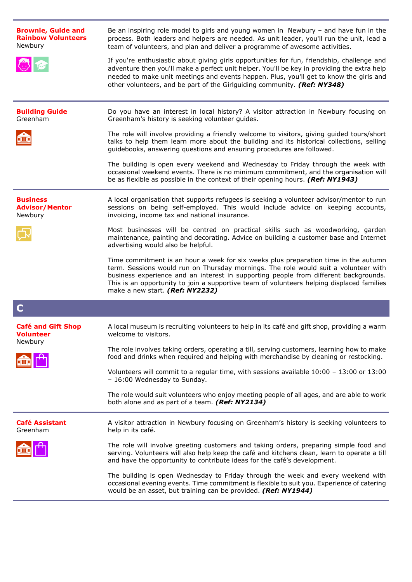| <b>Brownie, Guide and</b><br><b>Rainbow Volunteers</b><br>Newbury | Be an inspiring role model to girls and young women in Newbury - and have fun in the<br>process. Both leaders and helpers are needed. As unit leader, you'll run the unit, lead a<br>team of volunteers, and plan and deliver a programme of awesome activities.                                                                                                                                   |
|-------------------------------------------------------------------|----------------------------------------------------------------------------------------------------------------------------------------------------------------------------------------------------------------------------------------------------------------------------------------------------------------------------------------------------------------------------------------------------|
|                                                                   | If you're enthusiastic about giving girls opportunities for fun, friendship, challenge and<br>adventure then you'll make a perfect unit helper. You'll be key in providing the extra help<br>needed to make unit meetings and events happen. Plus, you'll get to know the girls and<br>other volunteers, and be part of the Girlguiding community. (Ref: NY348)                                    |
| <b>Building Guide</b><br>Greenham                                 | Do you have an interest in local history? A visitor attraction in Newbury focusing on<br>Greenham's history is seeking volunteer guides.                                                                                                                                                                                                                                                           |
|                                                                   | The role will involve providing a friendly welcome to visitors, giving guided tours/short<br>talks to help them learn more about the building and its historical collections, selling<br>guidebooks, answering questions and ensuring procedures are followed.                                                                                                                                     |
|                                                                   | The building is open every weekend and Wednesday to Friday through the week with<br>occasional weekend events. There is no minimum commitment, and the organisation will<br>be as flexible as possible in the context of their opening hours. (Ref: NY1943)                                                                                                                                        |
| <b>Business</b><br><b>Advisor/Mentor</b><br>Newbury               | A local organisation that supports refugees is seeking a volunteer advisor/mentor to run<br>sessions on being self-employed. This would include advice on keeping accounts,<br>invoicing, income tax and national insurance.                                                                                                                                                                       |
|                                                                   | Most businesses will be centred on practical skills such as woodworking, garden<br>maintenance, painting and decorating. Advice on building a customer base and Internet<br>advertising would also be helpful.                                                                                                                                                                                     |
|                                                                   | Time commitment is an hour a week for six weeks plus preparation time in the autumn<br>term. Sessions would run on Thursday mornings. The role would suit a volunteer with<br>business experience and an interest in supporting people from different backgrounds.<br>This is an opportunity to join a supportive team of volunteers helping displaced families<br>make a new start. (Ref: NY2232) |
| C                                                                 |                                                                                                                                                                                                                                                                                                                                                                                                    |
| <b>Café and Gift Shop</b><br><b>Volunteer</b>                     | A local museum is recruiting volunteers to help in its café and gift shop, providing a warm<br>welcome to visitors.                                                                                                                                                                                                                                                                                |
| Newbury                                                           | The role involves taking orders, operating a till, serving customers, learning how to make<br>food and drinks when required and helping with merchandise by cleaning or restocking.                                                                                                                                                                                                                |
|                                                                   | Volunteers will commit to a regular time, with sessions available $10:00 - 13:00$ or $13:00$<br>- 16:00 Wednesday to Sunday.                                                                                                                                                                                                                                                                       |
|                                                                   | The role would suit volunteers who enjoy meeting people of all ages, and are able to work<br>both alone and as part of a team. (Ref: NY2134)                                                                                                                                                                                                                                                       |
| <b>Café Assistant</b><br>Greenham                                 | A visitor attraction in Newbury focusing on Greenham's history is seeking volunteers to<br>help in its café.                                                                                                                                                                                                                                                                                       |
|                                                                   | The role will involve greeting customers and taking orders, preparing simple food and<br>serving. Volunteers will also help keep the café and kitchens clean, learn to operate a till<br>and have the opportunity to contribute ideas for the café's development.                                                                                                                                  |
|                                                                   | The building is open Wednesday to Friday through the week and every weekend with<br>occasional evening events. Time commitment is flexible to suit you. Experience of catering<br>would be an asset, but training can be provided. (Ref: NY1944)                                                                                                                                                   |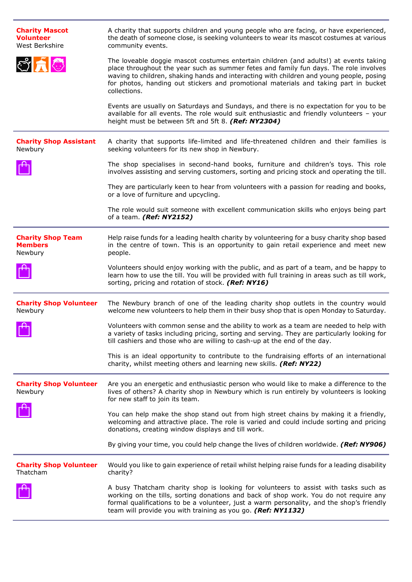| <b>Charity Mascot</b><br><b>Volunteer</b><br>West Berkshire | A charity that supports children and young people who are facing, or have experienced,<br>the death of someone close, is seeking volunteers to wear its mascot costumes at various<br>community events.                                                                                                                                                                            |
|-------------------------------------------------------------|------------------------------------------------------------------------------------------------------------------------------------------------------------------------------------------------------------------------------------------------------------------------------------------------------------------------------------------------------------------------------------|
|                                                             | The loveable doggie mascot costumes entertain children (and adults!) at events taking<br>place throughout the year such as summer fetes and family fun days. The role involves<br>waving to children, shaking hands and interacting with children and young people, posing<br>for photos, handing out stickers and promotional materials and taking part in bucket<br>collections. |
|                                                             | Events are usually on Saturdays and Sundays, and there is no expectation for you to be<br>available for all events. The role would suit enthusiastic and friendly volunteers - your<br>height must be between 5ft and 5ft 8. (Ref: NY2304)                                                                                                                                         |
| <b>Charity Shop Assistant</b><br>Newbury                    | A charity that supports life-limited and life-threatened children and their families is<br>seeking volunteers for its new shop in Newbury.                                                                                                                                                                                                                                         |
|                                                             | The shop specialises in second-hand books, furniture and children's toys. This role<br>involves assisting and serving customers, sorting and pricing stock and operating the till.                                                                                                                                                                                                 |
|                                                             | They are particularly keen to hear from volunteers with a passion for reading and books,<br>or a love of furniture and upcycling.                                                                                                                                                                                                                                                  |
|                                                             | The role would suit someone with excellent communication skills who enjoys being part<br>of a team. (Ref: NY2152)                                                                                                                                                                                                                                                                  |
| <b>Charity Shop Team</b><br><b>Members</b><br>Newbury       | Help raise funds for a leading health charity by volunteering for a busy charity shop based<br>in the centre of town. This is an opportunity to gain retail experience and meet new<br>people.                                                                                                                                                                                     |
|                                                             | Volunteers should enjoy working with the public, and as part of a team, and be happy to<br>learn how to use the till. You will be provided with full training in areas such as till work,<br>sorting, pricing and rotation of stock. (Ref: NY16)                                                                                                                                   |
| <b>Charity Shop Volunteer</b><br>Newbury                    | The Newbury branch of one of the leading charity shop outlets in the country would<br>welcome new volunteers to help them in their busy shop that is open Monday to Saturday.                                                                                                                                                                                                      |
|                                                             | Volunteers with common sense and the ability to work as a team are needed to help with<br>a variety of tasks including pricing, sorting and serving. They are particularly looking for<br>till cashiers and those who are willing to cash-up at the end of the day.                                                                                                                |
|                                                             | This is an ideal opportunity to contribute to the fundraising efforts of an international<br>charity, whilst meeting others and learning new skills. (Ref: NY22)                                                                                                                                                                                                                   |
| <b>Charity Shop Volunteer</b><br>Newbury                    | Are you an energetic and enthusiastic person who would like to make a difference to the<br>lives of others? A charity shop in Newbury which is run entirely by volunteers is looking<br>for new staff to join its team.                                                                                                                                                            |
|                                                             | You can help make the shop stand out from high street chains by making it a friendly,<br>welcoming and attractive place. The role is varied and could include sorting and pricing<br>donations, creating window displays and till work.                                                                                                                                            |
|                                                             | By giving your time, you could help change the lives of children worldwide. (Ref: NY906)                                                                                                                                                                                                                                                                                           |
| <b>Charity Shop Volunteer</b><br>Thatcham                   | Would you like to gain experience of retail whilst helping raise funds for a leading disability<br>charity?                                                                                                                                                                                                                                                                        |
|                                                             | A busy Thatcham charity shop is looking for volunteers to assist with tasks such as<br>working on the tills, sorting donations and back of shop work. You do not require any<br>formal qualifications to be a volunteer, just a warm personality, and the shop's friendly<br>team will provide you with training as you go. (Ref: NY1132)                                          |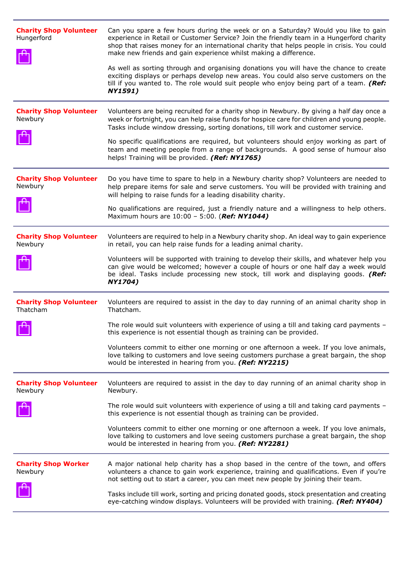| <b>Charity Shop Volunteer</b><br>Hungerford | Can you spare a few hours during the week or on a Saturday? Would you like to gain<br>experience in Retail or Customer Service? Join the friendly team in a Hungerford charity<br>shop that raises money for an international charity that helps people in crisis. You could<br>make new friends and gain experience whilst making a difference.<br>As well as sorting through and organising donations you will have the chance to create<br>exciting displays or perhaps develop new areas. You could also serve customers on the<br>till if you wanted to. The role would suit people who enjoy being part of a team. (Ref:<br><b>NY1591)</b> |
|---------------------------------------------|--------------------------------------------------------------------------------------------------------------------------------------------------------------------------------------------------------------------------------------------------------------------------------------------------------------------------------------------------------------------------------------------------------------------------------------------------------------------------------------------------------------------------------------------------------------------------------------------------------------------------------------------------|
| <b>Charity Shop Volunteer</b><br>Newbury    | Volunteers are being recruited for a charity shop in Newbury. By giving a half day once a<br>week or fortnight, you can help raise funds for hospice care for children and young people.<br>Tasks include window dressing, sorting donations, till work and customer service.                                                                                                                                                                                                                                                                                                                                                                    |
|                                             | No specific qualifications are required, but volunteers should enjoy working as part of<br>team and meeting people from a range of backgrounds. A good sense of humour also<br>helps! Training will be provided. (Ref: NY1765)                                                                                                                                                                                                                                                                                                                                                                                                                   |
| <b>Charity Shop Volunteer</b><br>Newbury    | Do you have time to spare to help in a Newbury charity shop? Volunteers are needed to<br>help prepare items for sale and serve customers. You will be provided with training and<br>will helping to raise funds for a leading disability charity.                                                                                                                                                                                                                                                                                                                                                                                                |
|                                             | No qualifications are required, just a friendly nature and a willingness to help others.<br>Maximum hours are 10:00 - 5:00. (Ref: NY1044)                                                                                                                                                                                                                                                                                                                                                                                                                                                                                                        |
| <b>Charity Shop Volunteer</b><br>Newbury    | Volunteers are required to help in a Newbury charity shop. An ideal way to gain experience<br>in retail, you can help raise funds for a leading animal charity.                                                                                                                                                                                                                                                                                                                                                                                                                                                                                  |
|                                             | Volunteers will be supported with training to develop their skills, and whatever help you<br>can give would be welcomed; however a couple of hours or one half day a week would<br>be ideal. Tasks include processing new stock, till work and displaying goods. (Ref:<br>NY1704)                                                                                                                                                                                                                                                                                                                                                                |
| <b>Charity Shop Volunteer</b><br>Thatcham   | Volunteers are required to assist in the day to day running of an animal charity shop in<br>Thatcham.                                                                                                                                                                                                                                                                                                                                                                                                                                                                                                                                            |
|                                             | The role would suit volunteers with experience of using a till and taking card payments -<br>this experience is not essential though as training can be provided.                                                                                                                                                                                                                                                                                                                                                                                                                                                                                |
|                                             | Volunteers commit to either one morning or one afternoon a week. If you love animals,<br>love talking to customers and love seeing customers purchase a great bargain, the shop<br>would be interested in hearing from you. (Ref: NY2215)                                                                                                                                                                                                                                                                                                                                                                                                        |
| <b>Charity Shop Volunteer</b><br>Newbury    | Volunteers are required to assist in the day to day running of an animal charity shop in<br>Newbury.                                                                                                                                                                                                                                                                                                                                                                                                                                                                                                                                             |
|                                             | The role would suit volunteers with experience of using a till and taking card payments -<br>this experience is not essential though as training can be provided.                                                                                                                                                                                                                                                                                                                                                                                                                                                                                |
|                                             | Volunteers commit to either one morning or one afternoon a week. If you love animals,<br>love talking to customers and love seeing customers purchase a great bargain, the shop<br>would be interested in hearing from you. (Ref: NY2281)                                                                                                                                                                                                                                                                                                                                                                                                        |
| <b>Charity Shop Worker</b><br>Newbury       | A major national help charity has a shop based in the centre of the town, and offers<br>volunteers a chance to gain work experience, training and qualifications. Even if you're<br>not setting out to start a career, you can meet new people by joining their team.                                                                                                                                                                                                                                                                                                                                                                            |
|                                             | Tasks include till work, sorting and pricing donated goods, stock presentation and creating<br>eye-catching window displays. Volunteers will be provided with training. (Ref: NY404)                                                                                                                                                                                                                                                                                                                                                                                                                                                             |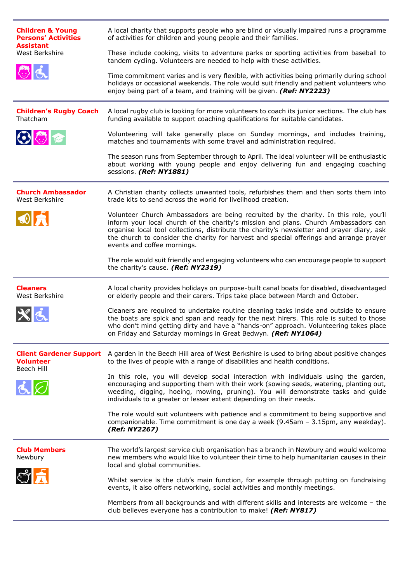| <b>Children &amp; Young</b><br><b>Persons' Activities</b><br><b>Assistant</b> | A local charity that supports people who are blind or visually impaired runs a programme<br>of activities for children and young people and their families.                                                                                                                                                                                                                                          |
|-------------------------------------------------------------------------------|------------------------------------------------------------------------------------------------------------------------------------------------------------------------------------------------------------------------------------------------------------------------------------------------------------------------------------------------------------------------------------------------------|
| West Berkshire                                                                | These include cooking, visits to adventure parks or sporting activities from baseball to<br>tandem cycling. Volunteers are needed to help with these activities.                                                                                                                                                                                                                                     |
| $\circ a$                                                                     | Time commitment varies and is very flexible, with activities being primarily during school<br>holidays or occasional weekends. The role would suit friendly and patient volunteers who<br>enjoy being part of a team, and training will be given. (Ref: NY2223)                                                                                                                                      |
| <b>Children's Rugby Coach</b><br>Thatcham                                     | A local rugby club is looking for more volunteers to coach its junior sections. The club has<br>funding available to support coaching qualifications for suitable candidates.                                                                                                                                                                                                                        |
| $\odot$ $\odot$ $\approx$                                                     | Volunteering will take generally place on Sunday mornings, and includes training,<br>matches and tournaments with some travel and administration required.                                                                                                                                                                                                                                           |
|                                                                               | The season runs from September through to April. The ideal volunteer will be enthusiastic<br>about working with young people and enjoy delivering fun and engaging coaching<br>sessions. (Ref: NY1881)                                                                                                                                                                                               |
| <b>Church Ambassador</b><br>West Berkshire                                    | A Christian charity collects unwanted tools, refurbishes them and then sorts them into<br>trade kits to send across the world for livelihood creation.                                                                                                                                                                                                                                               |
| OR                                                                            | Volunteer Church Ambassadors are being recruited by the charity. In this role, you'll<br>inform your local church of the charity's mission and plans. Church Ambassadors can<br>organise local tool collections, distribute the charity's newsletter and prayer diary, ask<br>the church to consider the charity for harvest and special offerings and arrange prayer<br>events and coffee mornings. |
|                                                                               | The role would suit friendly and engaging volunteers who can encourage people to support<br>the charity's cause. (Ref: NY2319)                                                                                                                                                                                                                                                                       |
| <b>Cleaners</b><br>West Berkshire                                             | A local charity provides holidays on purpose-built canal boats for disabled, disadvantaged<br>or elderly people and their carers. Trips take place between March and October.                                                                                                                                                                                                                        |
|                                                                               | Cleaners are required to undertake routine cleaning tasks inside and outside to ensure<br>the boats are spick and span and ready for the next hirers. This role is suited to those<br>who don't mind getting dirty and have a "hands-on" approach. Volunteering takes place<br>on Friday and Saturday mornings in Great Bedwyn. (Ref: NY1064)                                                        |
| <b>Client Gardener Support</b><br><b>Volunteer</b><br>Beech Hill              | A garden in the Beech Hill area of West Berkshire is used to bring about positive changes<br>to the lives of people with a range of disabilities and health conditions.                                                                                                                                                                                                                              |
| $\dot{\mathbf{c}} \boxtimes$                                                  | In this role, you will develop social interaction with individuals using the garden,<br>encouraging and supporting them with their work (sowing seeds, watering, planting out,<br>weeding, digging, hoeing, mowing, pruning). You will demonstrate tasks and guide<br>individuals to a greater or lesser extent depending on their needs.                                                            |
|                                                                               | The role would suit volunteers with patience and a commitment to being supportive and<br>companionable. Time commitment is one day a week (9.45am - 3.15pm, any weekday).<br>(Ref: NY2267)                                                                                                                                                                                                           |
| <b>Club Members</b><br>Newbury                                                | The world's largest service club organisation has a branch in Newbury and would welcome<br>new members who would like to volunteer their time to help humanitarian causes in their<br>local and global communities.                                                                                                                                                                                  |
|                                                                               | Whilst service is the club's main function, for example through putting on fundraising<br>events, it also offers networking, social activities and monthly meetings.                                                                                                                                                                                                                                 |
|                                                                               | Members from all backgrounds and with different skills and interests are welcome - the<br>club believes everyone has a contribution to make! (Ref: NY817)                                                                                                                                                                                                                                            |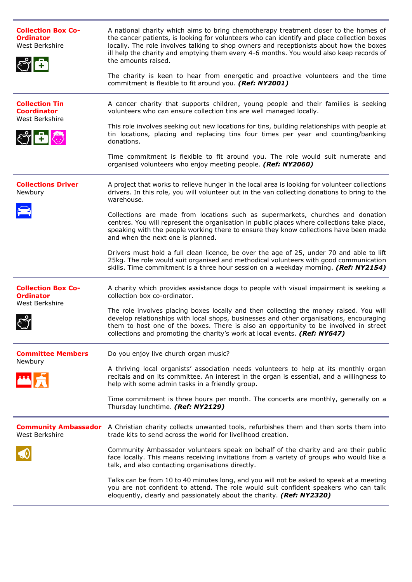| <b>Collection Box Co-</b><br><b>Ordinator</b><br>West Berkshire | A national charity which aims to bring chemotherapy treatment closer to the homes of<br>the cancer patients, is looking for volunteers who can identify and place collection boxes<br>locally. The role involves talking to shop owners and receptionists about how the boxes<br>ill help the charity and emptying them every 4-6 months. You would also keep records of<br>the amounts raised.<br>The charity is keen to hear from energetic and proactive volunteers and the time<br>commitment is flexible to fit around you. (Ref: NY2001) |
|-----------------------------------------------------------------|------------------------------------------------------------------------------------------------------------------------------------------------------------------------------------------------------------------------------------------------------------------------------------------------------------------------------------------------------------------------------------------------------------------------------------------------------------------------------------------------------------------------------------------------|
| <b>Collection Tin</b><br><b>Coordinator</b><br>West Berkshire   | A cancer charity that supports children, young people and their families is seeking<br>volunteers who can ensure collection tins are well managed locally.                                                                                                                                                                                                                                                                                                                                                                                     |
| $\mathbb{C}$ and                                                | This role involves seeking out new locations for tins, building relationships with people at<br>tin locations, placing and replacing tins four times per year and counting/banking<br>donations.                                                                                                                                                                                                                                                                                                                                               |
|                                                                 | Time commitment is flexible to fit around you. The role would suit numerate and<br>organised volunteers who enjoy meeting people. (Ref: NY2060)                                                                                                                                                                                                                                                                                                                                                                                                |
| <b>Collections Driver</b><br>Newbury                            | A project that works to relieve hunger in the local area is looking for volunteer collections<br>drivers. In this role, you will volunteer out in the van collecting donations to bring to the<br>warehouse.                                                                                                                                                                                                                                                                                                                                   |
|                                                                 | Collections are made from locations such as supermarkets, churches and donation<br>centres. You will represent the organisation in public places where collections take place,<br>speaking with the people working there to ensure they know collections have been made<br>and when the next one is planned.                                                                                                                                                                                                                                   |
|                                                                 | Drivers must hold a full clean licence, be over the age of 25, under 70 and able to lift<br>25kg. The role would suit organised and methodical volunteers with good communication<br>skills. Time commitment is a three hour session on a weekday morning. (Ref: NY2154)                                                                                                                                                                                                                                                                       |
| <b>Collection Box Co-</b><br><b>Ordinator</b><br>West Berkshire | A charity which provides assistance dogs to people with visual impairment is seeking a<br>collection box co-ordinator.                                                                                                                                                                                                                                                                                                                                                                                                                         |
|                                                                 | The role involves placing boxes locally and then collecting the money raised. You will<br>develop relationships with local shops, businesses and other organisations, encouraging<br>them to host one of the boxes. There is also an opportunity to be involved in street<br>collections and promoting the charity's work at local events. (Ref: NY647)                                                                                                                                                                                        |
| <b>Committee Members</b><br>Newbury                             | Do you enjoy live church organ music?                                                                                                                                                                                                                                                                                                                                                                                                                                                                                                          |
|                                                                 | A thriving local organists' association needs volunteers to help at its monthly organ<br>recitals and on its committee. An interest in the organ is essential, and a willingness to<br>help with some admin tasks in a friendly group.                                                                                                                                                                                                                                                                                                         |
|                                                                 | Time commitment is three hours per month. The concerts are monthly, generally on a<br>Thursday lunchtime. (Ref: NY2129)                                                                                                                                                                                                                                                                                                                                                                                                                        |
| West Berkshire                                                  | <b>Community Ambassador</b> A Christian charity collects unwanted tools, refurbishes them and then sorts them into<br>trade kits to send across the world for livelihood creation.                                                                                                                                                                                                                                                                                                                                                             |
|                                                                 | Community Ambassador volunteers speak on behalf of the charity and are their public<br>face locally. This means receiving invitations from a variety of groups who would like a<br>talk, and also contacting organisations directly.                                                                                                                                                                                                                                                                                                           |
|                                                                 | Talks can be from 10 to 40 minutes long, and you will not be asked to speak at a meeting<br>you are not confident to attend. The role would suit confident speakers who can talk<br>eloquently, clearly and passionately about the charity. (Ref: NY2320)                                                                                                                                                                                                                                                                                      |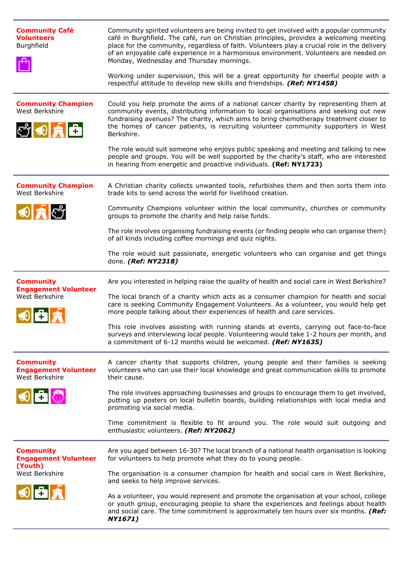| <b>Community Café</b><br><b>Volunteers</b><br>Burghfield           | Community spirited volunteers are being invited to get involved with a popular community<br>café in Burghfield. The café, run on Christian principles, provides a welcoming meeting<br>place for the community, regardless of faith. Volunteers play a crucial role in the delivery<br>of an enjoyable café experience in a harmonious environment. Volunteers are needed on<br>Monday, Wednesday and Thursday mornings.<br>Working under supervision, this will be a great opportunity for cheerful people with a<br>respectful attitude to develop new skills and friendships. (Ref: NY1458)                                         |
|--------------------------------------------------------------------|----------------------------------------------------------------------------------------------------------------------------------------------------------------------------------------------------------------------------------------------------------------------------------------------------------------------------------------------------------------------------------------------------------------------------------------------------------------------------------------------------------------------------------------------------------------------------------------------------------------------------------------|
| <b>Community Champion</b><br>West Berkshire<br>SO <mark>f</mark> f | Could you help promote the aims of a national cancer charity by representing them at<br>community events, distributing information to local organisations and seeking out new<br>fundraising avenues? The charity, which aims to bring chemotherapy treatment closer to<br>the homes of cancer patients, is recruiting volunteer community supporters in West<br>Berkshire.<br>The role would suit someone who enjoys public speaking and meeting and talking to new<br>people and groups. You will be well supported by the charity's staff, who are interested<br>in hearing from energetic and proactive individuals. (Ref: NY1723) |
| <b>Community Champion</b><br>West Berkshire                        | A Christian charity collects unwanted tools, refurbishes them and then sorts them into<br>trade kits to send across the world for livelihood creation.                                                                                                                                                                                                                                                                                                                                                                                                                                                                                 |
| $\odot$ $\bigcap$                                                  | Community Champions volunteer within the local community, churches or community<br>groups to promote the charity and help raise funds.                                                                                                                                                                                                                                                                                                                                                                                                                                                                                                 |
|                                                                    | The role involves organising fundraising events (or finding people who can organise them)<br>of all kinds including coffee mornings and quiz nights.                                                                                                                                                                                                                                                                                                                                                                                                                                                                                   |
|                                                                    | The role would suit passionate, energetic volunteers who can organise and get things<br>done. (Ref: NY2318)                                                                                                                                                                                                                                                                                                                                                                                                                                                                                                                            |
| <b>Community</b><br><b>Engagement Volunteer</b>                    | Are you interested in helping raise the quality of health and social care in West Berkshire?                                                                                                                                                                                                                                                                                                                                                                                                                                                                                                                                           |
| West Berkshire                                                     | The local branch of a charity which acts as a consumer champion for health and social<br>care is seeking Community Engagement Volunteers. As a volunteer, you would help get<br>more people talking about their experiences of health and care services.                                                                                                                                                                                                                                                                                                                                                                               |
|                                                                    | This role involves assisting with running stands at events, carrying out face-to-face<br>surveys and interviewing local people. Volunteering would take 1-2 hours per month, and<br>a commitment of 6-12 months would be welcomed. (Ref: NY1635)                                                                                                                                                                                                                                                                                                                                                                                       |
| <b>Community</b><br><b>Engagement Volunteer</b><br>West Berkshire  | A cancer charity that supports children, young people and their families is seeking<br>volunteers who can use their local knowledge and great communication skills to promote<br>their cause.                                                                                                                                                                                                                                                                                                                                                                                                                                          |
| $\circ$ $\bullet$                                                  | The role involves approaching businesses and groups to encourage them to get involved,<br>putting up posters on local bulletin boards, building relationships with local media and<br>promoting via social media.                                                                                                                                                                                                                                                                                                                                                                                                                      |
|                                                                    | Time commitment is flexible to fit around you. The role would suit outgoing and<br>enthusiastic volunteers. (Ref: NY2062)                                                                                                                                                                                                                                                                                                                                                                                                                                                                                                              |
| <b>Community</b><br><b>Engagement Volunteer</b>                    | Are you aged between 16-30? The local branch of a national health organisation is looking<br>for volunteers to help promote what they do to young people.                                                                                                                                                                                                                                                                                                                                                                                                                                                                              |
| (Youth)<br>West Berkshire                                          | The organisation is a consumer champion for health and social care in West Berkshire,<br>and seeks to help improve services.                                                                                                                                                                                                                                                                                                                                                                                                                                                                                                           |
| $\odot$ 6                                                          | As a volunteer, you would represent and promote the organisation at your school, college<br>or youth group, encouraging people to share the experiences and feelings about health<br>and social care. The time commitment is approximately ten hours over six months. (Ref:<br>NY1671)                                                                                                                                                                                                                                                                                                                                                 |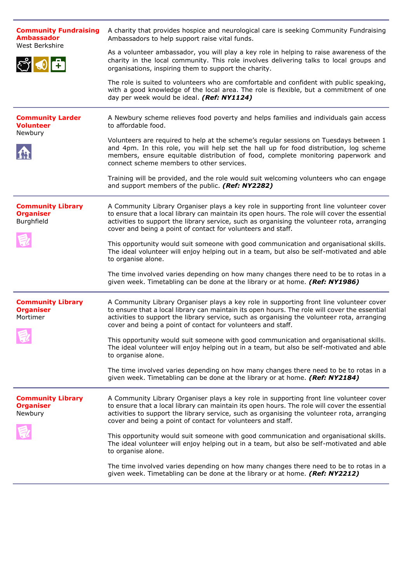| <b>Community Fundraising</b><br><b>Ambassador</b><br>West Berkshire | A charity that provides hospice and neurological care is seeking Community Fundraising<br>Ambassadors to help support raise vital funds.                                                                                                                                                                                                                |
|---------------------------------------------------------------------|---------------------------------------------------------------------------------------------------------------------------------------------------------------------------------------------------------------------------------------------------------------------------------------------------------------------------------------------------------|
| <u>් 00</u>                                                         | As a volunteer ambassador, you will play a key role in helping to raise awareness of the<br>charity in the local community. This role involves delivering talks to local groups and<br>organisations, inspiring them to support the charity.                                                                                                            |
|                                                                     | The role is suited to volunteers who are comfortable and confident with public speaking,<br>with a good knowledge of the local area. The role is flexible, but a commitment of one<br>day per week would be ideal. (Ref: NY1124)                                                                                                                        |
| <b>Community Larder</b><br><b>Volunteer</b>                         | A Newbury scheme relieves food poverty and helps families and individuals gain access<br>to affordable food.                                                                                                                                                                                                                                            |
| Newbury                                                             | Volunteers are required to help at the scheme's regular sessions on Tuesdays between 1<br>and 4pm. In this role, you will help set the hall up for food distribution, log scheme<br>members, ensure equitable distribution of food, complete monitoring paperwork and<br>connect scheme members to other services.                                      |
|                                                                     | Training will be provided, and the role would suit welcoming volunteers who can engage<br>and support members of the public. (Ref: NY2282)                                                                                                                                                                                                              |
| <b>Community Library</b><br><b>Organiser</b><br>Burghfield          | A Community Library Organiser plays a key role in supporting front line volunteer cover<br>to ensure that a local library can maintain its open hours. The role will cover the essential<br>activities to support the library service, such as organising the volunteer rota, arranging<br>cover and being a point of contact for volunteers and staff. |
|                                                                     | This opportunity would suit someone with good communication and organisational skills.<br>The ideal volunteer will enjoy helping out in a team, but also be self-motivated and able<br>to organise alone.                                                                                                                                               |
|                                                                     | The time involved varies depending on how many changes there need to be to rotas in a<br>given week. Timetabling can be done at the library or at home. (Ref: NY1986)                                                                                                                                                                                   |
| <b>Community Library</b><br><b>Organiser</b><br>Mortimer            | A Community Library Organiser plays a key role in supporting front line volunteer cover<br>to ensure that a local library can maintain its open hours. The role will cover the essential<br>activities to support the library service, such as organising the volunteer rota, arranging<br>cover and being a point of contact for volunteers and staff. |
|                                                                     | This opportunity would suit someone with good communication and organisational skills.<br>The ideal volunteer will enjoy helping out in a team, but also be self-motivated and able<br>to organise alone.                                                                                                                                               |
|                                                                     | The time involved varies depending on how many changes there need to be to rotas in a<br>given week. Timetabling can be done at the library or at home. (Ref: NY2184)                                                                                                                                                                                   |
| <b>Community Library</b><br><b>Organiser</b><br>Newbury             | A Community Library Organiser plays a key role in supporting front line volunteer cover<br>to ensure that a local library can maintain its open hours. The role will cover the essential<br>activities to support the library service, such as organising the volunteer rota, arranging<br>cover and being a point of contact for volunteers and staff. |
|                                                                     | This opportunity would suit someone with good communication and organisational skills.<br>The ideal volunteer will enjoy helping out in a team, but also be self-motivated and able<br>to organise alone.                                                                                                                                               |
|                                                                     | The time involved varies depending on how many changes there need to be to rotas in a<br>given week. Timetabling can be done at the library or at home. (Ref: NY2212)                                                                                                                                                                                   |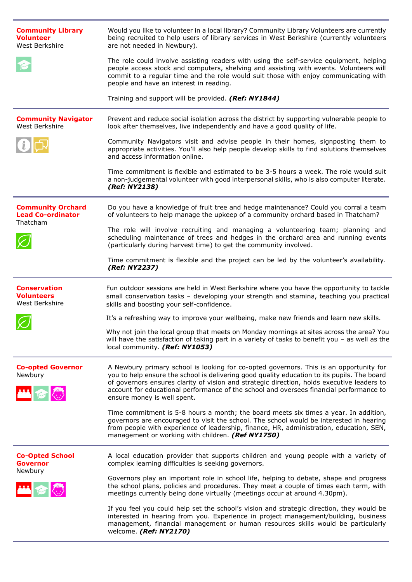| <b>Community Library</b><br><b>Volunteer</b><br>West Berkshire   | Would you like to volunteer in a local library? Community Library Volunteers are currently<br>being recruited to help users of library services in West Berkshire (currently volunteers<br>are not needed in Newbury).                                                                                                                                                                                        |
|------------------------------------------------------------------|---------------------------------------------------------------------------------------------------------------------------------------------------------------------------------------------------------------------------------------------------------------------------------------------------------------------------------------------------------------------------------------------------------------|
|                                                                  | The role could involve assisting readers with using the self-service equipment, helping<br>people access stock and computers, shelving and assisting with events. Volunteers will<br>commit to a regular time and the role would suit those with enjoy communicating with<br>people and have an interest in reading.                                                                                          |
|                                                                  | Training and support will be provided. (Ref: NY1844)                                                                                                                                                                                                                                                                                                                                                          |
| <b>Community Navigator</b><br>West Berkshire                     | Prevent and reduce social isolation across the district by supporting vulnerable people to<br>look after themselves, live independently and have a good quality of life.                                                                                                                                                                                                                                      |
|                                                                  | Community Navigators visit and advise people in their homes, signposting them to<br>appropriate activities. You'll also help people develop skills to find solutions themselves<br>and access information online.                                                                                                                                                                                             |
|                                                                  | Time commitment is flexible and estimated to be 3-5 hours a week. The role would suit<br>a non-judgemental volunteer with good interpersonal skills, who is also computer literate.<br>(Ref: NY2138)                                                                                                                                                                                                          |
| <b>Community Orchard</b><br><b>Lead Co-ordinator</b><br>Thatcham | Do you have a knowledge of fruit tree and hedge maintenance? Could you corral a team<br>of volunteers to help manage the upkeep of a community orchard based in Thatcham?                                                                                                                                                                                                                                     |
|                                                                  | The role will involve recruiting and managing a volunteering team; planning and<br>scheduling maintenance of trees and hedges in the orchard area and running events<br>(particularly during harvest time) to get the community involved.                                                                                                                                                                     |
|                                                                  | Time commitment is flexible and the project can be led by the volunteer's availability.<br>(Ref: NY2237)                                                                                                                                                                                                                                                                                                      |
|                                                                  |                                                                                                                                                                                                                                                                                                                                                                                                               |
| <b>Conservation</b><br><b>Volunteers</b><br>West Berkshire       | Fun outdoor sessions are held in West Berkshire where you have the opportunity to tackle<br>small conservation tasks - developing your strength and stamina, teaching you practical<br>skills and boosting your self-confidence.                                                                                                                                                                              |
|                                                                  | It's a refreshing way to improve your wellbeing, make new friends and learn new skills.                                                                                                                                                                                                                                                                                                                       |
|                                                                  | Why not join the local group that meets on Monday mornings at sites across the area? You<br>will have the satisfaction of taking part in a variety of tasks to benefit you $-$ as well as the<br>local community. (Ref: NY1053)                                                                                                                                                                               |
| <b>Co-opted Governor</b><br>Newbury<br>丛名图                       | A Newbury primary school is looking for co-opted governors. This is an opportunity for<br>you to help ensure the school is delivering good quality education to its pupils. The board<br>of governors ensures clarity of vision and strategic direction, holds executive leaders to<br>account for educational performance of the school and oversees financial performance to<br>ensure money is well spent. |
|                                                                  | Time commitment is 5-8 hours a month; the board meets six times a year. In addition,<br>governors are encouraged to visit the school. The school would be interested in hearing<br>from people with experience of leadership, finance, HR, administration, education, SEN,<br>management or working with children. (Ref NY1750)                                                                               |
| <b>Co-Opted School</b><br><b>Governor</b><br>Newbury             | A local education provider that supports children and young people with a variety of<br>complex learning difficulties is seeking governors.                                                                                                                                                                                                                                                                   |
| <b>MARK</b>                                                      | Governors play an important role in school life, helping to debate, shape and progress<br>the school plans, policies and procedures. They meet a couple of times each term, with<br>meetings currently being done virtually (meetings occur at around 4.30pm).                                                                                                                                                |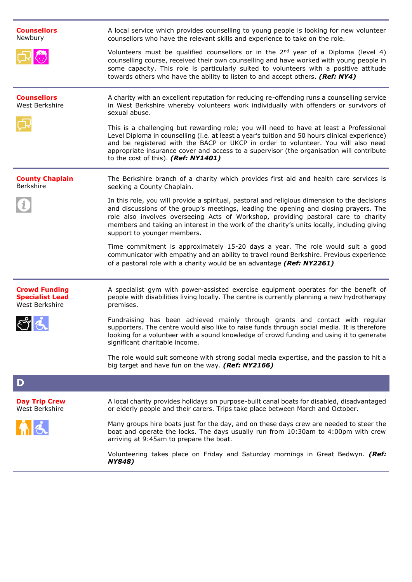| <b>Counsellors</b><br>Newbury                                    | A local service which provides counselling to young people is looking for new volunteer<br>counsellors who have the relevant skills and experience to take on the role.                                                                                                                                                                                                                                           |
|------------------------------------------------------------------|-------------------------------------------------------------------------------------------------------------------------------------------------------------------------------------------------------------------------------------------------------------------------------------------------------------------------------------------------------------------------------------------------------------------|
|                                                                  | Volunteers must be qualified counsellors or in the $2nd$ year of a Diploma (level 4)<br>counselling course, received their own counselling and have worked with young people in<br>some capacity. This role is particularly suited to volunteers with a positive attitude<br>towards others who have the ability to listen to and accept others. (Ref: NY4)                                                       |
| <b>Counsellors</b><br>West Berkshire                             | A charity with an excellent reputation for reducing re-offending runs a counselling service<br>in West Berkshire whereby volunteers work individually with offenders or survivors of<br>sexual abuse.                                                                                                                                                                                                             |
|                                                                  | This is a challenging but rewarding role; you will need to have at least a Professional<br>Level Diploma in counselling (i.e. at least a year's tuition and 50 hours clinical experience)<br>and be registered with the BACP or UKCP in order to volunteer. You will also need<br>appropriate insurance cover and access to a supervisor (the organisation will contribute<br>to the cost of this). (Ref: NY1401) |
| <b>County Chaplain</b><br>Berkshire                              | The Berkshire branch of a charity which provides first aid and health care services is<br>seeking a County Chaplain.                                                                                                                                                                                                                                                                                              |
|                                                                  | In this role, you will provide a spiritual, pastoral and religious dimension to the decisions<br>and discussions of the group's meetings, leading the opening and closing prayers. The<br>role also involves overseeing Acts of Workshop, providing pastoral care to charity<br>members and taking an interest in the work of the charity's units locally, including giving<br>support to younger members.        |
|                                                                  | Time commitment is approximately 15-20 days a year. The role would suit a good<br>communicator with empathy and an ability to travel round Berkshire. Previous experience<br>of a pastoral role with a charity would be an advantage (Ref: NY2261)                                                                                                                                                                |
| <b>Crowd Funding</b><br><b>Specialist Lead</b><br>West Berkshire | A specialist gym with power-assisted exercise equipment operates for the benefit of<br>people with disabilities living locally. The centre is currently planning a new hydrotherapy<br>premises.                                                                                                                                                                                                                  |
|                                                                  | Fundraising has been achieved mainly through grants and contact with regular<br>supporters. The centre would also like to raise funds through social media. It is therefore<br>looking for a volunteer with a sound knowledge of crowd funding and using it to generate<br>significant charitable income.                                                                                                         |
|                                                                  | The role would suit someone with strong social media expertise, and the passion to hit a<br>big target and have fun on the way. (Ref: NY2166)                                                                                                                                                                                                                                                                     |
| $\mathbf D$                                                      |                                                                                                                                                                                                                                                                                                                                                                                                                   |
| <b>Day Trip Crew</b><br>West Berkshire                           | A local charity provides holidays on purpose-built canal boats for disabled, disadvantaged<br>or elderly people and their carers. Trips take place between March and October.                                                                                                                                                                                                                                     |
|                                                                  | Many groups hire boats just for the day, and on these days crew are needed to steer the<br>boat and operate the locks. The days usually run from 10:30am to 4:00pm with crew<br>arriving at 9:45am to prepare the boat.                                                                                                                                                                                           |
|                                                                  | Volunteering takes place on Friday and Saturday mornings in Great Bedwyn. (Ref:<br><b>NY848)</b>                                                                                                                                                                                                                                                                                                                  |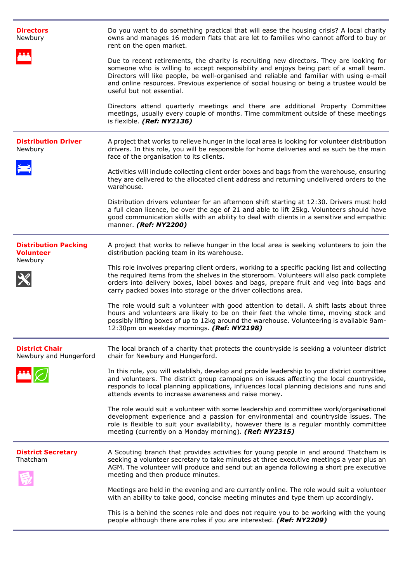| <b>Directors</b><br>Newbury                                | Do you want to do something practical that will ease the housing crisis? A local charity<br>owns and manages 16 modern flats that are let to families who cannot afford to buy or<br>rent on the open market.                                                                                                                                                                                           |
|------------------------------------------------------------|---------------------------------------------------------------------------------------------------------------------------------------------------------------------------------------------------------------------------------------------------------------------------------------------------------------------------------------------------------------------------------------------------------|
|                                                            | Due to recent retirements, the charity is recruiting new directors. They are looking for<br>someone who is willing to accept responsibility and enjoys being part of a small team.<br>Directors will like people, be well-organised and reliable and familiar with using e-mail<br>and online resources. Previous experience of social housing or being a trustee would be<br>useful but not essential. |
|                                                            | Directors attend quarterly meetings and there are additional Property Committee<br>meetings, usually every couple of months. Time commitment outside of these meetings<br>is flexible. (Ref: NY2136)                                                                                                                                                                                                    |
| <b>Distribution Driver</b><br>Newbury                      | A project that works to relieve hunger in the local area is looking for volunteer distribution<br>drivers. In this role, you will be responsible for home deliveries and as such be the main<br>face of the organisation to its clients.                                                                                                                                                                |
|                                                            | Activities will include collecting client order boxes and bags from the warehouse, ensuring<br>they are delivered to the allocated client address and returning undelivered orders to the<br>warehouse.                                                                                                                                                                                                 |
|                                                            | Distribution drivers volunteer for an afternoon shift starting at 12:30. Drivers must hold<br>a full clean licence, be over the age of 21 and able to lift 25kg. Volunteers should have<br>good communication skills with an ability to deal with clients in a sensitive and empathic<br>manner. (Ref: NY2200)                                                                                          |
| <b>Distribution Packing</b><br><b>Volunteer</b><br>Newbury | A project that works to relieve hunger in the local area is seeking volunteers to join the<br>distribution packing team in its warehouse.                                                                                                                                                                                                                                                               |
|                                                            | This role involves preparing client orders, working to a specific packing list and collecting<br>the required items from the shelves in the storeroom. Volunteers will also pack complete<br>orders into delivery boxes, label boxes and bags, prepare fruit and veg into bags and<br>carry packed boxes into storage or the driver collections area.                                                   |
|                                                            | The role would suit a volunteer with good attention to detail. A shift lasts about three<br>hours and volunteers are likely to be on their feet the whole time, moving stock and<br>possibly lifting boxes of up to 12kg around the warehouse. Volunteering is available 9am-<br>12:30pm on weekday mornings. (Ref: NY2198)                                                                             |
| <b>District Chair</b><br>Newbury and Hungerford            | The local branch of a charity that protects the countryside is seeking a volunteer district<br>chair for Newbury and Hungerford.                                                                                                                                                                                                                                                                        |
|                                                            | In this role, you will establish, develop and provide leadership to your district committee<br>and volunteers. The district group campaigns on issues affecting the local countryside,<br>responds to local planning applications, influences local planning decisions and runs and<br>attends events to increase awareness and raise money.                                                            |
|                                                            | The role would suit a volunteer with some leadership and committee work/organisational<br>development experience and a passion for environmental and countryside issues. The<br>role is flexible to suit your availability, however there is a regular monthly committee<br>meeting (currently on a Monday morning). (Ref: NY2315)                                                                      |
| <b>District Secretary</b><br>Thatcham                      | A Scouting branch that provides activities for young people in and around Thatcham is<br>seeking a volunteer secretary to take minutes at three executive meetings a year plus an<br>AGM. The volunteer will produce and send out an agenda following a short pre executive<br>meeting and then produce minutes.                                                                                        |
|                                                            | Meetings are held in the evening and are currently online. The role would suit a volunteer<br>with an ability to take good, concise meeting minutes and type them up accordingly.                                                                                                                                                                                                                       |
|                                                            | This is a behind the scenes role and does not require you to be working with the young<br>people although there are roles if you are interested. (Ref: NY2209)                                                                                                                                                                                                                                          |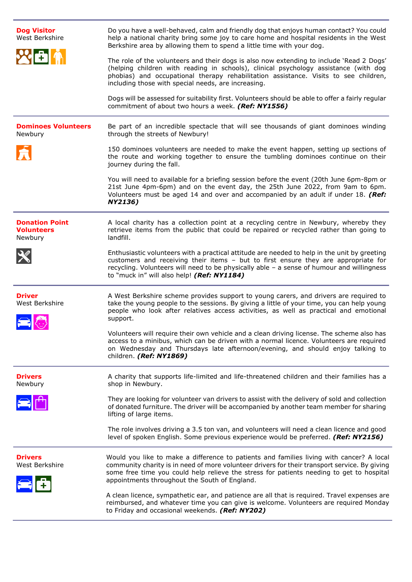| <b>Dog Visitor</b><br>West Berkshire                  | Do you have a well-behaved, calm and friendly dog that enjoys human contact? You could<br>help a national charity bring some joy to care home and hospital residents in the West<br>Berkshire area by allowing them to spend a little time with your dog.                                                                              |
|-------------------------------------------------------|----------------------------------------------------------------------------------------------------------------------------------------------------------------------------------------------------------------------------------------------------------------------------------------------------------------------------------------|
|                                                       | The role of the volunteers and their dogs is also now extending to include 'Read 2 Dogs'<br>(helping children with reading in schools), clinical psychology assistance (with dog<br>phobias) and occupational therapy rehabilitation assistance. Visits to see children,<br>including those with special needs, are increasing.        |
|                                                       | Dogs will be assessed for suitability first. Volunteers should be able to offer a fairly regular<br>commitment of about two hours a week. (Ref: NY1556)                                                                                                                                                                                |
| <b>Dominoes Volunteers</b><br>Newbury                 | Be part of an incredible spectacle that will see thousands of giant dominoes winding<br>through the streets of Newbury!                                                                                                                                                                                                                |
|                                                       | 150 dominoes volunteers are needed to make the event happen, setting up sections of<br>the route and working together to ensure the tumbling dominoes continue on their<br>journey during the fall.                                                                                                                                    |
|                                                       | You will need to available for a briefing session before the event (20th June 6pm-8pm or<br>21st June 4pm-6pm) and on the event day, the 25th June 2022, from 9am to 6pm.<br>Volunteers must be aged 14 and over and accompanied by an adult if under 18. (Ref:<br>NY2136)                                                             |
| <b>Donation Point</b><br><b>Volunteers</b><br>Newbury | A local charity has a collection point at a recycling centre in Newbury, whereby they<br>retrieve items from the public that could be repaired or recycled rather than going to<br>landfill.                                                                                                                                           |
|                                                       | Enthusiastic volunteers with a practical attitude are needed to help in the unit by greeting<br>customers and receiving their items - but to first ensure they are appropriate for<br>recycling. Volunteers will need to be physically able - a sense of humour and willingness<br>to "muck in" will also help! (Ref: NY1184)          |
| <b>Driver</b><br>West Berkshire                       | A West Berkshire scheme provides support to young carers, and drivers are required to<br>take the young people to the sessions. By giving a little of your time, you can help young<br>people who look after relatives access activities, as well as practical and emotional<br>support.                                               |
|                                                       | Volunteers will require their own vehicle and a clean driving license. The scheme also has<br>access to a minibus, which can be driven with a normal licence. Volunteers are required<br>on Wednesday and Thursdays late afternoon/evening, and should enjoy talking to<br>children. (Ref: NY1869)                                     |
| <b>Drivers</b><br>Newbury                             | A charity that supports life-limited and life-threatened children and their families has a<br>shop in Newbury.                                                                                                                                                                                                                         |
|                                                       | They are looking for volunteer van drivers to assist with the delivery of sold and collection<br>of donated furniture. The driver will be accompanied by another team member for sharing<br>lifting of large items.                                                                                                                    |
|                                                       | The role involves driving a 3.5 ton van, and volunteers will need a clean licence and good<br>level of spoken English. Some previous experience would be preferred. (Ref: NY2156)                                                                                                                                                      |
| <b>Drivers</b><br>West Berkshire                      | Would you like to make a difference to patients and families living with cancer? A local<br>community charity is in need of more volunteer drivers for their transport service. By giving<br>some free time you could help relieve the stress for patients needing to get to hospital<br>appointments throughout the South of England. |
|                                                       | A clean licence, sympathetic ear, and patience are all that is required. Travel expenses are<br>reimbursed, and whatever time you can give is welcome. Volunteers are required Monday<br>to Friday and occasional weekends. (Ref: NY202)                                                                                               |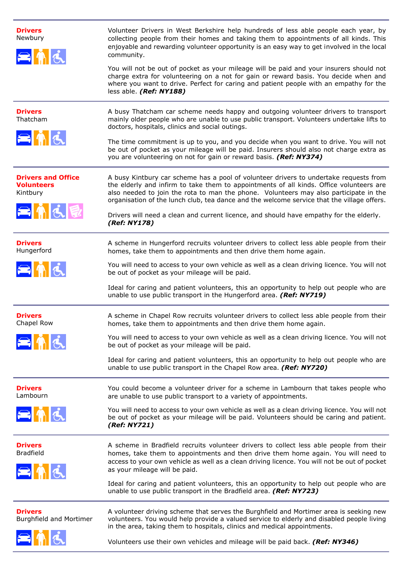| <b>Drivers</b><br>Newbury<br>$\approx$ 16                          | Volunteer Drivers in West Berkshire help hundreds of less able people each year, by<br>collecting people from their homes and taking them to appointments of all kinds. This<br>enjoyable and rewarding volunteer opportunity is an easy way to get involved in the local<br>community.<br>You will not be out of pocket as your mileage will be paid and your insurers should not<br>charge extra for volunteering on a not for gain or reward basis. You decide when and<br>where you want to drive. Perfect for caring and patient people with an empathy for the<br>less able. (Ref: NY188) |
|--------------------------------------------------------------------|-------------------------------------------------------------------------------------------------------------------------------------------------------------------------------------------------------------------------------------------------------------------------------------------------------------------------------------------------------------------------------------------------------------------------------------------------------------------------------------------------------------------------------------------------------------------------------------------------|
| <b>Drivers</b><br>Thatcham<br>$\approx$ 16                         | A busy Thatcham car scheme needs happy and outgoing volunteer drivers to transport<br>mainly older people who are unable to use public transport. Volunteers undertake lifts to<br>doctors, hospitals, clinics and social outings.<br>The time commitment is up to you, and you decide when you want to drive. You will not<br>be out of pocket as your mileage will be paid. Insurers should also not charge extra as<br>you are volunteering on not for gain or reward basis. (Ref: NY374)                                                                                                    |
| <b>Drivers and Office</b><br><b>Volunteers</b><br>Kintbury<br>三角大昆 | A busy Kintbury car scheme has a pool of volunteer drivers to undertake requests from<br>the elderly and infirm to take them to appointments of all kinds. Office volunteers are<br>also needed to join the rota to man the phone. Volunteers may also participate in the<br>organisation of the lunch club, tea dance and the welcome service that the village offers.<br>Drivers will need a clean and current licence, and should have empathy for the elderly.<br>(Ref: NY178)                                                                                                              |
| <b>Drivers</b><br>Hungerford<br>$= \frac{1}{2}$                    | A scheme in Hungerford recruits volunteer drivers to collect less able people from their<br>homes, take them to appointments and then drive them home again.<br>You will need to access to your own vehicle as well as a clean driving licence. You will not<br>be out of pocket as your mileage will be paid.<br>Ideal for caring and patient volunteers, this an opportunity to help out people who are<br>unable to use public transport in the Hungerford area. (Ref: NY719)                                                                                                                |
| <b>Drivers</b><br>Chapel Row                                       | A scheme in Chapel Row recruits volunteer drivers to collect less able people from their<br>homes, take them to appointments and then drive them home again.<br>You will need to access to your own vehicle as well as a clean driving licence. You will not<br>be out of pocket as your mileage will be paid.<br>Ideal for caring and patient volunteers, this an opportunity to help out people who are<br>unable to use public transport in the Chapel Row area. (Ref: NY720)                                                                                                                |
| <b>Drivers</b><br>Lambourn<br>$= \hbox{${\rm \AA}$}$               | You could become a volunteer driver for a scheme in Lambourn that takes people who<br>are unable to use public transport to a variety of appointments.<br>You will need to access to your own vehicle as well as a clean driving licence. You will not<br>be out of pocket as your mileage will be paid. Volunteers should be caring and patient.<br>(Ref: NY721)                                                                                                                                                                                                                               |
| <b>Drivers</b><br><b>Bradfield</b><br>$= \frac{1}{2}$              | A scheme in Bradfield recruits volunteer drivers to collect less able people from their<br>homes, take them to appointments and then drive them home again. You will need to<br>access to your own vehicle as well as a clean driving licence. You will not be out of pocket<br>as your mileage will be paid.<br>Ideal for caring and patient volunteers, this an opportunity to help out people who are<br>unable to use public transport in the Bradfield area. (Ref: NY723)                                                                                                                  |
| <b>Drivers</b><br>Burghfield and Mortimer<br>$\blacksquare$ nd     | A volunteer driving scheme that serves the Burghfield and Mortimer area is seeking new<br>volunteers. You would help provide a valued service to elderly and disabled people living<br>in the area, taking them to hospitals, clinics and medical appointments.<br>Volunteers use their own vehicles and mileage will be paid back. (Ref: NY346)                                                                                                                                                                                                                                                |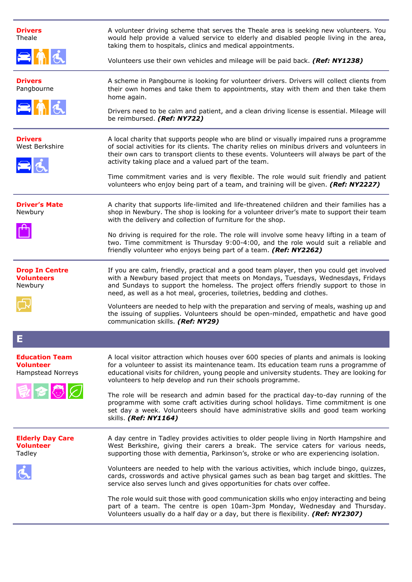| <b>Drivers</b><br>Theale<br>SAR                                       | A volunteer driving scheme that serves the Theale area is seeking new volunteers. You<br>would help provide a valued service to elderly and disabled people living in the area,<br>taking them to hospitals, clinics and medical appointments.<br>Volunteers use their own vehicles and mileage will be paid back. (Ref: NY1238)                                                                                                                                                                                                                                                                                                                                                                                                                                                                           |
|-----------------------------------------------------------------------|------------------------------------------------------------------------------------------------------------------------------------------------------------------------------------------------------------------------------------------------------------------------------------------------------------------------------------------------------------------------------------------------------------------------------------------------------------------------------------------------------------------------------------------------------------------------------------------------------------------------------------------------------------------------------------------------------------------------------------------------------------------------------------------------------------|
| <b>Drivers</b><br>Pangbourne<br>$= 16$                                | A scheme in Pangbourne is looking for volunteer drivers. Drivers will collect clients from<br>their own homes and take them to appointments, stay with them and then take them<br>home again.<br>Drivers need to be calm and patient, and a clean driving license is essential. Mileage will<br>be reimbursed. (Ref: NY722)                                                                                                                                                                                                                                                                                                                                                                                                                                                                                |
| <b>Drivers</b><br>West Berkshire<br>目氏                                | A local charity that supports people who are blind or visually impaired runs a programme<br>of social activities for its clients. The charity relies on minibus drivers and volunteers in<br>their own cars to transport clients to these events. Volunteers will always be part of the<br>activity taking place and a valued part of the team.<br>Time commitment varies and is very flexible. The role would suit friendly and patient<br>volunteers who enjoy being part of a team, and training will be given. (Ref: NY2227)                                                                                                                                                                                                                                                                           |
| <b>Driver's Mate</b><br>Newbury                                       | A charity that supports life-limited and life-threatened children and their families has a<br>shop in Newbury. The shop is looking for a volunteer driver's mate to support their team<br>with the delivery and collection of furniture for the shop.<br>No driving is required for the role. The role will involve some heavy lifting in a team of<br>two. Time commitment is Thursday 9:00-4:00, and the role would suit a reliable and<br>friendly volunteer who enjoys being part of a team. (Ref: NY2262)                                                                                                                                                                                                                                                                                             |
| <b>Drop In Centre</b><br><b>Volunteers</b><br>Newbury                 | If you are calm, friendly, practical and a good team player, then you could get involved<br>with a Newbury based project that meets on Mondays, Tuesdays, Wednesdays, Fridays<br>and Sundays to support the homeless. The project offers friendly support to those in<br>need, as well as a hot meal, groceries, toiletries, bedding and clothes.<br>Volunteers are needed to help with the preparation and serving of meals, washing up and<br>the issuing of supplies. Volunteers should be open-minded, empathetic and have good<br>communication skills. (Ref: NY29)                                                                                                                                                                                                                                   |
| Е                                                                     |                                                                                                                                                                                                                                                                                                                                                                                                                                                                                                                                                                                                                                                                                                                                                                                                            |
| <b>Education Team</b><br><b>Volunteer</b><br>Hampstead Norreys<br>見っじ | A local visitor attraction which houses over 600 species of plants and animals is looking<br>for a volunteer to assist its maintenance team. Its education team runs a programme of<br>educational visits for children, young people and university students. They are looking for<br>volunteers to help develop and run their schools programme.<br>The role will be research and admin based for the practical day-to-day running of the<br>programme with some craft activities during school holidays. Time commitment is one<br>set day a week. Volunteers should have administrative skills and good team working<br>skills. (Ref: NY1164)                                                                                                                                                           |
| <b>Elderly Day Care</b><br><b>Volunteer</b><br>Tadley                 | A day centre in Tadley provides activities to older people living in North Hampshire and<br>West Berkshire, giving their carers a break. The service caters for various needs,<br>supporting those with dementia, Parkinson's, stroke or who are experiencing isolation.<br>Volunteers are needed to help with the various activities, which include bingo, quizzes,<br>cards, crosswords and active physical games such as bean bag target and skittles. The<br>service also serves lunch and gives opportunities for chats over coffee.<br>The role would suit those with good communication skills who enjoy interacting and being<br>part of a team. The centre is open 10am-3pm Monday, Wednesday and Thursday.<br>Volunteers usually do a half day or a day, but there is flexibility. (Ref: NY2307) |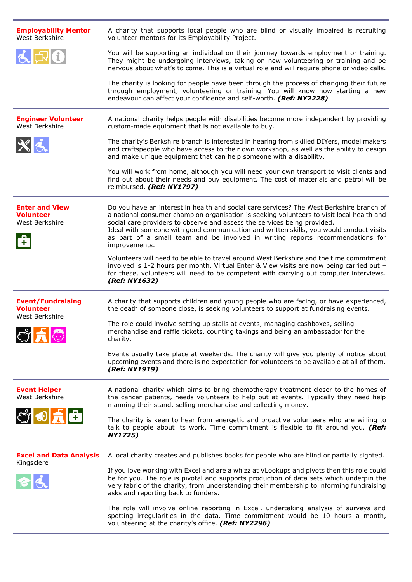| <b>Employability Mentor</b><br>West Berkshire                                       | A charity that supports local people who are blind or visually impaired is recruiting<br>volunteer mentors for its Employability Project.                                                                                                                                                                                                                                                                                                                       |
|-------------------------------------------------------------------------------------|-----------------------------------------------------------------------------------------------------------------------------------------------------------------------------------------------------------------------------------------------------------------------------------------------------------------------------------------------------------------------------------------------------------------------------------------------------------------|
| $\mathbf{G}$                                                                        | You will be supporting an individual on their journey towards employment or training.<br>They might be undergoing interviews, taking on new volunteering or training and be<br>nervous about what's to come. This is a virtual role and will require phone or video calls.                                                                                                                                                                                      |
|                                                                                     | The charity is looking for people have been through the process of changing their future<br>through employment, volunteering or training. You will know how starting a new<br>endeavour can affect your confidence and self-worth. (Ref: NY2228)                                                                                                                                                                                                                |
| <b>Engineer Volunteer</b><br>West Berkshire                                         | A national charity helps people with disabilities become more independent by providing<br>custom-made equipment that is not available to buy.                                                                                                                                                                                                                                                                                                                   |
| $x_{d}$                                                                             | The charity's Berkshire branch is interested in hearing from skilled DIYers, model makers<br>and craftspeople who have access to their own workshop, as well as the ability to design<br>and make unique equipment that can help someone with a disability.                                                                                                                                                                                                     |
|                                                                                     | You will work from home, although you will need your own transport to visit clients and<br>find out about their needs and buy equipment. The cost of materials and petrol will be<br>reimbursed. (Ref: NY1797)                                                                                                                                                                                                                                                  |
| <b>Enter and View</b><br><b>Volunteer</b><br>West Berkshire<br>$\ddot{\phantom{1}}$ | Do you have an interest in health and social care services? The West Berkshire branch of<br>a national consumer champion organisation is seeking volunteers to visit local health and<br>social care providers to observe and assess the services being provided.<br>Ideal with someone with good communication and written skills, you would conduct visits<br>as part of a small team and be involved in writing reports recommendations for<br>improvements. |
|                                                                                     | Volunteers will need to be able to travel around West Berkshire and the time commitment<br>involved is 1-2 hours per month. Virtual Enter & View visits are now being carried out -<br>for these, volunteers will need to be competent with carrying out computer interviews.<br>(Ref: NY1632)                                                                                                                                                                  |
| <b>Event/Fundraising</b><br><b>Volunteer</b><br>West Berkshire                      | A charity that supports children and young people who are facing, or have experienced,<br>the death of someone close, is seeking volunteers to support at fundraising events.                                                                                                                                                                                                                                                                                   |
| $\bullet$ $\blacksquare$                                                            | The role could involve setting up stalls at events, managing cashboxes, selling<br>merchandise and raffle tickets, counting takings and being an ambassador for the<br>charity.                                                                                                                                                                                                                                                                                 |
|                                                                                     | Events usually take place at weekends. The charity will give you plenty of notice about<br>upcoming events and there is no expectation for volunteers to be available at all of them.<br>(Ref: NY1919)                                                                                                                                                                                                                                                          |
| <b>Event Helper</b><br>West Berkshire                                               | A national charity which aims to bring chemotherapy treatment closer to the homes of<br>the cancer patients, needs volunteers to help out at events. Typically they need help<br>manning their stand, selling merchandise and collecting money.                                                                                                                                                                                                                 |
| $\mathbb{C}^{\prime}$ O $\mathbb{R}$                                                | The charity is keen to hear from energetic and proactive volunteers who are willing to<br>talk to people about its work. Time commitment is flexible to fit around you. (Ref:<br><b>NY1725)</b>                                                                                                                                                                                                                                                                 |
| <b>Excel and Data Analysis</b>                                                      | A local charity creates and publishes books for people who are blind or partially sighted.                                                                                                                                                                                                                                                                                                                                                                      |
| Kingsclere                                                                          | If you love working with Excel and are a whizz at VLookups and pivots then this role could<br>be for you. The role is pivotal and supports production of data sets which underpin the<br>very fabric of the charity, from understanding their membership to informing fundraising<br>asks and reporting back to funders.                                                                                                                                        |
|                                                                                     | The role will involve online reporting in Excel, undertaking analysis of surveys and<br>spotting irregularities in the data. Time commitment would be 10 hours a month,<br>volunteering at the charity's office. (Ref: NY2296)                                                                                                                                                                                                                                  |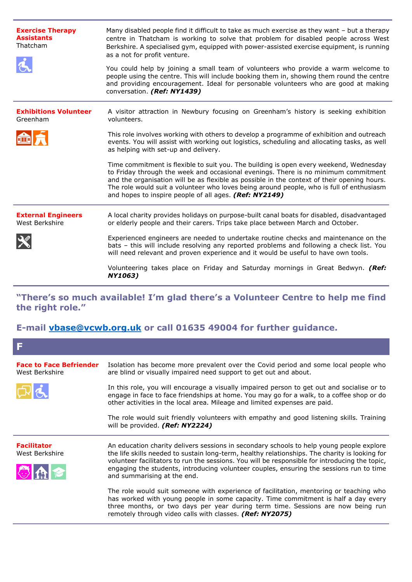| <b>Exercise Therapy</b><br><b>Assistants</b><br>Thatcham | Many disabled people find it difficult to take as much exercise as they want - but a therapy<br>centre in Thatcham is working to solve that problem for disabled people across West<br>Berkshire. A specialised gym, equipped with power-assisted exercise equipment, is running<br>as a not for profit venture.<br>You could help by joining a small team of volunteers who provide a warm welcome to<br>people using the centre. This will include booking them in, showing them round the centre<br>and providing encouragement. Ideal for personable volunteers who are good at making<br>conversation. (Ref: NY1439) |
|----------------------------------------------------------|---------------------------------------------------------------------------------------------------------------------------------------------------------------------------------------------------------------------------------------------------------------------------------------------------------------------------------------------------------------------------------------------------------------------------------------------------------------------------------------------------------------------------------------------------------------------------------------------------------------------------|
| <b>Exhibitions Volunteer</b><br>Greenham                 | A visitor attraction in Newbury focusing on Greenham's history is seeking exhibition<br>volunteers.                                                                                                                                                                                                                                                                                                                                                                                                                                                                                                                       |
|                                                          | This role involves working with others to develop a programme of exhibition and outreach<br>events. You will assist with working out logistics, scheduling and allocating tasks, as well<br>as helping with set-up and delivery.                                                                                                                                                                                                                                                                                                                                                                                          |
|                                                          | Time commitment is flexible to suit you. The building is open every weekend, Wednesday<br>to Friday through the week and occasional evenings. There is no minimum commitment<br>and the organisation will be as flexible as possible in the context of their opening hours.<br>The role would suit a volunteer who loves being around people, who is full of enthusiasm<br>and hopes to inspire people of all ages. (Ref: NY2149)                                                                                                                                                                                         |
| <b>External Engineers</b><br>West Berkshire              | A local charity provides holidays on purpose-built canal boats for disabled, disadvantaged<br>or elderly people and their carers. Trips take place between March and October.                                                                                                                                                                                                                                                                                                                                                                                                                                             |
|                                                          | Experienced engineers are needed to undertake routine checks and maintenance on the<br>bats - this will include resolving any reported problems and following a check list. You<br>will need relevant and proven experience and it would be useful to have own tools.                                                                                                                                                                                                                                                                                                                                                     |
|                                                          | Volunteering takes place on Friday and Saturday mornings in Great Bedwyn. (Ref:<br>NY1063)                                                                                                                                                                                                                                                                                                                                                                                                                                                                                                                                |

**"There's so much available! I'm glad there's a Volunteer Centre to help me find the right role."**

## **E-mail [vbase@vcwb.org.uk](mailto:vbase@vcwb.org.uk) or call 01635 49004 for further guidance.**

| A                                                |                                                                                                                                                                                                                                                                                                                                                                                                                        |
|--------------------------------------------------|------------------------------------------------------------------------------------------------------------------------------------------------------------------------------------------------------------------------------------------------------------------------------------------------------------------------------------------------------------------------------------------------------------------------|
| <b>Face to Face Befriender</b><br>West Berkshire | Isolation has become more prevalent over the Covid period and some local people who<br>are blind or visually impaired need support to get out and about.                                                                                                                                                                                                                                                               |
|                                                  | In this role, you will encourage a visually impaired person to get out and socialise or to<br>engage in face to face friendships at home. You may go for a walk, to a coffee shop or do<br>other activities in the local area. Mileage and limited expenses are paid.                                                                                                                                                  |
|                                                  | The role would suit friendly volunteers with empathy and good listening skills. Training<br>will be provided. (Ref: NY2224)                                                                                                                                                                                                                                                                                            |
| <b>Facilitator</b><br>West Berkshire<br>346      | An education charity delivers sessions in secondary schools to help young people explore<br>the life skills needed to sustain long-term, healthy relationships. The charity is looking for<br>volunteer facilitators to run the sessions. You will be responsible for introducing the topic,<br>engaging the students, introducing volunteer couples, ensuring the sessions run to time<br>and summarising at the end. |
|                                                  | The role would suit someone with experience of facilitation, mentoring or teaching who<br>has worked with young people in some capacity. Time commitment is half a day every<br>three months, or two days per year during term time. Sessions are now being run<br>remotely through video calls with classes. (Ref: NY2075)                                                                                            |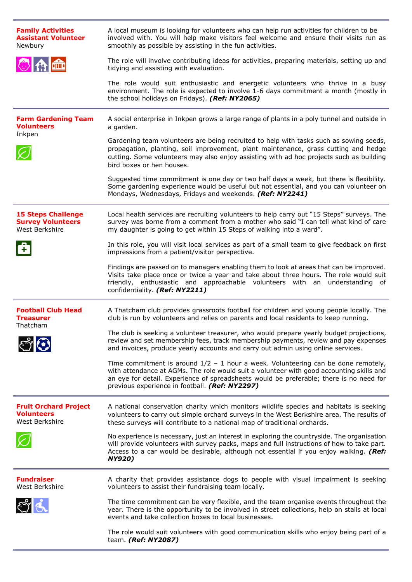| <b>Family Activities</b><br><b>Assistant Volunteer</b><br>Newbury       | A local museum is looking for volunteers who can help run activities for children to be<br>involved with. You will help make visitors feel welcome and ensure their visits run as<br>smoothly as possible by assisting in the fun activities.                                                                                |
|-------------------------------------------------------------------------|------------------------------------------------------------------------------------------------------------------------------------------------------------------------------------------------------------------------------------------------------------------------------------------------------------------------------|
| 心血血                                                                     | The role will involve contributing ideas for activities, preparing materials, setting up and<br>tidying and assisting with evaluation.                                                                                                                                                                                       |
|                                                                         | The role would suit enthusiastic and energetic volunteers who thrive in a busy<br>environment. The role is expected to involve 1-6 days commitment a month (mostly in<br>the school holidays on Fridays). (Ref: NY2065)                                                                                                      |
| <b>Farm Gardening Team</b><br><b>Volunteers</b>                         | A social enterprise in Inkpen grows a large range of plants in a poly tunnel and outside in<br>a garden.                                                                                                                                                                                                                     |
| Inkpen                                                                  | Gardening team volunteers are being recruited to help with tasks such as sowing seeds,<br>propagation, planting, soil improvement, plant maintenance, grass cutting and hedge<br>cutting. Some volunteers may also enjoy assisting with ad hoc projects such as building<br>bird boxes or hen houses.                        |
|                                                                         | Suggested time commitment is one day or two half days a week, but there is flexibility.<br>Some gardening experience would be useful but not essential, and you can volunteer on<br>Mondays, Wednesdays, Fridays and weekends. (Ref: NY2241)                                                                                 |
| <b>15 Steps Challenge</b><br><b>Survey Volunteers</b><br>West Berkshire | Local health services are recruiting volunteers to help carry out "15 Steps" surveys. The<br>survey was borne from a comment from a mother who said "I can tell what kind of care<br>my daughter is going to get within 15 Steps of walking into a ward".                                                                    |
| $\ddot{\phantom{1}}$                                                    | In this role, you will visit local services as part of a small team to give feedback on first<br>impressions from a patient/visitor perspective.                                                                                                                                                                             |
|                                                                         | Findings are passed on to managers enabling them to look at areas that can be improved.<br>Visits take place once or twice a year and take about three hours. The role would suit<br>friendly, enthusiastic and approachable volunteers with an understanding of<br>confidentiality. (Ref: NY2211)                           |
| <b>Football Club Head</b><br><b>Treasurer</b><br>Thatcham               | A Thatcham club provides grassroots football for children and young people locally. The<br>club is run by volunteers and relies on parents and local residents to keep running.                                                                                                                                              |
|                                                                         | The club is seeking a volunteer treasurer, who would prepare yearly budget projections,<br>review and set membership fees, track membership payments, review and pay expenses<br>and invoices, produce yearly accounts and carry out admin using online services.                                                            |
|                                                                         | Time commitment is around $1/2 - 1$ hour a week. Volunteering can be done remotely,<br>with attendance at AGMs. The role would suit a volunteer with good accounting skills and<br>an eye for detail. Experience of spreadsheets would be preferable; there is no need for<br>previous experience in football. (Ref: NY2297) |
| <b>Fruit Orchard Project</b><br><b>Volunteers</b><br>West Berkshire     | A national conservation charity which monitors wildlife species and habitats is seeking<br>volunteers to carry out simple orchard surveys in the West Berkshire area. The results of<br>these surveys will contribute to a national map of traditional orchards.                                                             |
|                                                                         | No experience is necessary, just an interest in exploring the countryside. The organisation<br>will provide volunteers with survey packs, maps and full instructions of how to take part.<br>Access to a car would be desirable, although not essential if you enjoy walking. (Ref:<br><b>NY920)</b>                         |
| <b>Fundraiser</b><br>West Berkshire                                     | A charity that provides assistance dogs to people with visual impairment is seeking<br>volunteers to assist their fundraising team locally.                                                                                                                                                                                  |
| ಲೆಡ                                                                     | The time commitment can be very flexible, and the team organise events throughout the<br>year. There is the opportunity to be involved in street collections, help on stalls at local<br>events and take collection boxes to local businesses.                                                                               |
|                                                                         | The role would suit volunteers with good communication skills who enjoy being part of a<br>team. (Ref: NY2087)                                                                                                                                                                                                               |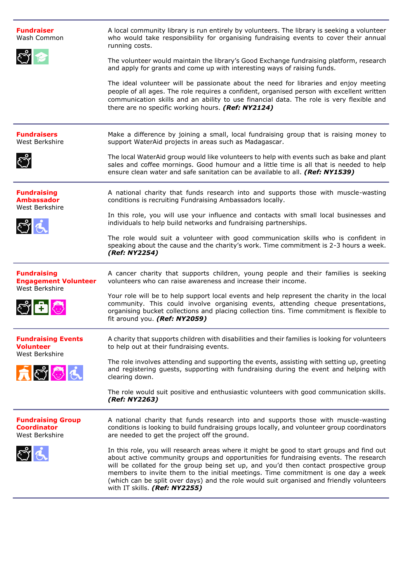| <b>Fundraiser</b><br>Wash Common<br>ಲೆ ೯                                                              | A local community library is run entirely by volunteers. The library is seeking a volunteer<br>who would take responsibility for organising fundraising events to cover their annual<br>running costs.<br>The volunteer would maintain the library's Good Exchange fundraising platform, research<br>and apply for grants and come up with interesting ways of raising funds.<br>The ideal volunteer will be passionate about the need for libraries and enjoy meeting<br>people of all ages. The role requires a confident, organised person with excellent written<br>communication skills and an ability to use financial data. The role is very flexible and<br>there are no specific working hours. (Ref: NY2124)             |
|-------------------------------------------------------------------------------------------------------|------------------------------------------------------------------------------------------------------------------------------------------------------------------------------------------------------------------------------------------------------------------------------------------------------------------------------------------------------------------------------------------------------------------------------------------------------------------------------------------------------------------------------------------------------------------------------------------------------------------------------------------------------------------------------------------------------------------------------------|
| <b>Fundraisers</b><br>West Berkshire<br>ڔۑ                                                            | Make a difference by joining a small, local fundraising group that is raising money to<br>support WaterAid projects in areas such as Madagascar.<br>The local WaterAid group would like volunteers to help with events such as bake and plant<br>sales and coffee mornings. Good humour and a little time is all that is needed to help<br>ensure clean water and safe sanitation can be available to all. (Ref: NY1539)                                                                                                                                                                                                                                                                                                           |
| <b>Fundraising</b><br><b>Ambassador</b><br>West Berkshire<br>$\mathbf{C}^{\prime}$ $\mathbf{\dot{G}}$ | A national charity that funds research into and supports those with muscle-wasting<br>conditions is recruiting Fundraising Ambassadors locally.<br>In this role, you will use your influence and contacts with small local businesses and<br>individuals to help build networks and fundraising partnerships.<br>The role would suit a volunteer with good communication skills who is confident in<br>speaking about the cause and the charity's work. Time commitment is 2-3 hours a week.<br>(Ref: NY2254)                                                                                                                                                                                                                      |
| <b>Fundraising</b><br><b>Engagement Volunteer</b><br>West Berkshire<br>$\mathbb{C}$ ch $\mathbb{C}$   | A cancer charity that supports children, young people and their families is seeking<br>volunteers who can raise awareness and increase their income.<br>Your role will be to help support local events and help represent the charity in the local<br>community. This could involve organising events, attending cheque presentations,<br>organising bucket collections and placing collection tins. Time commitment is flexible to<br>fit around you. (Ref: NY2059)                                                                                                                                                                                                                                                               |
| <b>Fundraising Events</b><br><b>Volunteer</b><br>West Berkshire<br>大きむん                               | A charity that supports children with disabilities and their families is looking for volunteers<br>to help out at their fundraising events.<br>The role involves attending and supporting the events, assisting with setting up, greeting<br>and registering guests, supporting with fundraising during the event and helping with<br>clearing down.<br>The role would suit positive and enthusiastic volunteers with good communication skills.<br>(Ref: NY2263)                                                                                                                                                                                                                                                                  |
| <b>Fundraising Group</b><br><b>Coordinator</b><br>West Berkshire<br>ી હ                               | A national charity that funds research into and supports those with muscle-wasting<br>conditions is looking to build fundraising groups locally, and volunteer group coordinators<br>are needed to get the project off the ground.<br>In this role, you will research areas where it might be good to start groups and find out<br>about active community groups and opportunities for fundraising events. The research<br>will be collated for the group being set up, and you'd then contact prospective group<br>members to invite them to the initial meetings. Time commitment is one day a week<br>(which can be split over days) and the role would suit organised and friendly volunteers<br>with IT skills. (Ref: NY2255) |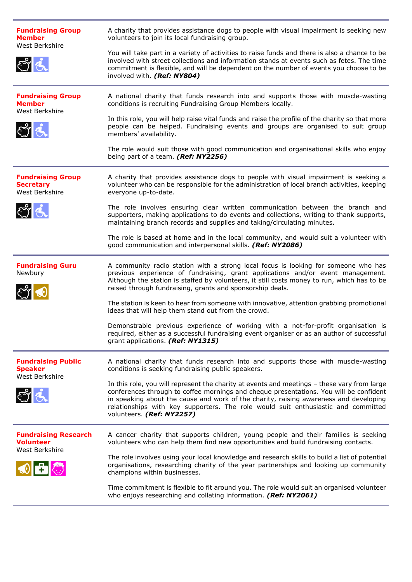| <b>Fundraising Group</b><br><b>Member</b><br>West Berkshire       | A charity that provides assistance dogs to people with visual impairment is seeking new<br>volunteers to join its local fundraising group.                                                                                                                                                                                                                                                       |
|-------------------------------------------------------------------|--------------------------------------------------------------------------------------------------------------------------------------------------------------------------------------------------------------------------------------------------------------------------------------------------------------------------------------------------------------------------------------------------|
| ಲೆಡ                                                               | You will take part in a variety of activities to raise funds and there is also a chance to be<br>involved with street collections and information stands at events such as fetes. The time<br>commitment is flexible, and will be dependent on the number of events you choose to be<br>involved with. (Ref: NY804)                                                                              |
| <b>Fundraising Group</b><br><b>Member</b><br>West Berkshire       | A national charity that funds research into and supports those with muscle-wasting<br>conditions is recruiting Fundraising Group Members locally.                                                                                                                                                                                                                                                |
| ಲೆಡ                                                               | In this role, you will help raise vital funds and raise the profile of the charity so that more<br>people can be helped. Fundraising events and groups are organised to suit group<br>members' availability.                                                                                                                                                                                     |
|                                                                   | The role would suit those with good communication and organisational skills who enjoy<br>being part of a team. (Ref: NY2256)                                                                                                                                                                                                                                                                     |
| <b>Fundraising Group</b><br><b>Secretary</b><br>West Berkshire    | A charity that provides assistance dogs to people with visual impairment is seeking a<br>volunteer who can be responsible for the administration of local branch activities, keeping<br>everyone up-to-date.                                                                                                                                                                                     |
| $\mathbb{C}^3$                                                    | The role involves ensuring clear written communication between the branch and<br>supporters, making applications to do events and collections, writing to thank supports,<br>maintaining branch records and supplies and taking/circulating minutes.                                                                                                                                             |
|                                                                   | The role is based at home and in the local community, and would suit a volunteer with<br>good communication and interpersonal skills. (Ref: NY2086)                                                                                                                                                                                                                                              |
| <b>Fundraising Guru</b><br>Newbury<br>الأعج                       | A community radio station with a strong local focus is looking for someone who has<br>previous experience of fundraising, grant applications and/or event management.<br>Although the station is staffed by volunteers, it still costs money to run, which has to be<br>raised through fundraising, grants and sponsorship deals.                                                                |
|                                                                   | The station is keen to hear from someone with innovative, attention grabbing promotional<br>ideas that will help them stand out from the crowd.                                                                                                                                                                                                                                                  |
|                                                                   | Demonstrable previous experience of working with a not-for-profit organisation is<br>required, either as a successful fundraising event organiser or as an author of successful<br>grant applications. (Ref: NY1315)                                                                                                                                                                             |
| <b>Fundraising Public</b><br><b>Speaker</b><br>West Berkshire     | A national charity that funds research into and supports those with muscle-wasting<br>conditions is seeking fundraising public speakers.                                                                                                                                                                                                                                                         |
| ಲೆಡ                                                               | In this role, you will represent the charity at events and meetings - these vary from large<br>conferences through to coffee mornings and cheque presentations. You will be confident<br>in speaking about the cause and work of the charity, raising awareness and developing<br>relationships with key supporters. The role would suit enthusiastic and committed<br>volunteers. (Ref: NY2257) |
| <b>Fundraising Research</b><br><b>Volunteer</b><br>West Berkshire | A cancer charity that supports children, young people and their families is seeking<br>volunteers who can help them find new opportunities and build fundraising contacts.                                                                                                                                                                                                                       |
|                                                                   | The role involves using your local knowledge and research skills to build a list of potential<br>organisations, researching charity of the year partnerships and looking up community<br>champions within businesses.                                                                                                                                                                            |
|                                                                   | Time commitment is flexible to fit around you. The role would suit an organised volunteer<br>who enjoys researching and collating information. (Ref: NY2061)                                                                                                                                                                                                                                     |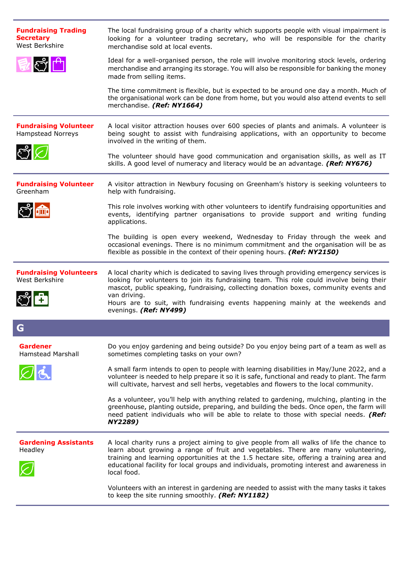| <b>Fundraising Trading</b><br><b>Secretary</b><br>West Berkshire | The local fundraising group of a charity which supports people with visual impairment is<br>looking for a volunteer trading secretary, who will be responsible for the charity<br>merchandise sold at local events.                                                                                                                                                                                          |
|------------------------------------------------------------------|--------------------------------------------------------------------------------------------------------------------------------------------------------------------------------------------------------------------------------------------------------------------------------------------------------------------------------------------------------------------------------------------------------------|
| ी नि                                                             | Ideal for a well-organised person, the role will involve monitoring stock levels, ordering<br>merchandise and arranging its storage. You will also be responsible for banking the money<br>made from selling items.                                                                                                                                                                                          |
|                                                                  | The time commitment is flexible, but is expected to be around one day a month. Much of<br>the organisational work can be done from home, but you would also attend events to sell<br>merchandise. (Ref: NY1664)                                                                                                                                                                                              |
| <b>Fundraising Volunteer</b><br><b>Hampstead Norreys</b>         | A local visitor attraction houses over 600 species of plants and animals. A volunteer is<br>being sought to assist with fundraising applications, with an opportunity to become<br>involved in the writing of them.                                                                                                                                                                                          |
| $\mathcal{E}$                                                    | The volunteer should have good communication and organisation skills, as well as IT<br>skills. A good level of numeracy and literacy would be an advantage. (Ref: NY676)                                                                                                                                                                                                                                     |
| <b>Fundraising Volunteer</b><br>Greenham                         | A visitor attraction in Newbury focusing on Greenham's history is seeking volunteers to<br>help with fundraising.                                                                                                                                                                                                                                                                                            |
|                                                                  | This role involves working with other volunteers to identify fundraising opportunities and<br>events, identifying partner organisations to provide support and writing funding<br>applications.                                                                                                                                                                                                              |
|                                                                  | The building is open every weekend, Wednesday to Friday through the week and<br>occasional evenings. There is no minimum commitment and the organisation will be as<br>flexible as possible in the context of their opening hours. (Ref: NY2150)                                                                                                                                                             |
|                                                                  |                                                                                                                                                                                                                                                                                                                                                                                                              |
| <b>Fundraising Volunteers</b><br>West Berkshire                  | A local charity which is dedicated to saving lives through providing emergency services is<br>looking for volunteers to join its fundraising team. This role could involve being their<br>mascot, public speaking, fundraising, collecting donation boxes, community events and<br>van driving.<br>Hours are to suit, with fundraising events happening mainly at the weekends and<br>evenings. (Ref: NY499) |
| G                                                                |                                                                                                                                                                                                                                                                                                                                                                                                              |
| <b>Gardener</b><br>Hamstead Marshall                             | Do you enjoy gardening and being outside? Do you enjoy being part of a team as well as<br>sometimes completing tasks on your own?                                                                                                                                                                                                                                                                            |
| $\varnothing$                                                    | A small farm intends to open to people with learning disabilities in May/June 2022, and a<br>volunteer is needed to help prepare it so it is safe, functional and ready to plant. The farm<br>will cultivate, harvest and sell herbs, vegetables and flowers to the local community.                                                                                                                         |
|                                                                  | As a volunteer, you'll help with anything related to gardening, mulching, planting in the<br>greenhouse, planting outside, preparing, and building the beds. Once open, the farm will<br>need patient individuals who will be able to relate to those with special needs. (Ref:<br>NY2289)                                                                                                                   |
| <b>Gardening Assistants</b><br>Headley                           | A local charity runs a project aiming to give people from all walks of life the chance to<br>learn about growing a range of fruit and vegetables. There are many volunteering,<br>training and learning opportunities at the 1.5 hectare site, offering a training area and<br>educational facility for local groups and individuals, promoting interest and awareness in<br>local food.                     |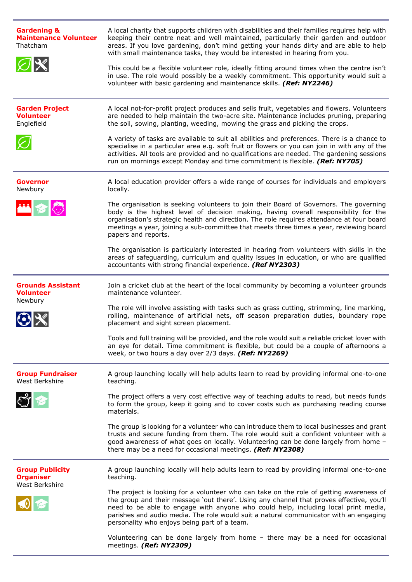| <b>Gardening &amp;</b><br><b>Maintenance Volunteer</b><br>Thatcham<br>$\varnothing$ $\!mathbb{X}$ | A local charity that supports children with disabilities and their families requires help with<br>keeping their centre neat and well maintained, particularly their garden and outdoor<br>areas. If you love gardening, don't mind getting your hands dirty and are able to help<br>with small maintenance tasks, they would be interested in hearing from you.<br>This could be a flexible volunteer role, ideally fitting around times when the centre isn't<br>in use. The role would possibly be a weekly commitment. This opportunity would suit a |
|---------------------------------------------------------------------------------------------------|---------------------------------------------------------------------------------------------------------------------------------------------------------------------------------------------------------------------------------------------------------------------------------------------------------------------------------------------------------------------------------------------------------------------------------------------------------------------------------------------------------------------------------------------------------|
|                                                                                                   | volunteer with basic gardening and maintenance skills. (Ref: NY2246)                                                                                                                                                                                                                                                                                                                                                                                                                                                                                    |
| <b>Garden Project</b><br><b>Volunteer</b><br>Englefield                                           | A local not-for-profit project produces and sells fruit, vegetables and flowers. Volunteers<br>are needed to help maintain the two-acre site. Maintenance includes pruning, preparing<br>the soil, sowing, planting, weeding, mowing the grass and picking the crops.                                                                                                                                                                                                                                                                                   |
|                                                                                                   | A variety of tasks are available to suit all abilities and preferences. There is a chance to<br>specialise in a particular area e.g. soft fruit or flowers or you can join in with any of the<br>activities. All tools are provided and no qualifications are needed. The gardening sessions<br>run on mornings except Monday and time commitment is flexible. (Ref: NY705)                                                                                                                                                                             |
| <b>Governor</b><br>Newbury                                                                        | A local education provider offers a wide range of courses for individuals and employers<br>locally.                                                                                                                                                                                                                                                                                                                                                                                                                                                     |
| 丛名态                                                                                               | The organisation is seeking volunteers to join their Board of Governors. The governing<br>body is the highest level of decision making, having overall responsibility for the<br>organisation's strategic health and direction. The role requires attendance at four board<br>meetings a year, joining a sub-committee that meets three times a year, reviewing board<br>papers and reports.                                                                                                                                                            |
|                                                                                                   | The organisation is particularly interested in hearing from volunteers with skills in the<br>areas of safeguarding, curriculum and quality issues in education, or who are qualified<br>accountants with strong financial experience. (Ref NY2303)                                                                                                                                                                                                                                                                                                      |
| <b>Grounds Assistant</b><br><b>Volunteer</b><br>Newbury                                           | Join a cricket club at the heart of the local community by becoming a volunteer grounds<br>maintenance volunteer.                                                                                                                                                                                                                                                                                                                                                                                                                                       |
|                                                                                                   | The role will involve assisting with tasks such as grass cutting, strimming, line marking,<br>rolling, maintenance of artificial nets, off season preparation duties, boundary rope<br>placement and sight screen placement.                                                                                                                                                                                                                                                                                                                            |
|                                                                                                   | Tools and full training will be provided, and the role would suit a reliable cricket lover with<br>an eye for detail. Time commitment is flexible, but could be a couple of afternoons a<br>week, or two hours a day over 2/3 days. (Ref: NY2269)                                                                                                                                                                                                                                                                                                       |
| <b>Group Fundraiser</b><br>West Berkshire                                                         | A group launching locally will help adults learn to read by providing informal one-to-one<br>teaching.                                                                                                                                                                                                                                                                                                                                                                                                                                                  |
| <u>ಲೈ ಆ</u>                                                                                       | The project offers a very cost effective way of teaching adults to read, but needs funds<br>to form the group, keep it going and to cover costs such as purchasing reading course<br>materials.                                                                                                                                                                                                                                                                                                                                                         |
|                                                                                                   | The group is looking for a volunteer who can introduce them to local businesses and grant<br>trusts and secure funding from them. The role would suit a confident volunteer with a<br>good awareness of what goes on locally. Volunteering can be done largely from home -<br>there may be a need for occasional meetings. (Ref: NY2308)                                                                                                                                                                                                                |
| <b>Group Publicity</b><br><b>Organiser</b><br>West Berkshire                                      | A group launching locally will help adults learn to read by providing informal one-to-one<br>teaching.                                                                                                                                                                                                                                                                                                                                                                                                                                                  |
|                                                                                                   | The project is looking for a volunteer who can take on the role of getting awareness of<br>the group and their message 'out there'. Using any channel that proves effective, you'll<br>need to be able to engage with anyone who could help, including local print media,<br>parishes and audio media. The role would suit a natural communicator with an engaging<br>personality who enjoys being part of a team.                                                                                                                                      |
|                                                                                                   | Volunteering can be done largely from home - there may be a need for occasional<br>meetings. (Ref: NY2309)                                                                                                                                                                                                                                                                                                                                                                                                                                              |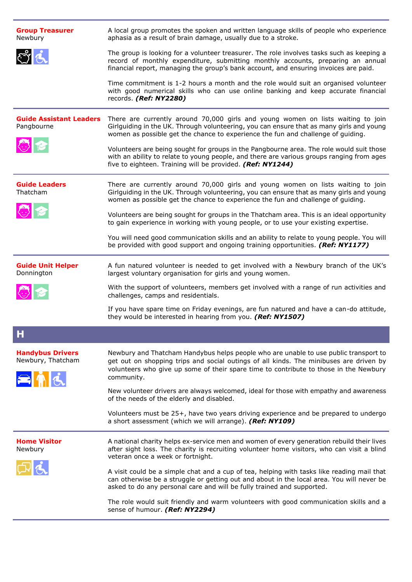| <b>Group Treasurer</b><br>Newbury                   | A local group promotes the spoken and written language skills of people who experience<br>aphasia as a result of brain damage, usually due to a stroke.                                                                                                                               |
|-----------------------------------------------------|---------------------------------------------------------------------------------------------------------------------------------------------------------------------------------------------------------------------------------------------------------------------------------------|
|                                                     | The group is looking for a volunteer treasurer. The role involves tasks such as keeping a<br>record of monthly expenditure, submitting monthly accounts, preparing an annual<br>financial report, managing the group's bank account, and ensuring invoices are paid.                  |
|                                                     | Time commitment is 1-2 hours a month and the role would suit an organised volunteer<br>with good numerical skills who can use online banking and keep accurate financial<br>records. (Ref: NY2280)                                                                                    |
| <b>Guide Assistant Leaders</b><br>Pangbourne        | There are currently around 70,000 girls and young women on lists waiting to join<br>Girlguiding in the UK. Through volunteering, you can ensure that as many girls and young<br>women as possible get the chance to experience the fun and challenge of guiding.                      |
| 心化                                                  | Volunteers are being sought for groups in the Pangbourne area. The role would suit those<br>with an ability to relate to young people, and there are various groups ranging from ages<br>five to eighteen. Training will be provided. (Ref: NY1244)                                   |
| <b>Guide Leaders</b><br>Thatcham                    | There are currently around 70,000 girls and young women on lists waiting to join<br>Girlguiding in the UK. Through volunteering, you can ensure that as many girls and young<br>women as possible get the chance to experience the fun and challenge of guiding.                      |
| 心?                                                  | Volunteers are being sought for groups in the Thatcham area. This is an ideal opportunity<br>to gain experience in working with young people, or to use your existing expertise.                                                                                                      |
|                                                     | You will need good communication skills and an ability to relate to young people. You will<br>be provided with good support and ongoing training opportunities. (Ref: NY1177)                                                                                                         |
| <b>Guide Unit Helper</b><br>Donnington              | A fun natured volunteer is needed to get involved with a Newbury branch of the UK's<br>largest voluntary organisation for girls and young women.                                                                                                                                      |
|                                                     | With the support of volunteers, members get involved with a range of run activities and<br>challenges, camps and residentials.                                                                                                                                                        |
|                                                     | If you have spare time on Friday evenings, are fun natured and have a can-do attitude,<br>they would be interested in hearing from you. (Ref: NY1507)                                                                                                                                 |
| H.                                                  |                                                                                                                                                                                                                                                                                       |
| <b>Handybus Drivers</b><br>Newbury, Thatcham<br>ENd | Newbury and Thatcham Handybus helps people who are unable to use public transport to<br>get out on shopping trips and social outings of all kinds. The minibuses are driven by<br>volunteers who give up some of their spare time to contribute to those in the Newbury<br>community. |
|                                                     | New volunteer drivers are always welcomed, ideal for those with empathy and awareness<br>of the needs of the elderly and disabled.                                                                                                                                                    |
|                                                     | Volunteers must be 25+, have two years driving experience and be prepared to undergo<br>a short assessment (which we will arrange). (Ref: NY109)                                                                                                                                      |
| <b>Home Visitor</b><br>Newbury                      | A national charity helps ex-service men and women of every generation rebuild their lives<br>after sight loss. The charity is recruiting volunteer home visitors, who can visit a blind<br>veteran once a week or fortnight.                                                          |
|                                                     | A visit could be a simple chat and a cup of tea, helping with tasks like reading mail that<br>can otherwise be a struggle or getting out and about in the local area. You will never be<br>asked to do any personal care and will be fully trained and supported.                     |
|                                                     | The role would suit friendly and warm volunteers with good communication skills and a<br>sense of humour. (Ref: NY2294)                                                                                                                                                               |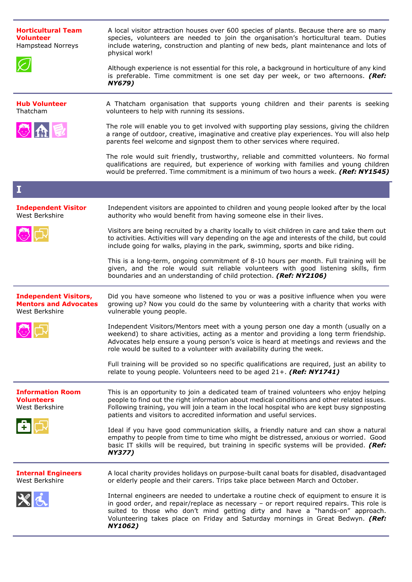| <b>Horticultural Team</b><br><b>Volunteer</b><br>Hampstead Norreys             | A local visitor attraction houses over 600 species of plants. Because there are so many<br>species, volunteers are needed to join the organisation's horticultural team. Duties<br>include watering, construction and planting of new beds, plant maintenance and lots of<br>physical work!<br>Although experience is not essential for this role, a background in horticulture of any kind<br>is preferable. Time commitment is one set day per week, or two afternoons. (Ref:<br>NY679) |
|--------------------------------------------------------------------------------|-------------------------------------------------------------------------------------------------------------------------------------------------------------------------------------------------------------------------------------------------------------------------------------------------------------------------------------------------------------------------------------------------------------------------------------------------------------------------------------------|
| <b>Hub Volunteer</b><br>Thatcham                                               | A Thatcham organisation that supports young children and their parents is seeking<br>volunteers to help with running its sessions.                                                                                                                                                                                                                                                                                                                                                        |
| 心血巨                                                                            | The role will enable you to get involved with supporting play sessions, giving the children<br>a range of outdoor, creative, imaginative and creative play experiences. You will also help<br>parents feel welcome and signpost them to other services where required.                                                                                                                                                                                                                    |
|                                                                                | The role would suit friendly, trustworthy, reliable and committed volunteers. No formal<br>qualifications are required, but experience of working with families and young children<br>would be preferred. Time commitment is a minimum of two hours a week. (Ref: NY1545)                                                                                                                                                                                                                 |
| I                                                                              |                                                                                                                                                                                                                                                                                                                                                                                                                                                                                           |
| <b>Independent Visitor</b><br>West Berkshire                                   | Independent visitors are appointed to children and young people looked after by the local<br>authority who would benefit from having someone else in their lives.                                                                                                                                                                                                                                                                                                                         |
|                                                                                | Visitors are being recruited by a charity locally to visit children in care and take them out<br>to activities. Activities will vary depending on the age and interests of the child, but could<br>include going for walks, playing in the park, swimming, sports and bike riding.                                                                                                                                                                                                        |
|                                                                                | This is a long-term, ongoing commitment of 8-10 hours per month. Full training will be<br>given, and the role would suit reliable volunteers with good listening skills, firm<br>boundaries and an understanding of child protection. (Ref: NY2106)                                                                                                                                                                                                                                       |
| <b>Independent Visitors,</b><br><b>Mentors and Advocates</b><br>West Berkshire | Did you have someone who listened to you or was a positive influence when you were<br>growing up? Now you could do the same by volunteering with a charity that works with<br>vulnerable young people.                                                                                                                                                                                                                                                                                    |
|                                                                                | Independent Visitors/Mentors meet with a young person one day a month (usually on a<br>weekend) to share activities, acting as a mentor and providing a long term friendship.<br>Advocates help ensure a young person's voice is heard at meetings and reviews and the<br>role would be suited to a volunteer with availability during the week.                                                                                                                                          |
|                                                                                | Full training will be provided so no specific qualifications are required, just an ability to<br>relate to young people. Volunteers need to be aged $21+$ . (Ref: NY1741)                                                                                                                                                                                                                                                                                                                 |
| <b>Information Room</b><br><b>Volunteers</b><br>West Berkshire                 | This is an opportunity to join a dedicated team of trained volunteers who enjoy helping<br>people to find out the right information about medical conditions and other related issues.<br>Following training, you will join a team in the local hospital who are kept busy signposting<br>patients and visitors to accredited information and useful services.                                                                                                                            |
|                                                                                | Ideal if you have good communication skills, a friendly nature and can show a natural<br>empathy to people from time to time who might be distressed, anxious or worried. Good<br>basic IT skills will be required, but training in specific systems will be provided. (Ref:<br><b>NY377)</b>                                                                                                                                                                                             |
| <b>Internal Engineers</b><br>West Berkshire                                    | A local charity provides holidays on purpose-built canal boats for disabled, disadvantaged<br>or elderly people and their carers. Trips take place between March and October.                                                                                                                                                                                                                                                                                                             |
|                                                                                | Internal engineers are needed to undertake a routine check of equipment to ensure it is<br>in good order, and repair/replace as necessary $-$ or report required repairs. This role is<br>suited to those who don't mind getting dirty and have a "hands-on" approach.<br>Volunteering takes place on Friday and Saturday mornings in Great Bedwyn. (Ref:<br><b>NY1062)</b>                                                                                                               |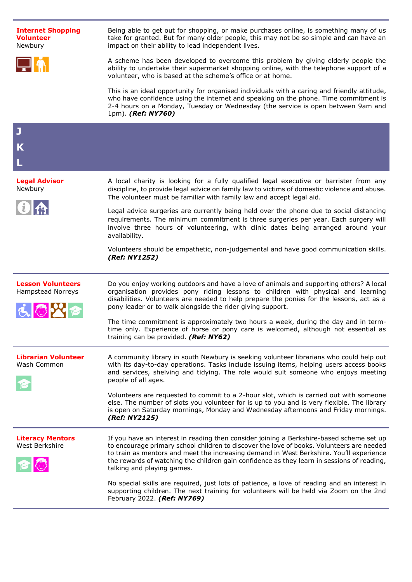



Being able to get out for shopping, or make purchases online, is something many of us take for granted. But for many older people, this may not be so simple and can have an impact on their ability to lead independent lives.

A scheme has been developed to overcome this problem by giving elderly people the ability to undertake their supermarket shopping online, with the telephone support of a volunteer, who is based at the scheme's office or at home.

This is an ideal opportunity for organised individuals with a caring and friendly attitude, who have confidence using the internet and speaking on the phone. Time commitment is 2-4 hours on a Monday, Tuesday or Wednesday (the service is open between 9am and 1pm). *(Ref: NY760)*

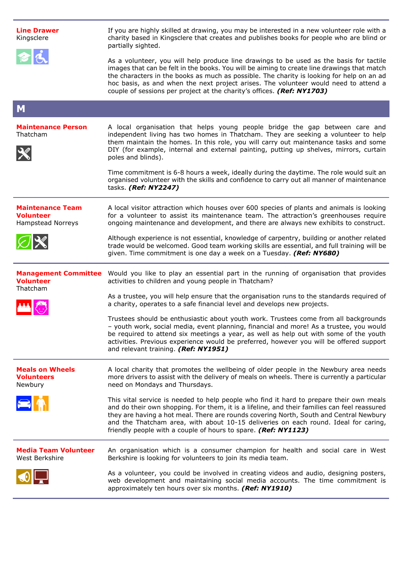| <b>Line Drawer</b><br>Kingsclere<br>日は                           | If you are highly skilled at drawing, you may be interested in a new volunteer role with a<br>charity based in Kingsclere that creates and publishes books for people who are blind or<br>partially sighted.<br>As a volunteer, you will help produce line drawings to be used as the basis for tactile                                                                                                                                    |
|------------------------------------------------------------------|--------------------------------------------------------------------------------------------------------------------------------------------------------------------------------------------------------------------------------------------------------------------------------------------------------------------------------------------------------------------------------------------------------------------------------------------|
|                                                                  | images that can be felt in the books. You will be aiming to create line drawings that match<br>the characters in the books as much as possible. The charity is looking for help on an ad<br>hoc basis, as and when the next project arises. The volunteer would need to attend a<br>couple of sessions per project at the charity's offices. (Ref: NY1703)                                                                                 |
| M                                                                |                                                                                                                                                                                                                                                                                                                                                                                                                                            |
| <b>Maintenance Person</b><br>Thatcham                            | A local organisation that helps young people bridge the gap between care and<br>independent living has two homes in Thatcham. They are seeking a volunteer to help<br>them maintain the homes. In this role, you will carry out maintenance tasks and some<br>DIY (for example, internal and external painting, putting up shelves, mirrors, curtain<br>poles and blinds).                                                                 |
|                                                                  | Time commitment is 6-8 hours a week, ideally during the daytime. The role would suit an<br>organised volunteer with the skills and confidence to carry out all manner of maintenance<br>tasks. (Ref: NY2247)                                                                                                                                                                                                                               |
| <b>Maintenance Team</b><br><b>Volunteer</b><br>Hampstead Norreys | A local visitor attraction which houses over 600 species of plants and animals is looking<br>for a volunteer to assist its maintenance team. The attraction's greenhouses require<br>ongoing maintenance and development, and there are always new exhibits to construct.                                                                                                                                                                  |
| $\varnothing$ $\mathbb X$                                        | Although experience is not essential, knowledge of carpentry, building or another related<br>trade would be welcomed. Good team working skills are essential, and full training will be<br>given. Time commitment is one day a week on a Tuesday. (Ref: NY680)                                                                                                                                                                             |
| <b>Volunteer</b><br>Thatcham                                     | Management Committee Would you like to play an essential part in the running of organisation that provides<br>activities to children and young people in Thatcham?                                                                                                                                                                                                                                                                         |
|                                                                  | As a trustee, you will help ensure that the organisation runs to the standards required of<br>a charity, operates to a safe financial level and develops new projects.                                                                                                                                                                                                                                                                     |
|                                                                  | Trustees should be enthusiastic about youth work. Trustees come from all backgrounds<br>- youth work, social media, event planning, financial and more! As a trustee, you would<br>be required to attend six meetings a year, as well as help out with some of the youth<br>activities. Previous experience would be preferred, however you will be offered support<br>and relevant training. (Ref: NY1951)                                |
| <b>Meals on Wheels</b><br><b>Volunteers</b><br>Newbury           | A local charity that promotes the wellbeing of older people in the Newbury area needs<br>more drivers to assist with the delivery of meals on wheels. There is currently a particular<br>need on Mondays and Thursdays.                                                                                                                                                                                                                    |
|                                                                  | This vital service is needed to help people who find it hard to prepare their own meals<br>and do their own shopping. For them, it is a lifeline, and their families can feel reassured<br>they are having a hot meal. There are rounds covering North, South and Central Newbury<br>and the Thatcham area, with about 10-15 deliveries on each round. Ideal for caring,<br>friendly people with a couple of hours to spare. (Ref: NY1123) |
| <b>Media Team Volunteer</b><br>West Berkshire                    | An organisation which is a consumer champion for health and social care in West<br>Berkshire is looking for volunteers to join its media team.                                                                                                                                                                                                                                                                                             |
|                                                                  | As a volunteer, you could be involved in creating videos and audio, designing posters,<br>web development and maintaining social media accounts. The time commitment is<br>approximately ten hours over six months. (Ref: NY1910)                                                                                                                                                                                                          |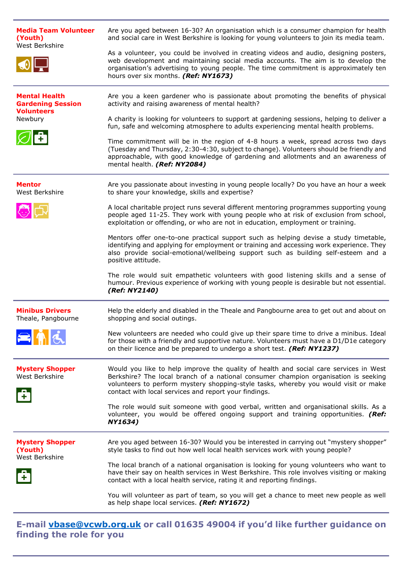| <b>Media Team Volunteer</b><br>(Youth)<br>West Berkshire                         | Are you aged between 16-30? An organisation which is a consumer champion for health<br>and social care in West Berkshire is looking for young volunteers to join its media team.<br>As a volunteer, you could be involved in creating videos and audio, designing posters,<br>web development and maintaining social media accounts. The aim is to develop the<br>organisation's advertising to young people. The time commitment is approximately ten<br>hours over six months. (Ref: NY1673)                                                                                                                                                                                                                                                                                                                                                                                                                    |
|----------------------------------------------------------------------------------|-------------------------------------------------------------------------------------------------------------------------------------------------------------------------------------------------------------------------------------------------------------------------------------------------------------------------------------------------------------------------------------------------------------------------------------------------------------------------------------------------------------------------------------------------------------------------------------------------------------------------------------------------------------------------------------------------------------------------------------------------------------------------------------------------------------------------------------------------------------------------------------------------------------------|
| <b>Mental Health</b><br><b>Gardening Session</b><br><b>Volunteers</b><br>Newbury | Are you a keen gardener who is passionate about promoting the benefits of physical<br>activity and raising awareness of mental health?<br>A charity is looking for volunteers to support at gardening sessions, helping to deliver a<br>fun, safe and welcoming atmosphere to adults experiencing mental health problems.<br>Time commitment will be in the region of 4-8 hours a week, spread across two days<br>(Tuesday and Thursday, 2:30-4:30, subject to change). Volunteers should be friendly and<br>approachable, with good knowledge of gardening and allotments and an awareness of<br>mental health. (Ref: NY2084)                                                                                                                                                                                                                                                                                    |
| <b>Mentor</b><br>West Berkshire                                                  | Are you passionate about investing in young people locally? Do you have an hour a week<br>to share your knowledge, skills and expertise?<br>A local charitable project runs several different mentoring programmes supporting young<br>people aged 11-25. They work with young people who at risk of exclusion from school,<br>exploitation or offending, or who are not in education, employment or training.<br>Mentors offer one-to-one practical support such as helping devise a study timetable,<br>identifying and applying for employment or training and accessing work experience. They<br>also provide social-emotional/wellbeing support such as building self-esteem and a<br>positive attitude.<br>The role would suit empathetic volunteers with good listening skills and a sense of<br>humour. Previous experience of working with young people is desirable but not essential.<br>(Ref: NY2140) |
| <b>Minibus Drivers</b><br>Theale, Pangbourne                                     | Help the elderly and disabled in the Theale and Pangbourne area to get out and about on<br>shopping and social outings.<br>New volunteers are needed who could give up their spare time to drive a minibus. Ideal<br>for those with a friendly and supportive nature. Volunteers must have a D1/D1e category<br>on their licence and be prepared to undergo a short test. (Ref: NY1237)                                                                                                                                                                                                                                                                                                                                                                                                                                                                                                                           |
| <b>Mystery Shopper</b><br>West Berkshire                                         | Would you like to help improve the quality of health and social care services in West<br>Berkshire? The local branch of a national consumer champion organisation is seeking<br>volunteers to perform mystery shopping-style tasks, whereby you would visit or make<br>contact with local services and report your findings.<br>The role would suit someone with good verbal, written and organisational skills. As a<br>volunteer, you would be offered ongoing support and training opportunities. (Ref:<br>NY1634)                                                                                                                                                                                                                                                                                                                                                                                             |
| <b>Mystery Shopper</b><br>(Youth)<br>West Berkshire                              | Are you aged between 16-30? Would you be interested in carrying out "mystery shopper"<br>style tasks to find out how well local health services work with young people?<br>The local branch of a national organisation is looking for young volunteers who want to<br>have their say on health services in West Berkshire. This role involves visiting or making<br>contact with a local health service, rating it and reporting findings.<br>You will volunteer as part of team, so you will get a chance to meet new people as well<br>as help shape local services. (Ref: NY1672)                                                                                                                                                                                                                                                                                                                              |

**E-mail [vbase@vcwb.org.uk](mailto:vbase@vcwb.org.uk) or call 01635 49004 if you'd like further guidance on finding the role for you**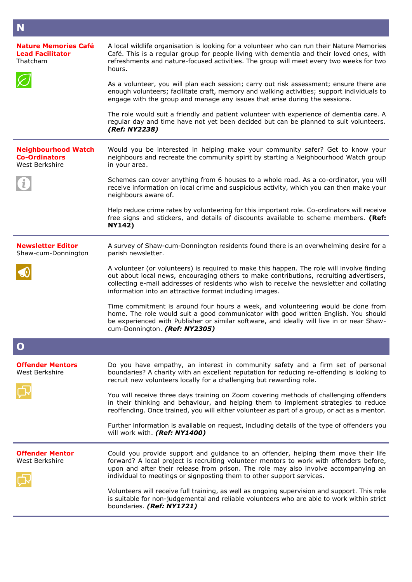| N                                                                    |                                                                                                                                                                                                                                                                                                                                                                                                                                                                                                                                                                     |
|----------------------------------------------------------------------|---------------------------------------------------------------------------------------------------------------------------------------------------------------------------------------------------------------------------------------------------------------------------------------------------------------------------------------------------------------------------------------------------------------------------------------------------------------------------------------------------------------------------------------------------------------------|
| <b>Nature Memories Café</b><br><b>Lead Facilitator</b><br>Thatcham   | A local wildlife organisation is looking for a volunteer who can run their Nature Memories<br>Café. This is a regular group for people living with dementia and their loved ones, with<br>refreshments and nature-focused activities. The group will meet every two weeks for two<br>hours.<br>As a volunteer, you will plan each session; carry out risk assessment; ensure there are<br>enough volunteers; facilitate craft, memory and walking activities; support individuals to<br>engage with the group and manage any issues that arise during the sessions. |
|                                                                      | The role would suit a friendly and patient volunteer with experience of dementia care. A<br>regular day and time have not yet been decided but can be planned to suit volunteers.<br>(Ref: NY2238)                                                                                                                                                                                                                                                                                                                                                                  |
| <b>Neighbourhood Watch</b><br><b>Co-Ordinators</b><br>West Berkshire | Would you be interested in helping make your community safer? Get to know your<br>neighbours and recreate the community spirit by starting a Neighbourhood Watch group<br>in your area.                                                                                                                                                                                                                                                                                                                                                                             |
|                                                                      | Schemes can cover anything from 6 houses to a whole road. As a co-ordinator, you will<br>receive information on local crime and suspicious activity, which you can then make your<br>neighbours aware of.                                                                                                                                                                                                                                                                                                                                                           |
|                                                                      | Help reduce crime rates by volunteering for this important role. Co-ordinators will receive<br>free signs and stickers, and details of discounts available to scheme members. (Ref:<br><b>NY142)</b>                                                                                                                                                                                                                                                                                                                                                                |
| <b>Newsletter Editor</b><br>Shaw-cum-Donnington                      | A survey of Shaw-cum-Donnington residents found there is an overwhelming desire for a<br>parish newsletter.                                                                                                                                                                                                                                                                                                                                                                                                                                                         |
|                                                                      | A volunteer (or volunteers) is required to make this happen. The role will involve finding<br>out about local news, encouraging others to make contributions, recruiting advertisers,<br>collecting e-mail addresses of residents who wish to receive the newsletter and collating<br>information into an attractive format including images.                                                                                                                                                                                                                       |
|                                                                      | Time commitment is around four hours a week, and volunteering would be done from<br>home. The role would suit a good communicator with good written English. You should<br>be experienced with Publisher or similar software, and ideally will live in or near Shaw-<br>cum-Donnington. (Ref: NY2305)                                                                                                                                                                                                                                                               |
|                                                                      |                                                                                                                                                                                                                                                                                                                                                                                                                                                                                                                                                                     |
| Offender Mentors<br>West Berkshire                                   | Do you have empathy, an interest in community safety and a firm set of personal<br>boundaries? A charity with an excellent reputation for reducing re-offending is looking to<br>recruit new volunteers locally for a challenging but rewarding role.                                                                                                                                                                                                                                                                                                               |
|                                                                      | You will receive three days training on Zoom covering methods of challenging offenders<br>in their thinking and behaviour, and helping them to implement strategies to reduce<br>reoffending. Once trained, you will either volunteer as part of a group, or act as a mentor.                                                                                                                                                                                                                                                                                       |
|                                                                      | Further information is available on request, including details of the type of offenders you<br>will work with. (Ref: NY1400)                                                                                                                                                                                                                                                                                                                                                                                                                                        |
| <b>Offender Mentor</b><br>West Berkshire                             | Could you provide support and guidance to an offender, helping them move their life<br>forward? A local project is recruiting volunteer mentors to work with offenders before,<br>upon and after their release from prison. The role may also involve accompanying an<br>individual to meetings or signposting them to other support services.                                                                                                                                                                                                                      |
|                                                                      | Volunteers will receive full training, as well as ongoing supervision and support. This role<br>is suitable for non-judgemental and reliable volunteers who are able to work within strict<br>boundaries. (Ref: NY1721)                                                                                                                                                                                                                                                                                                                                             |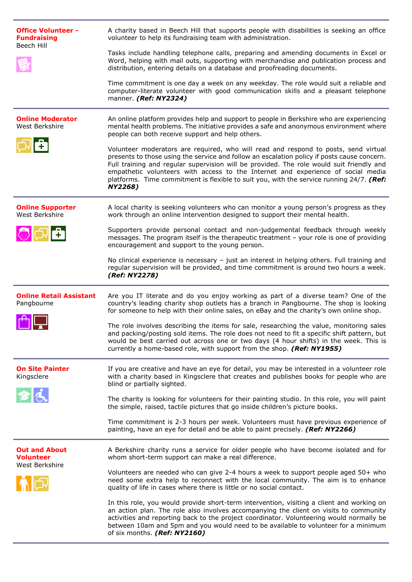| <b>Office Volunteer -</b><br><b>Fundraising</b><br>Beech Hill | A charity based in Beech Hill that supports people with disabilities is seeking an office<br>volunteer to help its fundraising team with administration.<br>Tasks include handling telephone calls, preparing and amending documents in Excel or<br>Word, helping with mail outs, supporting with merchandise and publication process and<br>distribution, entering details on a database and proofreading documents.<br>Time commitment is one day a week on any weekday. The role would suit a reliable and<br>computer-literate volunteer with good communication skills and a pleasant telephone<br>manner. (Ref: NY2324)                                                                                                                                                                          |
|---------------------------------------------------------------|--------------------------------------------------------------------------------------------------------------------------------------------------------------------------------------------------------------------------------------------------------------------------------------------------------------------------------------------------------------------------------------------------------------------------------------------------------------------------------------------------------------------------------------------------------------------------------------------------------------------------------------------------------------------------------------------------------------------------------------------------------------------------------------------------------|
| <b>Online Moderator</b><br>West Berkshire                     | An online platform provides help and support to people in Berkshire who are experiencing<br>mental health problems. The initiative provides a safe and anonymous environment where<br>people can both receive support and help others.<br>Volunteer moderators are required, who will read and respond to posts, send virtual<br>presents to those using the service and follow an escalation policy if posts cause concern.<br>Full training and regular supervision will be provided. The role would suit friendly and<br>empathetic volunteers with access to the Internet and experience of social media<br>platforms. Time commitment is flexible to suit you, with the service running 24/7. (Ref:<br><b>NY2268)</b>                                                                             |
| <b>Online Supporter</b><br>West Berkshire<br>◎☆日              | A local charity is seeking volunteers who can monitor a young person's progress as they<br>work through an online intervention designed to support their mental health.<br>Supporters provide personal contact and non-judgemental feedback through weekly<br>messages. The program itself is the therapeutic treatment - your role is one of providing<br>encouragement and support to the young person.<br>No clinical experience is necessary $-$ just an interest in helping others. Full training and<br>regular supervision will be provided, and time commitment is around two hours a week.<br>(Ref: NY2278)                                                                                                                                                                                   |
| <b>Online Retail Assistant</b><br>Pangbourne                  | Are you IT literate and do you enjoy working as part of a diverse team? One of the<br>country's leading charity shop outlets has a branch in Pangbourne. The shop is looking<br>for someone to help with their online sales, on eBay and the charity's own online shop.<br>The role involves describing the items for sale, researching the value, monitoring sales<br>and packing/posting sold items. The role does not need to fit a specific shift pattern, but<br>would be best carried out across one or two days (4 hour shifts) in the week. This is<br>currently a home-based role, with support from the shop. (Ref: NY1955)                                                                                                                                                                  |
| <b>On Site Painter</b><br>Kingsclere                          | If you are creative and have an eye for detail, you may be interested in a volunteer role<br>with a charity based in Kingsclere that creates and publishes books for people who are<br>blind or partially sighted.<br>The charity is looking for volunteers for their painting studio. In this role, you will paint<br>the simple, raised, tactile pictures that go inside children's picture books.<br>Time commitment is 2-3 hours per week. Volunteers must have previous experience of<br>painting, have an eye for detail and be able to paint precisely. (Ref: NY2266)                                                                                                                                                                                                                           |
| <b>Out and About</b><br><b>Volunteer</b><br>West Berkshire    | A Berkshire charity runs a service for older people who have become isolated and for<br>whom short-term support can make a real difference.<br>Volunteers are needed who can give 2-4 hours a week to support people aged 50+ who<br>need some extra help to reconnect with the local community. The aim is to enhance<br>quality of life in cases where there is little or no social contact.<br>In this role, you would provide short-term intervention, visiting a client and working on<br>an action plan. The role also involves accompanying the client on visits to community<br>activities and reporting back to the project coordinator. Volunteering would normally be<br>between 10am and 5pm and you would need to be available to volunteer for a minimum<br>of six months. (Ref: NY2160) |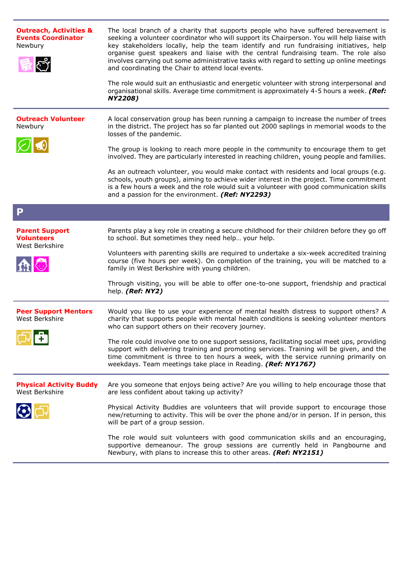| <b>Outreach, Activities &amp;</b><br><b>Events Coordinator</b><br>Newbury<br>್ರೀ | The local branch of a charity that supports people who have suffered bereavement is<br>seeking a volunteer coordinator who will support its Chairperson. You will help liaise with<br>key stakeholders locally, help the team identify and run fundraising initiatives, help<br>organise guest speakers and liaise with the central fundraising team. The role also<br>involves carrying out some administrative tasks with regard to setting up online meetings<br>and coordinating the Chair to attend local events.<br>The role would suit an enthusiastic and energetic volunteer with strong interpersonal and<br>organisational skills. Average time commitment is approximately 4-5 hours a week. (Ref:<br><b>NY2208)</b>            |
|----------------------------------------------------------------------------------|---------------------------------------------------------------------------------------------------------------------------------------------------------------------------------------------------------------------------------------------------------------------------------------------------------------------------------------------------------------------------------------------------------------------------------------------------------------------------------------------------------------------------------------------------------------------------------------------------------------------------------------------------------------------------------------------------------------------------------------------|
| <b>Outreach Volunteer</b><br>Newbury                                             | A local conservation group has been running a campaign to increase the number of trees<br>in the district. The project has so far planted out 2000 saplings in memorial woods to the<br>losses of the pandemic.<br>The group is looking to reach more people in the community to encourage them to get<br>involved. They are particularly interested in reaching children, young people and families.<br>As an outreach volunteer, you would make contact with residents and local groups (e.g.<br>schools, youth groups), aiming to achieve wider interest in the project. Time commitment<br>is a few hours a week and the role would suit a volunteer with good communication skills<br>and a passion for the environment. (Ref: NY2293) |
| P                                                                                |                                                                                                                                                                                                                                                                                                                                                                                                                                                                                                                                                                                                                                                                                                                                             |
| <b>Parent Support</b><br><b>Volunteers</b><br>West Berkshire                     | Parents play a key role in creating a secure childhood for their children before they go off<br>to school. But sometimes they need help your help.<br>Volunteers with parenting skills are required to undertake a six-week accredited training<br>course (five hours per week). On completion of the training, you will be matched to a<br>family in West Berkshire with young children.<br>Through visiting, you will be able to offer one-to-one support, friendship and practical<br>help. (Ref: NY2)                                                                                                                                                                                                                                   |
| <b>Peer Support Mentors</b><br>West Berkshire<br><u>coloni</u>                   | Would you like to use your experience of mental health distress to support others? A<br>charity that supports people with mental health conditions is seeking volunteer mentors<br>who can support others on their recovery journey.<br>The role could involve one to one support sessions, facilitating social meet ups, providing<br>support with delivering training and promoting services. Training will be given, and the<br>time commitment is three to ten hours a week, with the service running primarily on<br>weekdays. Team meetings take place in Reading. (Ref: NY1767)                                                                                                                                                      |
| <b>Physical Activity Buddy</b><br>West Berkshire                                 | Are you someone that enjoys being active? Are you willing to help encourage those that<br>are less confident about taking up activity?<br>Physical Activity Buddies are volunteers that will provide support to encourage those<br>new/returning to activity. This will be over the phone and/or in person. If in person, this<br>will be part of a group session.<br>The role would suit volunteers with good communication skills and an encouraging,<br>supportive demeanour. The group sessions are currently held in Pangbourne and<br>Newbury, with plans to increase this to other areas. (Ref: NY2151)                                                                                                                              |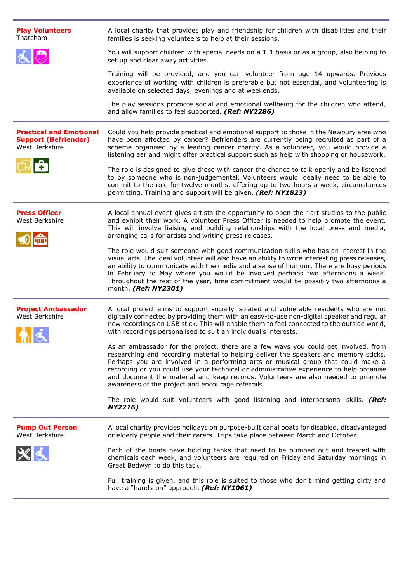| <b>Play Volunteers</b><br>Thatcham                                              | A local charity that provides play and friendship for children with disabilities and their<br>families is seeking volunteers to help at their sessions.                                                                                                                                                                                                                                                                                                                                               |
|---------------------------------------------------------------------------------|-------------------------------------------------------------------------------------------------------------------------------------------------------------------------------------------------------------------------------------------------------------------------------------------------------------------------------------------------------------------------------------------------------------------------------------------------------------------------------------------------------|
|                                                                                 | You will support children with special needs on a 1:1 basis or as a group, also helping to<br>set up and clear away activities.                                                                                                                                                                                                                                                                                                                                                                       |
|                                                                                 | Training will be provided, and you can volunteer from age 14 upwards. Previous<br>experience of working with children is preferable but not essential, and volunteering is<br>available on selected days, evenings and at weekends.                                                                                                                                                                                                                                                                   |
|                                                                                 | The play sessions promote social and emotional wellbeing for the children who attend,<br>and allow families to feel supported. (Ref: NY2286)                                                                                                                                                                                                                                                                                                                                                          |
| <b>Practical and Emotional</b><br><b>Support (Befriender)</b><br>West Berkshire | Could you help provide practical and emotional support to those in the Newbury area who<br>have been affected by cancer? Befrienders are currently being recruited as part of a<br>scheme organised by a leading cancer charity. As a volunteer, you would provide a<br>listening ear and might offer practical support such as help with shopping or housework.                                                                                                                                      |
|                                                                                 | The role is designed to give those with cancer the chance to talk openly and be listened<br>to by someone who is non-judgemental. Volunteers would ideally need to be able to<br>commit to the role for twelve months, offering up to two hours a week, circumstances<br>permitting. Training and support will be given. (Ref: NY1823)                                                                                                                                                                |
| <b>Press Officer</b><br>West Berkshire                                          | A local annual event gives artists the opportunity to open their art studios to the public<br>and exhibit their work. A volunteer Press Officer is needed to help promote the event.<br>This will involve liaising and building relationships with the local press and media,<br>arranging calls for artists and writing press releases.                                                                                                                                                              |
|                                                                                 | The role would suit someone with good communication skills who has an interest in the<br>visual arts. The ideal volunteer will also have an ability to write interesting press releases,<br>an ability to communicate with the media and a sense of humour. There are busy periods<br>in February to May where you would be involved perhaps two afternoons a week.<br>Throughout the rest of the year, time commitment would be possibly two afternoons a<br>month. (Ref: NY2301)                    |
| <b>Project Ambassador</b><br>West Berkshire<br><b>XII</b> 9                     | A local project aims to support socially isolated and vulnerable residents who are not<br>digitally connected by providing them with an easy-to-use non-digital speaker and regular<br>new recordings on USB stick. This will enable them to feel connected to the outside world,<br>with recordings personalised to suit an individual's interests.                                                                                                                                                  |
|                                                                                 | As an ambassador for the project, there are a few ways you could get involved, from<br>researching and recording material to helping deliver the speakers and memory sticks.<br>Perhaps you are involved in a performing arts or musical group that could make a<br>recording or you could use your technical or administrative experience to help organise<br>and document the material and keep records. Volunteers are also needed to promote<br>awareness of the project and encourage referrals. |
|                                                                                 | The role would suit volunteers with good listening and interpersonal skills. (Ref:<br>NY2216)                                                                                                                                                                                                                                                                                                                                                                                                         |
| <b>Pump Out Person</b><br>West Berkshire                                        | A local charity provides holidays on purpose-built canal boats for disabled, disadvantaged<br>or elderly people and their carers. Trips take place between March and October.                                                                                                                                                                                                                                                                                                                         |
| $X_{\Delta}$                                                                    | Each of the boats have holding tanks that need to be pumped out and treated with<br>chemicals each week, and volunteers are required on Friday and Saturday mornings in<br>Great Bedwyn to do this task.                                                                                                                                                                                                                                                                                              |
|                                                                                 | Full training is given, and this role is suited to those who don't mind getting dirty and<br>have a "hands-on" approach. (Ref: NY1061)                                                                                                                                                                                                                                                                                                                                                                |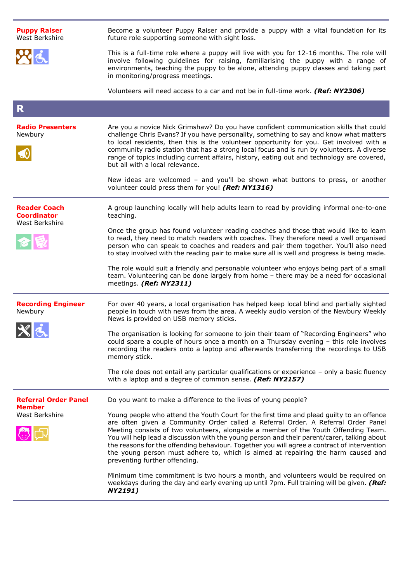| <b>Puppy Raiser</b><br>West Berkshire                       | Become a volunteer Puppy Raiser and provide a puppy with a vital foundation for its<br>future role supporting someone with sight loss.                                                                                                                                                                                                                                                                                                                                                                                                                                                   |
|-------------------------------------------------------------|------------------------------------------------------------------------------------------------------------------------------------------------------------------------------------------------------------------------------------------------------------------------------------------------------------------------------------------------------------------------------------------------------------------------------------------------------------------------------------------------------------------------------------------------------------------------------------------|
|                                                             | This is a full-time role where a puppy will live with you for 12-16 months. The role will<br>involve following guidelines for raising, familiarising the puppy with a range of<br>environments, teaching the puppy to be alone, attending puppy classes and taking part<br>in monitoring/progress meetings.                                                                                                                                                                                                                                                                              |
|                                                             | Volunteers will need access to a car and not be in full-time work. (Ref: NY2306)                                                                                                                                                                                                                                                                                                                                                                                                                                                                                                         |
| R                                                           |                                                                                                                                                                                                                                                                                                                                                                                                                                                                                                                                                                                          |
| <b>Radio Presenters</b><br>Newbury                          | Are you a novice Nick Grimshaw? Do you have confident communication skills that could<br>challenge Chris Evans? If you have personality, something to say and know what matters<br>to local residents, then this is the volunteer opportunity for you. Get involved with a<br>community radio station that has a strong local focus and is run by volunteers. A diverse<br>range of topics including current affairs, history, eating out and technology are covered,<br>but all with a local relevance.                                                                                 |
|                                                             | New ideas are welcomed - and you'll be shown what buttons to press, or another<br>volunteer could press them for you! (Ref: NY1316)                                                                                                                                                                                                                                                                                                                                                                                                                                                      |
| <b>Reader Coach</b><br><b>Coordinator</b><br>West Berkshire | A group launching locally will help adults learn to read by providing informal one-to-one<br>teaching.                                                                                                                                                                                                                                                                                                                                                                                                                                                                                   |
|                                                             | Once the group has found volunteer reading coaches and those that would like to learn<br>to read, they need to match readers with coaches. They therefore need a well organised<br>person who can speak to coaches and readers and pair them together. You'll also need<br>to stay involved with the reading pair to make sure all is well and progress is being made.                                                                                                                                                                                                                   |
|                                                             | The role would suit a friendly and personable volunteer who enjoys being part of a small<br>team. Volunteering can be done largely from home - there may be a need for occasional<br>meetings. (Ref: NY2311)                                                                                                                                                                                                                                                                                                                                                                             |
| <b>Recording Engineer</b><br>Newbury                        | For over 40 years, a local organisation has helped keep local blind and partially sighted<br>people in touch with news from the area. A weekly audio version of the Newbury Weekly<br>News is provided on USB memory sticks.                                                                                                                                                                                                                                                                                                                                                             |
|                                                             | The organisation is looking for someone to join their team of "Recording Engineers" who<br>could spare a couple of hours once a month on a Thursday evening - this role involves<br>recording the readers onto a laptop and afterwards transferring the recordings to USB<br>memory stick.                                                                                                                                                                                                                                                                                               |
|                                                             | The role does not entail any particular qualifications or experience $-$ only a basic fluency<br>with a laptop and a degree of common sense. (Ref: NY2157)                                                                                                                                                                                                                                                                                                                                                                                                                               |
| <b>Referral Order Panel</b><br>Member                       | Do you want to make a difference to the lives of young people?                                                                                                                                                                                                                                                                                                                                                                                                                                                                                                                           |
| West Berkshire                                              | Young people who attend the Youth Court for the first time and plead guilty to an offence<br>are often given a Community Order called a Referral Order. A Referral Order Panel<br>Meeting consists of two volunteers, alongside a member of the Youth Offending Team.<br>You will help lead a discussion with the young person and their parent/carer, talking about<br>the reasons for the offending behaviour. Together you will agree a contract of intervention<br>the young person must adhere to, which is aimed at repairing the harm caused and<br>preventing further offending. |
|                                                             | Minimum time commitment is two hours a month, and volunteers would be required on<br>weekdays during the day and early evening up until 7pm. Full training will be given. (Ref:<br><b>NY2191)</b>                                                                                                                                                                                                                                                                                                                                                                                        |
|                                                             |                                                                                                                                                                                                                                                                                                                                                                                                                                                                                                                                                                                          |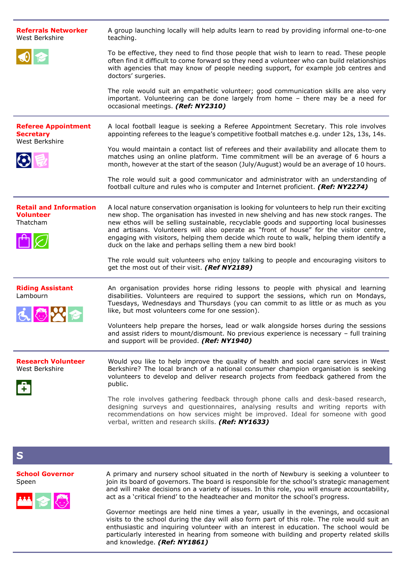| <b>Referrals Networker</b><br>West Berkshire                     | A group launching locally will help adults learn to read by providing informal one-to-one<br>teaching.                                                                                                                                                                                                                                                                                                                                                                                                                                |
|------------------------------------------------------------------|---------------------------------------------------------------------------------------------------------------------------------------------------------------------------------------------------------------------------------------------------------------------------------------------------------------------------------------------------------------------------------------------------------------------------------------------------------------------------------------------------------------------------------------|
|                                                                  | To be effective, they need to find those people that wish to learn to read. These people<br>often find it difficult to come forward so they need a volunteer who can build relationships<br>with agencies that may know of people needing support, for example job centres and<br>doctors' surgeries.                                                                                                                                                                                                                                 |
|                                                                  | The role would suit an empathetic volunteer; good communication skills are also very<br>important. Volunteering can be done largely from home - there may be a need for<br>occasional meetings. (Ref: NY2310)                                                                                                                                                                                                                                                                                                                         |
| <b>Referee Appointment</b><br><b>Secretary</b><br>West Berkshire | A local football league is seeking a Referee Appointment Secretary. This role involves<br>appointing referees to the league's competitive football matches e.g. under 12s, 13s, 14s.                                                                                                                                                                                                                                                                                                                                                  |
| $\bigodot$                                                       | You would maintain a contact list of referees and their availability and allocate them to<br>matches using an online platform. Time commitment will be an average of 6 hours a<br>month, however at the start of the season (July/August) would be an average of 10 hours.                                                                                                                                                                                                                                                            |
|                                                                  | The role would suit a good communicator and administrator with an understanding of<br>football culture and rules who is computer and Internet proficient. (Ref: NY2274)                                                                                                                                                                                                                                                                                                                                                               |
| <b>Retail and Information</b><br><b>Volunteer</b><br>Thatcham    | A local nature conservation organisation is looking for volunteers to help run their exciting<br>new shop. The organisation has invested in new shelving and has new stock ranges. The<br>new ethos will be selling sustainable, recyclable goods and supporting local businesses<br>and artisans. Volunteers will also operate as "front of house" for the visitor centre,<br>engaging with visitors, helping them decide which route to walk, helping them identify a<br>duck on the lake and perhaps selling them a new bird book! |
|                                                                  | The role would suit volunteers who enjoy talking to people and encouraging visitors to<br>get the most out of their visit. (Ref NY2189)                                                                                                                                                                                                                                                                                                                                                                                               |
| <b>Riding Assistant</b><br>Lambourn                              | An organisation provides horse riding lessons to people with physical and learning<br>disabilities. Volunteers are required to support the sessions, which run on Mondays,<br>Tuesdays, Wednesdays and Thursdays (you can commit to as little or as much as you<br>like, but most volunteers come for one session).                                                                                                                                                                                                                   |
|                                                                  | Volunteers help prepare the horses, lead or walk alongside horses during the sessions<br>and assist riders to mount/dismount. No previous experience is necessary - full training<br>and support will be provided. (Ref: NY1940)                                                                                                                                                                                                                                                                                                      |
| <b>Research Volunteer</b><br>West Berkshire                      | Would you like to help improve the quality of health and social care services in West<br>Berkshire? The local branch of a national consumer champion organisation is seeking<br>volunteers to develop and deliver research projects from feedback gathered from the<br>public.                                                                                                                                                                                                                                                        |
|                                                                  | The role involves gathering feedback through phone calls and desk-based research,<br>designing surveys and questionnaires, analysing results and writing reports with<br>recommendations on how services might be improved. Ideal for someone with good<br>verbal, written and research skills. (Ref: NY1633)                                                                                                                                                                                                                         |
| S                                                                |                                                                                                                                                                                                                                                                                                                                                                                                                                                                                                                                       |
| <b>School Governor</b><br>Speen                                  | A primary and nursery school situated in the north of Newbury is seeking a volunteer to<br>join its board of governors. The board is responsible for the school's strategic management<br>and will make decisions on a variety of issues. In this role, you will ensure accountability,                                                                                                                                                                                                                                               |

丛名态

join its board of governors. The board is responsible for the school's strategic management and will make decisions on a variety of issues. In this role, you will ensure accountability, act as a 'critical friend' to the headteacher and monitor the school's progress.

Governor meetings are held nine times a year, usually in the evenings, and occasional visits to the school during the day will also form part of this role. The role would suit an enthusiastic and inquiring volunteer with an interest in education. The school would be particularly interested in hearing from someone with building and property related skills and knowledge. *(Ref: NY1861)*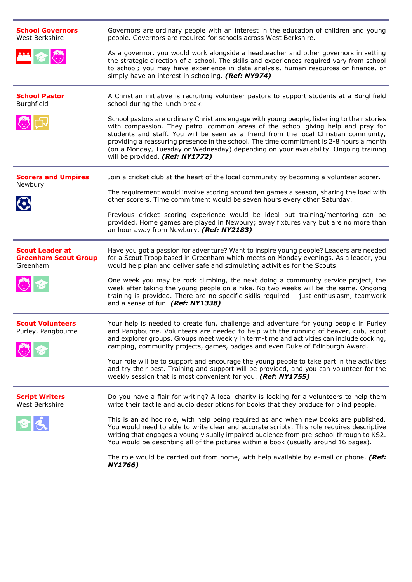| <b>School Governors</b><br>West Berkshire                         | Governors are ordinary people with an interest in the education of children and young<br>people. Governors are required for schools across West Berkshire.                                                                                                                                                                                                                                                                                                                                    |
|-------------------------------------------------------------------|-----------------------------------------------------------------------------------------------------------------------------------------------------------------------------------------------------------------------------------------------------------------------------------------------------------------------------------------------------------------------------------------------------------------------------------------------------------------------------------------------|
| 当つじ                                                               | As a governor, you would work alongside a headteacher and other governors in setting<br>the strategic direction of a school. The skills and experiences required vary from school<br>to school; you may have experience in data analysis, human resources or finance, or<br>simply have an interest in schooling. (Ref: NY974)                                                                                                                                                                |
| <b>School Pastor</b><br>Burghfield                                | A Christian initiative is recruiting volunteer pastors to support students at a Burghfield<br>school during the lunch break.                                                                                                                                                                                                                                                                                                                                                                  |
|                                                                   | School pastors are ordinary Christians engage with young people, listening to their stories<br>with compassion. They patrol common areas of the school giving help and pray for<br>students and staff. You will be seen as a friend from the local Christian community,<br>providing a reassuring presence in the school. The time commitment is 2-8 hours a month<br>(on a Monday, Tuesday or Wednesday) depending on your availability. Ongoing training<br>will be provided. (Ref: NY1772) |
| <b>Scorers and Umpires</b>                                        | Join a cricket club at the heart of the local community by becoming a volunteer scorer.                                                                                                                                                                                                                                                                                                                                                                                                       |
| Newbury<br>$\bf{O}$                                               | The requirement would involve scoring around ten games a season, sharing the load with<br>other scorers. Time commitment would be seven hours every other Saturday.                                                                                                                                                                                                                                                                                                                           |
|                                                                   | Previous cricket scoring experience would be ideal but training/mentoring can be<br>provided. Home games are played in Newbury; away fixtures vary but are no more than<br>an hour away from Newbury. (Ref: NY2183)                                                                                                                                                                                                                                                                           |
| <b>Scout Leader at</b><br><b>Greenham Scout Group</b><br>Greenham | Have you got a passion for adventure? Want to inspire young people? Leaders are needed<br>for a Scout Troop based in Greenham which meets on Monday evenings. As a leader, you<br>would help plan and deliver safe and stimulating activities for the Scouts.                                                                                                                                                                                                                                 |
| 心下                                                                | One week you may be rock climbing, the next doing a community service project, the<br>week after taking the young people on a hike. No two weeks will be the same. Ongoing<br>training is provided. There are no specific skills required - just enthusiasm, teamwork<br>and a sense of fun! (Ref: NY1338)                                                                                                                                                                                    |
| <b>Scout Volunteers</b><br>Purley, Pangbourne<br>◆ や              | Your help is needed to create fun, challenge and adventure for young people in Purley<br>and Pangbourne. Volunteers are needed to help with the running of beaver, cub, scout<br>and explorer groups. Groups meet weekly in term-time and activities can include cooking,<br>camping, community projects, games, badges and even Duke of Edinburgh Award.                                                                                                                                     |
|                                                                   | Your role will be to support and encourage the young people to take part in the activities<br>and try their best. Training and support will be provided, and you can volunteer for the<br>weekly session that is most convenient for you. (Ref: NY1755)                                                                                                                                                                                                                                       |
| <b>Script Writers</b><br>West Berkshire                           | Do you have a flair for writing? A local charity is looking for a volunteers to help them<br>write their tactile and audio descriptions for books that they produce for blind people.                                                                                                                                                                                                                                                                                                         |
| 合                                                                 | This is an ad hoc role, with help being required as and when new books are published.<br>You would need to able to write clear and accurate scripts. This role requires descriptive<br>writing that engages a young visually impaired audience from pre-school through to KS2.<br>You would be describing all of the pictures within a book (usually around 16 pages).                                                                                                                        |
|                                                                   | The role would be carried out from home, with help available by e-mail or phone. (Ref:<br>NY1766)                                                                                                                                                                                                                                                                                                                                                                                             |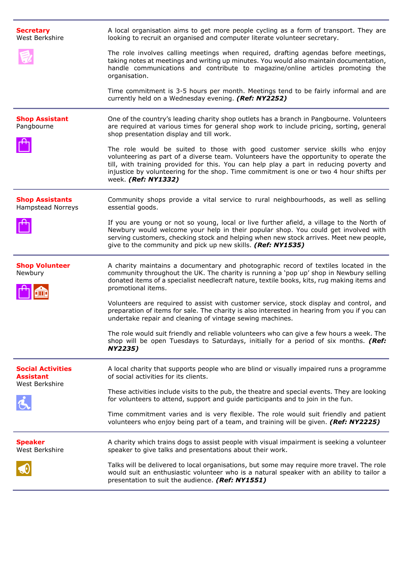| <b>Secretary</b><br>West Berkshire                 | A local organisation aims to get more people cycling as a form of transport. They are<br>looking to recruit an organised and computer literate volunteer secretary.                                                                                                                                                                                                                  |
|----------------------------------------------------|--------------------------------------------------------------------------------------------------------------------------------------------------------------------------------------------------------------------------------------------------------------------------------------------------------------------------------------------------------------------------------------|
|                                                    | The role involves calling meetings when required, drafting agendas before meetings,<br>taking notes at meetings and writing up minutes. You would also maintain documentation,<br>handle communications and contribute to magazine/online articles promoting the<br>organisation.                                                                                                    |
|                                                    | Time commitment is 3-5 hours per month. Meetings tend to be fairly informal and are<br>currently held on a Wednesday evening. (Ref: NY2252)                                                                                                                                                                                                                                          |
| <b>Shop Assistant</b><br>Pangbourne                | One of the country's leading charity shop outlets has a branch in Pangbourne. Volunteers<br>are required at various times for general shop work to include pricing, sorting, general<br>shop presentation display and till work.                                                                                                                                                     |
|                                                    | The role would be suited to those with good customer service skills who enjoy<br>volunteering as part of a diverse team. Volunteers have the opportunity to operate the<br>till, with training provided for this. You can help play a part in reducing poverty and<br>injustice by volunteering for the shop. Time commitment is one or two 4 hour shifts per<br>week. (Ref: NY1332) |
| <b>Shop Assistants</b><br><b>Hampstead Norreys</b> | Community shops provide a vital service to rural neighbourhoods, as well as selling<br>essential goods.                                                                                                                                                                                                                                                                              |
|                                                    | If you are young or not so young, local or live further afield, a village to the North of<br>Newbury would welcome your help in their popular shop. You could get involved with<br>serving customers, checking stock and helping when new stock arrives. Meet new people,<br>give to the community and pick up new skills. (Ref: NY1535)                                             |
| <b>Shop Volunteer</b><br>Newbury                   | A charity maintains a documentary and photographic record of textiles located in the<br>community throughout the UK. The charity is running a 'pop up' shop in Newbury selling<br>donated items of a specialist needlecraft nature, textile books, kits, rug making items and<br>promotional items.                                                                                  |
|                                                    | Volunteers are required to assist with customer service, stock display and control, and<br>preparation of items for sale. The charity is also interested in hearing from you if you can<br>undertake repair and cleaning of vintage sewing machines.                                                                                                                                 |
|                                                    | The role would suit friendly and reliable volunteers who can give a few hours a week. The<br>shop will be open Tuesdays to Saturdays, initially for a period of six months. (Ref:<br>NY2235)                                                                                                                                                                                         |
| <b>Social Activities</b><br><b>Assistant</b>       | A local charity that supports people who are blind or visually impaired runs a programme<br>of social activities for its clients.                                                                                                                                                                                                                                                    |
| West Berkshire                                     | These activities include visits to the pub, the theatre and special events. They are looking<br>for volunteers to attend, support and guide participants and to join in the fun.                                                                                                                                                                                                     |
|                                                    | Time commitment varies and is very flexible. The role would suit friendly and patient<br>volunteers who enjoy being part of a team, and training will be given. (Ref: NY2225)                                                                                                                                                                                                        |
| <b>Speaker</b><br>West Berkshire                   | A charity which trains dogs to assist people with visual impairment is seeking a volunteer<br>speaker to give talks and presentations about their work.                                                                                                                                                                                                                              |
|                                                    | Talks will be delivered to local organisations, but some may require more travel. The role<br>would suit an enthusiastic volunteer who is a natural speaker with an ability to tailor a<br>presentation to suit the audience. (Ref: NY1551)                                                                                                                                          |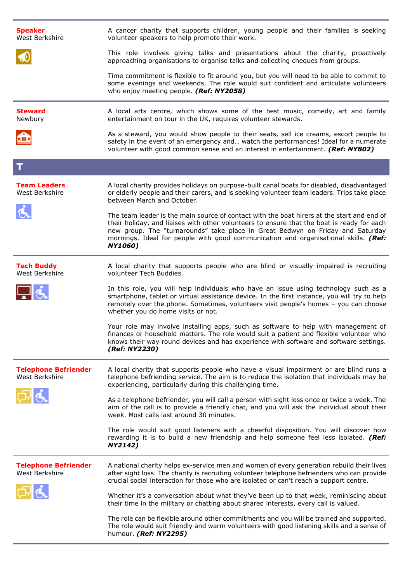| <b>Speaker</b><br>West Berkshire              | A cancer charity that supports children, young people and their families is seeking<br>volunteer speakers to help promote their work.                                                                                                                                                                                                                                               |
|-----------------------------------------------|-------------------------------------------------------------------------------------------------------------------------------------------------------------------------------------------------------------------------------------------------------------------------------------------------------------------------------------------------------------------------------------|
|                                               | This role involves giving talks and presentations about the charity, proactively<br>approaching organisations to organise talks and collecting cheques from groups.                                                                                                                                                                                                                 |
|                                               | Time commitment is flexible to fit around you, but you will need to be able to commit to<br>some evenings and weekends. The role would suit confident and articulate volunteers<br>who enjoy meeting people. (Ref: NY2058)                                                                                                                                                          |
| <b>Steward</b><br>Newbury                     | A local arts centre, which shows some of the best music, comedy, art and family<br>entertainment on tour in the UK, requires volunteer stewards.                                                                                                                                                                                                                                    |
| $\mathbf{q}$                                  | As a steward, you would show people to their seats, sell ice creams, escort people to<br>safety in the event of an emergency and watch the performances! Ideal for a numerate<br>volunteer with good common sense and an interest in entertainment. (Ref: NY802)                                                                                                                    |
| T                                             |                                                                                                                                                                                                                                                                                                                                                                                     |
| <b>Team Leaders</b><br>West Berkshire         | A local charity provides holidays on purpose-built canal boats for disabled, disadvantaged<br>or elderly people and their carers, and is seeking volunteer team leaders. Trips take place<br>between March and October.                                                                                                                                                             |
|                                               | The team leader is the main source of contact with the boat hirers at the start and end of<br>their holiday, and liaises with other volunteers to ensure that the boat is ready for each<br>new group. The "turnarounds" take place in Great Bedwyn on Friday and Saturday<br>mornings. Ideal for people with good communication and organisational skills. (Ref:<br><b>NY1060)</b> |
| <b>Tech Buddy</b><br>West Berkshire           | A local charity that supports people who are blind or visually impaired is recruiting<br>volunteer Tech Buddies.                                                                                                                                                                                                                                                                    |
|                                               | In this role, you will help individuals who have an issue using technology such as a<br>smartphone, tablet or virtual assistance device. In the first instance, you will try to help<br>remotely over the phone. Sometimes, volunteers visit people's homes - you can choose<br>whether you do home visits or not.                                                                  |
|                                               | Your role may involve installing apps, such as software to help with management of<br>finances or household matters. The role would suit a patient and flexible volunteer who<br>knows their way round devices and has experience with software and software settings.<br>(Ref: NY2230)                                                                                             |
| <b>Telephone Befriender</b><br>West Berkshire | A local charity that supports people who have a visual impairment or are blind runs a<br>telephone befriending service. The aim is to reduce the isolation that individuals may be<br>experiencing, particularly during this challenging time.                                                                                                                                      |
|                                               | As a telephone befriender, you will call a person with sight loss once or twice a week. The<br>aim of the call is to provide a friendly chat, and you will ask the individual about their<br>week. Most calls last around 30 minutes.                                                                                                                                               |
|                                               | The role would suit good listeners with a cheerful disposition. You will discover how<br>rewarding it is to build a new friendship and help someone feel less isolated. (Ref:<br>NY2142)                                                                                                                                                                                            |
| <b>Telephone Befriender</b><br>West Berkshire | A national charity helps ex-service men and women of every generation rebuild their lives<br>after sight loss. The charity is recruiting volunteer telephone befrienders who can provide<br>crucial social interaction for those who are isolated or can't reach a support centre.                                                                                                  |
|                                               | Whether it's a conversation about what they've been up to that week, reminiscing about<br>their time in the military or chatting about shared interests, every call is valued.                                                                                                                                                                                                      |
|                                               | The role can be flexible around other commitments and you will be trained and supported.<br>The role would suit friendly and warm volunteers with good listening skills and a sense of<br>humour. (Ref: NY2295)                                                                                                                                                                     |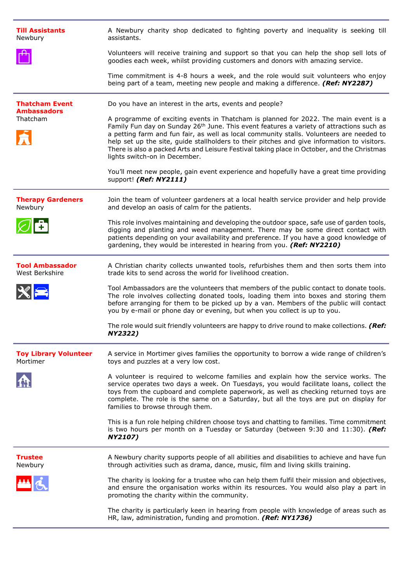| <b>Till Assistants</b><br>Newbury           | A Newbury charity shop dedicated to fighting poverty and inequality is seeking till<br>assistants.                                                                                                                                                                                                                                                                                                                                                                                                                     |
|---------------------------------------------|------------------------------------------------------------------------------------------------------------------------------------------------------------------------------------------------------------------------------------------------------------------------------------------------------------------------------------------------------------------------------------------------------------------------------------------------------------------------------------------------------------------------|
|                                             | Volunteers will receive training and support so that you can help the shop sell lots of<br>goodies each week, whilst providing customers and donors with amazing service.                                                                                                                                                                                                                                                                                                                                              |
|                                             | Time commitment is 4-8 hours a week, and the role would suit volunteers who enjoy<br>being part of a team, meeting new people and making a difference. (Ref: NY2287)                                                                                                                                                                                                                                                                                                                                                   |
| <b>Thatcham Event</b><br><b>Ambassadors</b> | Do you have an interest in the arts, events and people?                                                                                                                                                                                                                                                                                                                                                                                                                                                                |
| Thatcham                                    | A programme of exciting events in Thatcham is planned for 2022. The main event is a<br>Family Fun day on Sunday 26 <sup>th</sup> June. This event features a variety of attractions such as<br>a petting farm and fun fair, as well as local community stalls. Volunteers are needed to<br>help set up the site, guide stallholders to their pitches and give information to visitors.<br>There is also a packed Arts and Leisure Festival taking place in October, and the Christmas<br>lights switch-on in December. |
|                                             | You'll meet new people, gain event experience and hopefully have a great time providing<br>support! (Ref: NY2111)                                                                                                                                                                                                                                                                                                                                                                                                      |
| <b>Therapy Gardeners</b><br>Newbury         | Join the team of volunteer gardeners at a local health service provider and help provide<br>and develop an oasis of calm for the patients.                                                                                                                                                                                                                                                                                                                                                                             |
|                                             | This role involves maintaining and developing the outdoor space, safe use of garden tools,<br>digging and planting and weed management. There may be some direct contact with<br>patients depending on your availability and preference. If you have a good knowledge of<br>gardening, they would be interested in hearing from you. (Ref: NY2210)                                                                                                                                                                     |
| <b>Tool Ambassador</b><br>West Berkshire    | A Christian charity collects unwanted tools, refurbishes them and then sorts them into<br>trade kits to send across the world for livelihood creation.                                                                                                                                                                                                                                                                                                                                                                 |
|                                             | Tool Ambassadors are the volunteers that members of the public contact to donate tools.<br>The role involves collecting donated tools, loading them into boxes and storing them<br>before arranging for them to be picked up by a van. Members of the public will contact<br>you by e-mail or phone day or evening, but when you collect is up to you.                                                                                                                                                                 |
|                                             | The role would suit friendly volunteers are happy to drive round to make collections. (Ref:<br>NY2322)                                                                                                                                                                                                                                                                                                                                                                                                                 |
| <b>Toy Library Volunteer</b><br>Mortimer    | A service in Mortimer gives families the opportunity to borrow a wide range of children's<br>toys and puzzles at a very low cost.                                                                                                                                                                                                                                                                                                                                                                                      |
|                                             | A volunteer is required to welcome families and explain how the service works. The<br>service operates two days a week. On Tuesdays, you would facilitate loans, collect the<br>toys from the cupboard and complete paperwork, as well as checking returned toys are<br>complete. The role is the same on a Saturday, but all the toys are put on display for<br>families to browse through them.                                                                                                                      |
|                                             | This is a fun role helping children choose toys and chatting to families. Time commitment<br>is two hours per month on a Tuesday or Saturday (between 9:30 and 11:30). (Ref:<br>NY2107)                                                                                                                                                                                                                                                                                                                                |
| <b>Trustee</b><br>Newbury                   | A Newbury charity supports people of all abilities and disabilities to achieve and have fun<br>through activities such as drama, dance, music, film and living skills training.                                                                                                                                                                                                                                                                                                                                        |
|                                             | The charity is looking for a trustee who can help them fulfil their mission and objectives,<br>and ensure the organisation works within its resources. You would also play a part in<br>promoting the charity within the community.                                                                                                                                                                                                                                                                                    |
|                                             | The charity is particularly keen in hearing from people with knowledge of areas such as<br>HR, law, administration, funding and promotion. (Ref: NY1736)                                                                                                                                                                                                                                                                                                                                                               |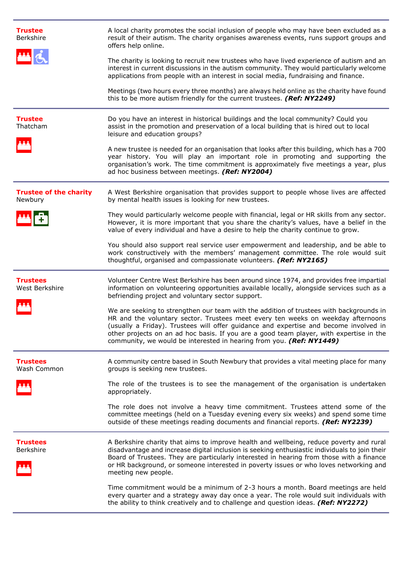| <b>Trustee</b><br><b>Berkshire</b>       | A local charity promotes the social inclusion of people who may have been excluded as a<br>result of their autism. The charity organises awareness events, runs support groups and<br>offers help online.                                                                                                                                                                                                                               |
|------------------------------------------|-----------------------------------------------------------------------------------------------------------------------------------------------------------------------------------------------------------------------------------------------------------------------------------------------------------------------------------------------------------------------------------------------------------------------------------------|
|                                          | The charity is looking to recruit new trustees who have lived experience of autism and an<br>interest in current discussions in the autism community. They would particularly welcome<br>applications from people with an interest in social media, fundraising and finance.                                                                                                                                                            |
|                                          | Meetings (two hours every three months) are always held online as the charity have found<br>this to be more autism friendly for the current trustees. (Ref: NY2249)                                                                                                                                                                                                                                                                     |
| <b>Trustee</b><br>Thatcham               | Do you have an interest in historical buildings and the local community? Could you<br>assist in the promotion and preservation of a local building that is hired out to local<br>leisure and education groups?                                                                                                                                                                                                                          |
|                                          | A new trustee is needed for an organisation that looks after this building, which has a 700<br>year history. You will play an important role in promoting and supporting the<br>organisation's work. The time commitment is approximately five meetings a year, plus<br>ad hoc business between meetings. (Ref: NY2004)                                                                                                                 |
| <b>Trustee of the charity</b><br>Newbury | A West Berkshire organisation that provides support to people whose lives are affected<br>by mental health issues is looking for new trustees.                                                                                                                                                                                                                                                                                          |
|                                          | They would particularly welcome people with financial, legal or HR skills from any sector.<br>However, it is more important that you share the charity's values, have a belief in the<br>value of every individual and have a desire to help the charity continue to grow.                                                                                                                                                              |
|                                          | You should also support real service user empowerment and leadership, and be able to<br>work constructively with the members' management committee. The role would suit<br>thoughtful, organised and compassionate volunteers. (Ref: NY2165)                                                                                                                                                                                            |
| <b>Trustees</b><br>West Berkshire        | Volunteer Centre West Berkshire has been around since 1974, and provides free impartial<br>information on volunteering opportunities available locally, alongside services such as a<br>befriending project and voluntary sector support.                                                                                                                                                                                               |
|                                          | We are seeking to strengthen our team with the addition of trustees with backgrounds in<br>HR and the voluntary sector. Trustees meet every ten weeks on weekday afternoons<br>(usually a Friday). Trustees will offer guidance and expertise and become involved in<br>other projects on an ad hoc basis. If you are a good team player, with expertise in the<br>community, we would be interested in hearing from you. (Ref: NY1449) |
| <b>Trustees</b><br>Wash Common           | A community centre based in South Newbury that provides a vital meeting place for many<br>groups is seeking new trustees.                                                                                                                                                                                                                                                                                                               |
|                                          | The role of the trustees is to see the management of the organisation is undertaken<br>appropriately.                                                                                                                                                                                                                                                                                                                                   |
|                                          | The role does not involve a heavy time commitment. Trustees attend some of the<br>committee meetings (held on a Tuesday evening every six weeks) and spend some time<br>outside of these meetings reading documents and financial reports. (Ref: NY2239)                                                                                                                                                                                |
| <b>Trustees</b><br>Berkshire             | A Berkshire charity that aims to improve health and wellbeing, reduce poverty and rural<br>disadvantage and increase digital inclusion is seeking enthusiastic individuals to join their<br>Board of Trustees. They are particularly interested in hearing from those with a finance<br>or HR background, or someone interested in poverty issues or who loves networking and<br>meeting new people.                                    |
|                                          | Time commitment would be a minimum of 2-3 hours a month. Board meetings are held<br>every quarter and a strategy away day once a year. The role would suit individuals with<br>the ability to think creatively and to challenge and question ideas. (Ref: NY2272)                                                                                                                                                                       |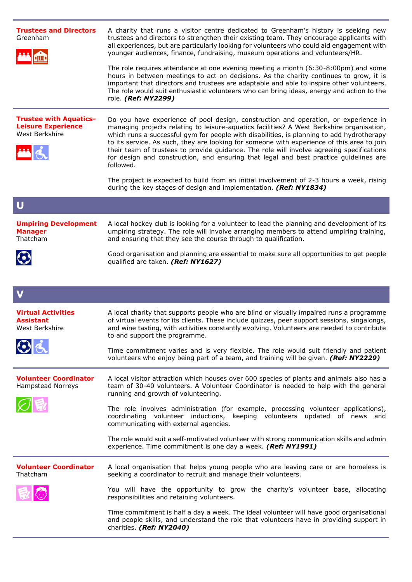| <b>Trustees and Directors</b><br>Greenham<br><b>Trustee with Aquatics-</b><br><b>Leisure Experience</b><br>West Berkshire | A charity that runs a visitor centre dedicated to Greenham's history is seeking new<br>trustees and directors to strengthen their existing team. They encourage applicants with<br>all experiences, but are particularly looking for volunteers who could aid engagement with<br>younger audiences, finance, fundraising, museum operations and volunteers/HR.<br>The role requires attendance at one evening meeting a month $(6:30-8:00 \text{pm})$ and some<br>hours in between meetings to act on decisions. As the charity continues to grow, it is<br>important that directors and trustees are adaptable and able to inspire other volunteers.<br>The role would suit enthusiastic volunteers who can bring ideas, energy and action to the<br>role. (Ref: NY2299)<br>Do you have experience of pool design, construction and operation, or experience in<br>managing projects relating to leisure-aquatics facilities? A West Berkshire organisation,<br>which runs a successful gym for people with disabilities, is planning to add hydrotherapy<br>to its service. As such, they are looking for someone with experience of this area to join |
|---------------------------------------------------------------------------------------------------------------------------|----------------------------------------------------------------------------------------------------------------------------------------------------------------------------------------------------------------------------------------------------------------------------------------------------------------------------------------------------------------------------------------------------------------------------------------------------------------------------------------------------------------------------------------------------------------------------------------------------------------------------------------------------------------------------------------------------------------------------------------------------------------------------------------------------------------------------------------------------------------------------------------------------------------------------------------------------------------------------------------------------------------------------------------------------------------------------------------------------------------------------------------------------------|
|                                                                                                                           | their team of trustees to provide guidance. The role will involve agreeing specifications<br>for design and construction, and ensuring that legal and best practice guidelines are<br>followed.                                                                                                                                                                                                                                                                                                                                                                                                                                                                                                                                                                                                                                                                                                                                                                                                                                                                                                                                                          |
|                                                                                                                           | The project is expected to build from an initial involvement of 2-3 hours a week, rising<br>during the key stages of design and implementation. (Ref: NY1834)                                                                                                                                                                                                                                                                                                                                                                                                                                                                                                                                                                                                                                                                                                                                                                                                                                                                                                                                                                                            |
| $\mathbf U$                                                                                                               |                                                                                                                                                                                                                                                                                                                                                                                                                                                                                                                                                                                                                                                                                                                                                                                                                                                                                                                                                                                                                                                                                                                                                          |
| <b>Umpiring Development</b><br><b>Manager</b><br>Thatcham                                                                 | A local hockey club is looking for a volunteer to lead the planning and development of its<br>umpiring strategy. The role will involve arranging members to attend umpiring training,<br>and ensuring that they see the course through to qualification.                                                                                                                                                                                                                                                                                                                                                                                                                                                                                                                                                                                                                                                                                                                                                                                                                                                                                                 |
| $\mathbf G$                                                                                                               | Good organisation and planning are essential to make sure all opportunities to get people<br>qualified are taken. (Ref: NY1627)                                                                                                                                                                                                                                                                                                                                                                                                                                                                                                                                                                                                                                                                                                                                                                                                                                                                                                                                                                                                                          |
| V                                                                                                                         |                                                                                                                                                                                                                                                                                                                                                                                                                                                                                                                                                                                                                                                                                                                                                                                                                                                                                                                                                                                                                                                                                                                                                          |
| <b>Virtual Activities</b><br><b>Assistant</b><br>West Berkshire                                                           | A local charity that supports people who are blind or visually impaired runs a programme<br>of virtual events for its clients. These include quizzes, peer support sessions, singalongs,<br>and wine tasting, with activities constantly evolving. Volunteers are needed to contribute<br>to and support the programme.                                                                                                                                                                                                                                                                                                                                                                                                                                                                                                                                                                                                                                                                                                                                                                                                                                  |
|                                                                                                                           | Time commitment varies and is very flexible. The role would suit friendly and patient<br>volunteers who enjoy being part of a team, and training will be given. (Ref: NY2229)                                                                                                                                                                                                                                                                                                                                                                                                                                                                                                                                                                                                                                                                                                                                                                                                                                                                                                                                                                            |
| <b>Volunteer Coordinator</b><br><b>Hampstead Norreys</b>                                                                  | A local visitor attraction which houses over 600 species of plants and animals also has a                                                                                                                                                                                                                                                                                                                                                                                                                                                                                                                                                                                                                                                                                                                                                                                                                                                                                                                                                                                                                                                                |
|                                                                                                                           | team of 30-40 volunteers. A Volunteer Coordinator is needed to help with the general<br>running and growth of volunteering.                                                                                                                                                                                                                                                                                                                                                                                                                                                                                                                                                                                                                                                                                                                                                                                                                                                                                                                                                                                                                              |
|                                                                                                                           | The role involves administration (for example, processing volunteer applications),<br>coordinating volunteer inductions, keeping volunteers updated of news and<br>communicating with external agencies.                                                                                                                                                                                                                                                                                                                                                                                                                                                                                                                                                                                                                                                                                                                                                                                                                                                                                                                                                 |
|                                                                                                                           | The role would suit a self-motivated volunteer with strong communication skills and admin<br>experience. Time commitment is one day a week. (Ref: NY1991)                                                                                                                                                                                                                                                                                                                                                                                                                                                                                                                                                                                                                                                                                                                                                                                                                                                                                                                                                                                                |
| <b>Volunteer Coordinator</b><br>Thatcham                                                                                  | A local organisation that helps young people who are leaving care or are homeless is<br>seeking a coordinator to recruit and manage their volunteers.                                                                                                                                                                                                                                                                                                                                                                                                                                                                                                                                                                                                                                                                                                                                                                                                                                                                                                                                                                                                    |
|                                                                                                                           | You will have the opportunity to grow the charity's volunteer base, allocating<br>responsibilities and retaining volunteers.                                                                                                                                                                                                                                                                                                                                                                                                                                                                                                                                                                                                                                                                                                                                                                                                                                                                                                                                                                                                                             |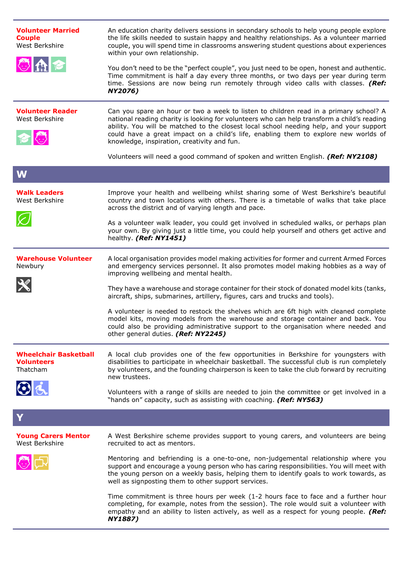| <b>Volunteer Married</b><br><b>Couple</b><br>West Berkshire   | An education charity delivers sessions in secondary schools to help young people explore<br>the life skills needed to sustain happy and healthy relationships. As a volunteer married<br>couple, you will spend time in classrooms answering student questions about experiences<br>within your own relationship.                                                                                                     |
|---------------------------------------------------------------|-----------------------------------------------------------------------------------------------------------------------------------------------------------------------------------------------------------------------------------------------------------------------------------------------------------------------------------------------------------------------------------------------------------------------|
| 心血之                                                           | You don't need to be the "perfect couple", you just need to be open, honest and authentic.<br>Time commitment is half a day every three months, or two days per year during term<br>time. Sessions are now being run remotely through video calls with classes. (Ref:<br>NY2076)                                                                                                                                      |
| <b>Volunteer Reader</b><br>West Berkshire                     | Can you spare an hour or two a week to listen to children read in a primary school? A<br>national reading charity is looking for volunteers who can help transform a child's reading<br>ability. You will be matched to the closest local school needing help, and your support<br>could have a great impact on a child's life, enabling them to explore new worlds of<br>knowledge, inspiration, creativity and fun. |
|                                                               | Volunteers will need a good command of spoken and written English. (Ref: NY2108)                                                                                                                                                                                                                                                                                                                                      |
| W                                                             |                                                                                                                                                                                                                                                                                                                                                                                                                       |
| <b>Walk Leaders</b><br>West Berkshire                         | Improve your health and wellbeing whilst sharing some of West Berkshire's beautiful<br>country and town locations with others. There is a timetable of walks that take place<br>across the district and of varying length and pace.                                                                                                                                                                                   |
|                                                               | As a volunteer walk leader, you could get involved in scheduled walks, or perhaps plan<br>your own. By giving just a little time, you could help yourself and others get active and<br>healthy. (Ref: NY1451)                                                                                                                                                                                                         |
| <b>Warehouse Volunteer</b><br>Newbury                         | A local organisation provides model making activities for former and current Armed Forces<br>and emergency services personnel. It also promotes model making hobbies as a way of<br>improving wellbeing and mental health.                                                                                                                                                                                            |
|                                                               | They have a warehouse and storage container for their stock of donated model kits (tanks,<br>aircraft, ships, submarines, artillery, figures, cars and trucks and tools).                                                                                                                                                                                                                                             |
|                                                               | A volunteer is needed to restock the shelves which are 6ft high with cleaned complete<br>model kits, moving models from the warehouse and storage container and back. You<br>could also be providing administrative support to the organisation where needed and<br>other general duties. (Ref: NY2245)                                                                                                               |
| <b>Wheelchair Basketball</b><br><b>Volunteers</b><br>Thatcham | A local club provides one of the few opportunities in Berkshire for youngsters with<br>disabilities to participate in wheelchair basketball. The successful club is run completely<br>by volunteers, and the founding chairperson is keen to take the club forward by recruiting<br>new trustees.                                                                                                                     |
| $\odot$ ć                                                     | Volunteers with a range of skills are needed to join the committee or get involved in a<br>"hands on" capacity, such as assisting with coaching. (Ref: NY563)                                                                                                                                                                                                                                                         |
|                                                               |                                                                                                                                                                                                                                                                                                                                                                                                                       |
| <b>Young Carers Mentor</b><br>West Berkshire                  | A West Berkshire scheme provides support to young carers, and volunteers are being<br>recruited to act as mentors.                                                                                                                                                                                                                                                                                                    |
|                                                               | Mentoring and befriending is a one-to-one, non-judgemental relationship where you<br>support and encourage a young person who has caring responsibilities. You will meet with<br>the young person on a weekly basis, helping them to identify goals to work towards, as<br>well as signposting them to other support services.                                                                                        |
|                                                               | Time commitment is three hours per week (1-2 hours face to face and a further hour<br>completing, for example, notes from the session). The role would suit a volunteer with<br>empathy and an ability to listen actively, as well as a respect for young people. (Ref:<br><b>NY1887)</b>                                                                                                                             |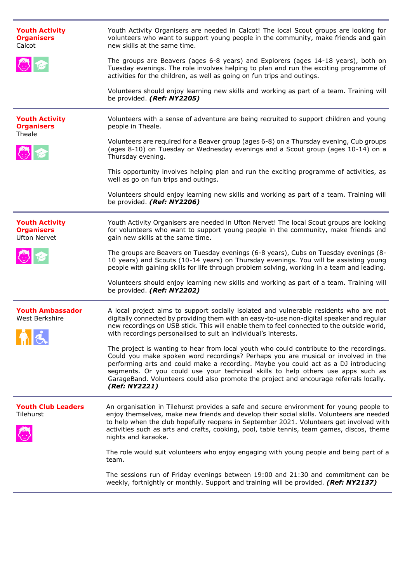| <b>Youth Activity</b><br><b>Organisers</b><br>Calcot                | Youth Activity Organisers are needed in Calcot! The local Scout groups are looking for<br>volunteers who want to support young people in the community, make friends and gain<br>new skills at the same time.                                                                                                                                                                                                                                                      |
|---------------------------------------------------------------------|--------------------------------------------------------------------------------------------------------------------------------------------------------------------------------------------------------------------------------------------------------------------------------------------------------------------------------------------------------------------------------------------------------------------------------------------------------------------|
| 心を                                                                  | The groups are Beavers (ages 6-8 years) and Explorers (ages 14-18 years), both on<br>Tuesday evenings. The role involves helping to plan and run the exciting programme of<br>activities for the children, as well as going on fun trips and outings.                                                                                                                                                                                                              |
|                                                                     | Volunteers should enjoy learning new skills and working as part of a team. Training will<br>be provided. (Ref: NY2205)                                                                                                                                                                                                                                                                                                                                             |
| <b>Youth Activity</b><br><b>Organisers</b><br>Theale                | Volunteers with a sense of adventure are being recruited to support children and young<br>people in Theale.                                                                                                                                                                                                                                                                                                                                                        |
|                                                                     | Volunteers are required for a Beaver group (ages 6-8) on a Thursday evening, Cub groups<br>(ages 8-10) on Tuesday or Wednesday evenings and a Scout group (ages 10-14) on a<br>Thursday evening.                                                                                                                                                                                                                                                                   |
|                                                                     | This opportunity involves helping plan and run the exciting programme of activities, as<br>well as go on fun trips and outings.                                                                                                                                                                                                                                                                                                                                    |
|                                                                     | Volunteers should enjoy learning new skills and working as part of a team. Training will<br>be provided. (Ref: NY2206)                                                                                                                                                                                                                                                                                                                                             |
| <b>Youth Activity</b><br><b>Organisers</b><br><b>Ufton Nervet</b>   | Youth Activity Organisers are needed in Ufton Nervet! The local Scout groups are looking<br>for volunteers who want to support young people in the community, make friends and<br>gain new skills at the same time.                                                                                                                                                                                                                                                |
| 心を                                                                  | The groups are Beavers on Tuesday evenings (6-8 years), Cubs on Tuesday evenings (8-<br>10 years) and Scouts (10-14 years) on Thursday evenings. You will be assisting young<br>people with gaining skills for life through problem solving, working in a team and leading.                                                                                                                                                                                        |
|                                                                     | Volunteers should enjoy learning new skills and working as part of a team. Training will<br>be provided. (Ref: NY2202)                                                                                                                                                                                                                                                                                                                                             |
| <b>Youth Ambassador</b><br>West Berkshire<br><b>AND DESCRIPTION</b> | A local project aims to support socially isolated and vulnerable residents who are not<br>digitally connected by providing them with an easy-to-use non-digital speaker and regular<br>new recordings on USB stick. This will enable them to feel connected to the outside world,<br>with recordings personalised to suit an individual's interests.                                                                                                               |
|                                                                     | The project is wanting to hear from local youth who could contribute to the recordings.<br>Could you make spoken word recordings? Perhaps you are musical or involved in the<br>performing arts and could make a recording. Maybe you could act as a DJ introducing<br>segments. Or you could use your technical skills to help others use apps such as<br>GarageBand. Volunteers could also promote the project and encourage referrals locally.<br>(Ref: NY2221) |
| <b>Youth Club Leaders</b><br>Tilehurst                              | An organisation in Tilehurst provides a safe and secure environment for young people to<br>enjoy themselves, make new friends and develop their social skills. Volunteers are needed<br>to help when the club hopefully reopens in September 2021. Volunteers get involved with<br>activities such as arts and crafts, cooking, pool, table tennis, team games, discos, theme<br>nights and karaoke.                                                               |
|                                                                     | The role would suit volunteers who enjoy engaging with young people and being part of a<br>team.                                                                                                                                                                                                                                                                                                                                                                   |
|                                                                     | The sessions run of Friday evenings between 19:00 and 21:30 and commitment can be<br>weekly, fortnightly or monthly. Support and training will be provided. (Ref: NY2137)                                                                                                                                                                                                                                                                                          |